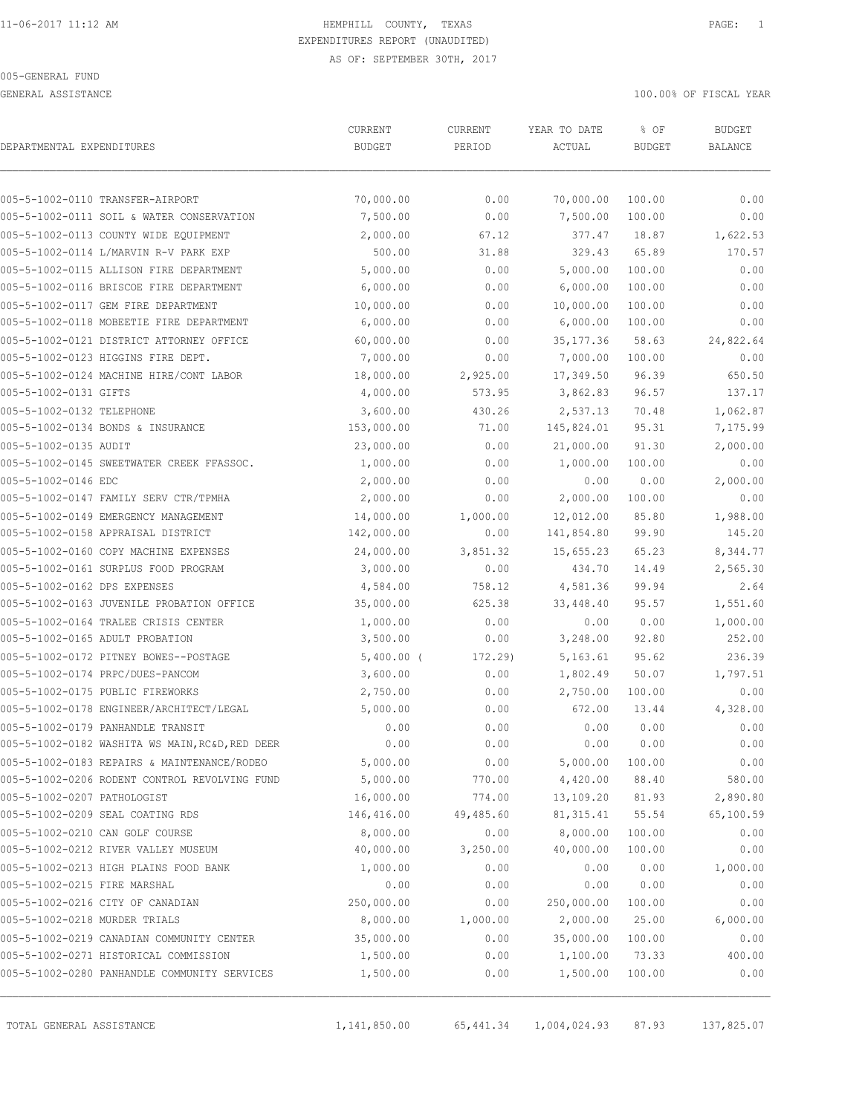GENERAL ASSISTANCE 100.00% OF FISCAL YEAR

|                                 |                                                 | CURRENT       | CURRENT   | YEAR TO DATE | % OF          | <b>BUDGET</b> |
|---------------------------------|-------------------------------------------------|---------------|-----------|--------------|---------------|---------------|
| DEPARTMENTAL EXPENDITURES       |                                                 | <b>BUDGET</b> | PERIOD    | ACTUAL       | <b>BUDGET</b> | BALANCE       |
|                                 | 005-5-1002-0110 TRANSFER-AIRPORT                | 70,000.00     | 0.00      | 70,000.00    | 100.00        | 0.00          |
|                                 | 005-5-1002-0111 SOIL & WATER CONSERVATION       | 7,500.00      | 0.00      | 7,500.00     | 100.00        | 0.00          |
|                                 | 005-5-1002-0113 COUNTY WIDE EQUIPMENT           | 2,000.00      | 67.12     | 377.47       | 18.87         | 1,622.53      |
|                                 | 005-5-1002-0114 L/MARVIN R-V PARK EXP           | 500.00        | 31.88     | 329.43       | 65.89         | 170.57        |
|                                 | 005-5-1002-0115 ALLISON FIRE DEPARTMENT         | 5,000.00      | 0.00      | 5,000.00     | 100.00        | 0.00          |
|                                 | 005-5-1002-0116 BRISCOE FIRE DEPARTMENT         | 6,000.00      | 0.00      | 6,000.00     | 100.00        | 0.00          |
|                                 | 005-5-1002-0117 GEM FIRE DEPARTMENT             | 10,000.00     | 0.00      | 10,000.00    | 100.00        | 0.00          |
|                                 | 005-5-1002-0118 MOBEETIE FIRE DEPARTMENT        | 6,000.00      | 0.00      | 6,000.00     | 100.00        | 0.00          |
|                                 | 005-5-1002-0121 DISTRICT ATTORNEY OFFICE        | 60,000.00     | 0.00      | 35, 177.36   | 58.63         | 24,822.64     |
|                                 | 005-5-1002-0123 HIGGINS FIRE DEPT.              | 7,000.00      | 0.00      | 7,000.00     | 100.00        | 0.00          |
|                                 | 005-5-1002-0124 MACHINE HIRE/CONT LABOR         | 18,000.00     | 2,925.00  | 17,349.50    | 96.39         | 650.50        |
| 005-5-1002-0131 GIFTS           |                                                 | 4,000.00      | 573.95    | 3,862.83     | 96.57         | 137.17        |
| 005-5-1002-0132 TELEPHONE       |                                                 | 3,600.00      | 430.26    | 2,537.13     | 70.48         | 1,062.87      |
|                                 | 005-5-1002-0134 BONDS & INSURANCE               | 153,000.00    | 71.00     | 145,824.01   | 95.31         | 7,175.99      |
| 005-5-1002-0135 AUDIT           |                                                 | 23,000.00     | 0.00      | 21,000.00    | 91.30         | 2,000.00      |
|                                 | 005-5-1002-0145 SWEETWATER CREEK FFASSOC.       | 1,000.00      | 0.00      | 1,000.00     | 100.00        | 0.00          |
| 005-5-1002-0146 EDC             |                                                 | 2,000.00      | 0.00      | 0.00         | 0.00          | 2,000.00      |
|                                 | 005-5-1002-0147 FAMILY SERV CTR/TPMHA           | 2,000.00      | 0.00      | 2,000.00     | 100.00        | 0.00          |
|                                 | 005-5-1002-0149 EMERGENCY MANAGEMENT            | 14,000.00     | 1,000.00  | 12,012.00    | 85.80         | 1,988.00      |
|                                 | 005-5-1002-0158 APPRAISAL DISTRICT              | 142,000.00    | 0.00      | 141,854.80   | 99.90         | 145.20        |
|                                 | 005-5-1002-0160 COPY MACHINE EXPENSES           | 24,000.00     | 3,851.32  | 15,655.23    | 65.23         | 8,344.77      |
|                                 | 005-5-1002-0161 SURPLUS FOOD PROGRAM            | 3,000.00      | 0.00      | 434.70       | 14.49         | 2,565.30      |
| 005-5-1002-0162 DPS EXPENSES    |                                                 | 4,584.00      | 758.12    | 4,581.36     | 99.94         | 2.64          |
|                                 | 005-5-1002-0163 JUVENILE PROBATION OFFICE       | 35,000.00     | 625.38    | 33,448.40    | 95.57         | 1,551.60      |
|                                 | 005-5-1002-0164 TRALEE CRISIS CENTER            | 1,000.00      | 0.00      | 0.00         | 0.00          | 1,000.00      |
| 005-5-1002-0165 ADULT PROBATION |                                                 | 3,500.00      | 0.00      | 3,248.00     | 92.80         | 252.00        |
|                                 | 005-5-1002-0172 PITNEY BOWES--POSTAGE           | $5,400.00$ (  | 172.29)   | 5,163.61     | 95.62         | 236.39        |
|                                 | 005-5-1002-0174 PRPC/DUES-PANCOM                | 3,600.00      | 0.00      | 1,802.49     | 50.07         | 1,797.51      |
|                                 | 005-5-1002-0175 PUBLIC FIREWORKS                | 2,750.00      | 0.00      | 2,750.00     | 100.00        | 0.00          |
|                                 | 005-5-1002-0178 ENGINEER/ARCHITECT/LEGAL        | 5,000.00      | 0.00      | 672.00       | 13.44         | 4,328.00      |
|                                 | 005-5-1002-0179 PANHANDLE TRANSIT               | 0.00          | 0.00      | 0.00         | 0.00          | 0.00          |
|                                 | 005-5-1002-0182 WASHITA WS MAIN, RC&D, RED DEER | 0.00          | 0.00      | 0.00         | 0.00          | 0.00          |
|                                 | 005-5-1002-0183 REPAIRS & MAINTENANCE/RODEO     | 5,000.00      | 0.00      | 5,000.00     | 100.00        | 0.00          |
|                                 | 005-5-1002-0206 RODENT CONTROL REVOLVING FUND   | 5,000.00      | 770.00    | 4,420.00     | 88.40         | 580.00        |
| 005-5-1002-0207 PATHOLOGIST     |                                                 | 16,000.00     | 774.00    | 13,109.20    | 81.93         | 2,890.80      |
|                                 | 005-5-1002-0209 SEAL COATING RDS                | 146,416.00    | 49,485.60 | 81, 315.41   | 55.54         | 65,100.59     |
| 005-5-1002-0210 CAN GOLF COURSE |                                                 | 8,000.00      | 0.00      | 8,000.00     | 100.00        | 0.00          |
|                                 | 005-5-1002-0212 RIVER VALLEY MUSEUM             | 40,000.00     | 3,250.00  | 40,000.00    | 100.00        | 0.00          |
|                                 | 005-5-1002-0213 HIGH PLAINS FOOD BANK           | 1,000.00      | 0.00      | 0.00         | 0.00          | 1,000.00      |
| 005-5-1002-0215 FIRE MARSHAL    |                                                 | 0.00          | 0.00      | 0.00         | 0.00          | 0.00          |
|                                 | 005-5-1002-0216 CITY OF CANADIAN                | 250,000.00    | 0.00      | 250,000.00   | 100.00        | 0.00          |
| 005-5-1002-0218 MURDER TRIALS   |                                                 | 8,000.00      | 1,000.00  | 2,000.00     | 25.00         | 6,000.00      |
|                                 | 005-5-1002-0219 CANADIAN COMMUNITY CENTER       | 35,000.00     | 0.00      | 35,000.00    | 100.00        | 0.00          |
|                                 | 005-5-1002-0271 HISTORICAL COMMISSION           | 1,500.00      | 0.00      | 1,100.00     | 73.33         | 400.00        |
|                                 | 005-5-1002-0280 PANHANDLE COMMUNITY SERVICES    | 1,500.00      | 0.00      | 1,500.00     | 100.00        | 0.00          |

TOTAL GENERAL ASSISTANCE 1,141,850.00 65,441.34 1,004,024.93 87.93 137,825.07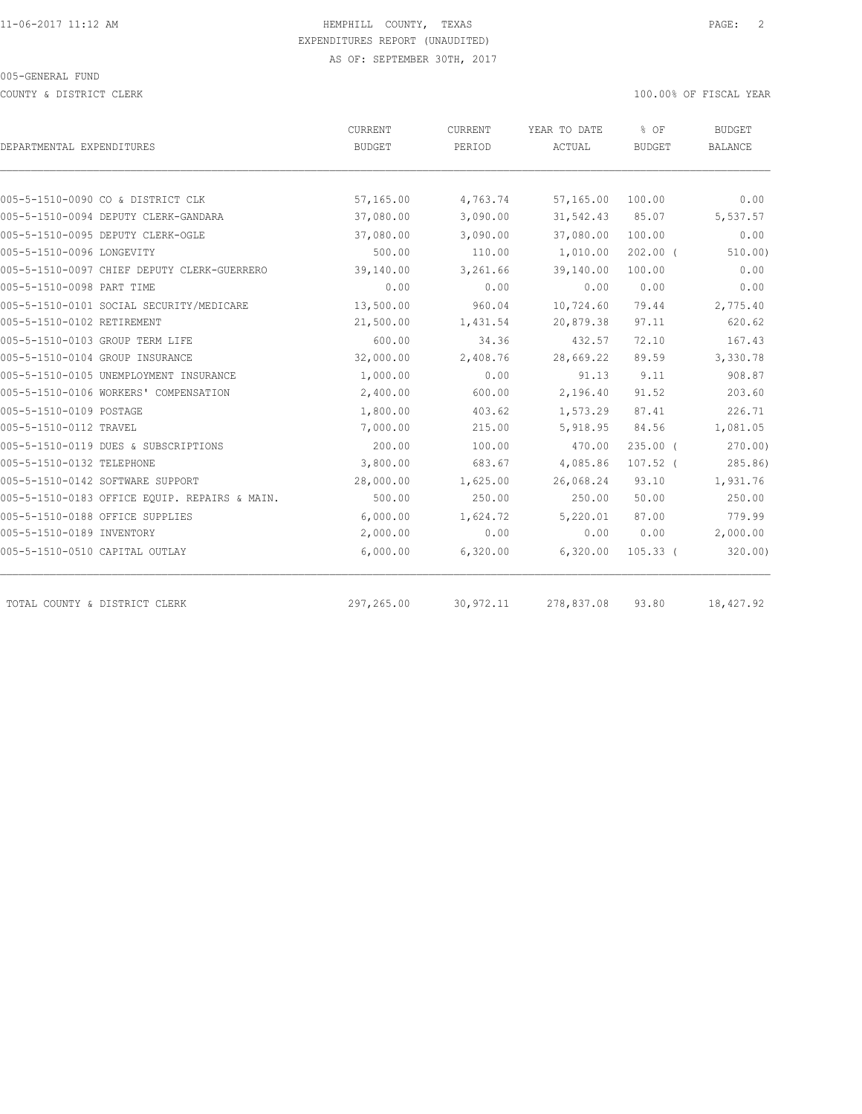COUNTY & DISTRICT CLERK 100.00% OF FISCAL YEAR

| <b>BUDGET</b> |                                                             | ACTUAL                                                  |                                                               |                                                  |
|---------------|-------------------------------------------------------------|---------------------------------------------------------|---------------------------------------------------------------|--------------------------------------------------|
|               | PERIOD                                                      |                                                         | <b>BUDGET</b>                                                 | BALANCE                                          |
|               |                                                             |                                                         |                                                               |                                                  |
|               |                                                             |                                                         |                                                               | 0.00                                             |
|               |                                                             |                                                         |                                                               | 5,537.57                                         |
|               |                                                             |                                                         |                                                               | 0.00                                             |
|               |                                                             |                                                         |                                                               | 510.00)                                          |
| 39,140.00     | 3,261.66                                                    | 39,140.00                                               | 100.00                                                        | 0.00                                             |
| 0.00          | 0.00                                                        | 0.00                                                    | 0.00                                                          | 0.00                                             |
| 13,500.00     | 960.04                                                      | 10,724.60                                               | 79.44                                                         | 2,775.40                                         |
| 21,500.00     | 1,431.54                                                    | 20,879.38                                               | 97.11                                                         | 620.62                                           |
| 600.00        | 34.36                                                       | 432.57                                                  | 72.10                                                         | 167.43                                           |
| 32,000.00     | 2,408.76                                                    | 28,669.22                                               | 89.59                                                         | 3,330.78                                         |
| 1,000.00      | 0.00                                                        | 91.13                                                   | 9.11                                                          | 908.87                                           |
| 2,400.00      | 600.00                                                      | 2,196.40                                                | 91.52                                                         | 203.60                                           |
| 1,800.00      | 403.62                                                      | 1,573.29                                                | 87.41                                                         | 226.71                                           |
| 7,000.00      | 215.00                                                      | 5,918.95                                                | 84.56                                                         | 1,081.05                                         |
| 200.00        | 100.00                                                      | 470.00                                                  | $235.00$ (                                                    | 270.00                                           |
| 3,800.00      | 683.67                                                      | 4,085.86                                                | $107.52$ (                                                    | 285.86)                                          |
| 28,000.00     | 1,625.00                                                    | 26,068.24                                               | 93.10                                                         | 1,931.76                                         |
| 500.00        | 250.00                                                      | 250.00                                                  | 50.00                                                         | 250.00                                           |
| 6,000.00      | 1,624.72                                                    | 5,220.01                                                | 87.00                                                         | 779.99                                           |
| 2,000.00      | 0.00                                                        | 0.00                                                    | 0.00                                                          | 2,000.00                                         |
| 6,000.00      | 6,320.00                                                    | 6,320.00                                                | $105.33$ (                                                    | 320.00                                           |
|               |                                                             |                                                         |                                                               | 18,427.92                                        |
|               | 57,165.00<br>37,080.00<br>37,080.00<br>500.00<br>297,265.00 | 4,763.74<br>3,090.00<br>3,090.00<br>110.00<br>30,972.11 | 57,165.00<br>31,542.43<br>37,080.00<br>1,010.00<br>278,837.08 | 100.00<br>85.07<br>100.00<br>$202.00$ (<br>93.80 |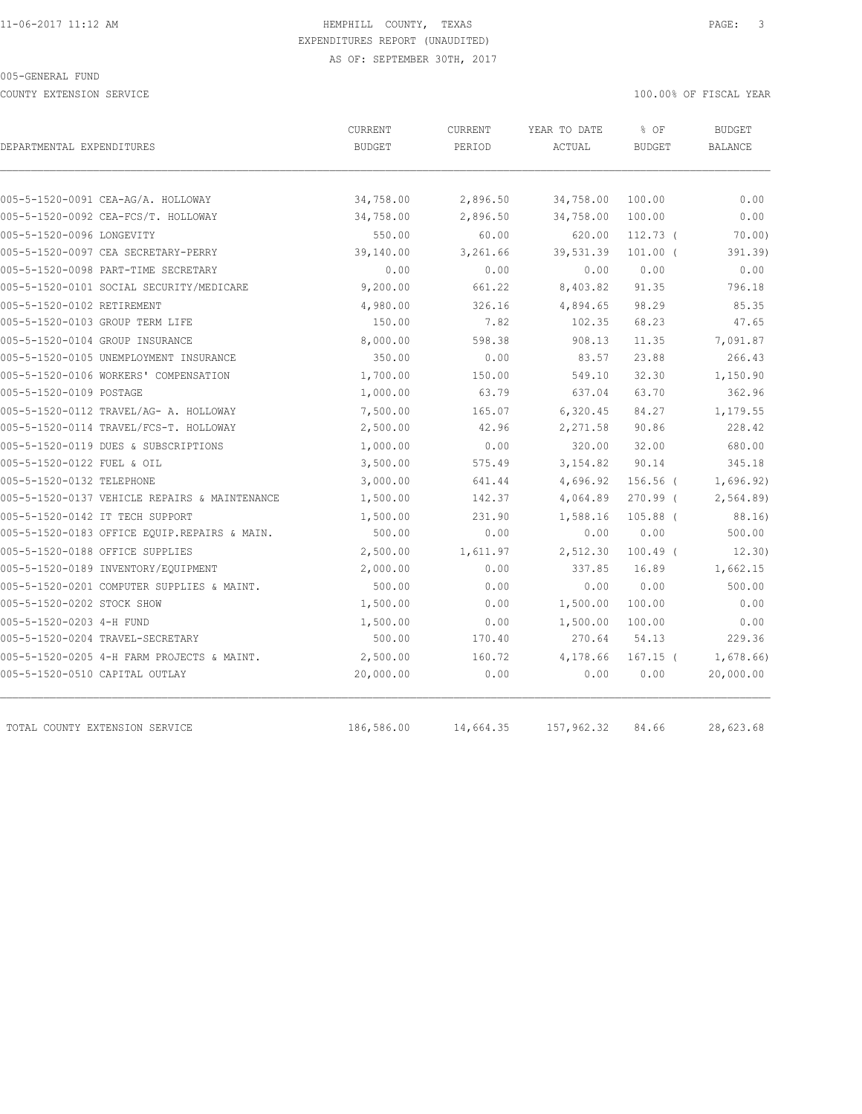COUNTY EXTENSION SERVICE 100.00% OF FISCAL YEAR

| DEPARTMENTAL EXPENDITURES                     | <b>CURRENT</b><br><b>BUDGET</b> | CURRENT<br>PERIOD | YEAR TO DATE<br>ACTUAL | % OF<br><b>BUDGET</b> | <b>BUDGET</b><br><b>BALANCE</b> |
|-----------------------------------------------|---------------------------------|-------------------|------------------------|-----------------------|---------------------------------|
|                                               |                                 |                   |                        |                       |                                 |
| 005-5-1520-0091 CEA-AG/A. HOLLOWAY            | 34,758.00                       | 2,896.50          | 34,758.00              | 100.00                | 0.00                            |
| 005-5-1520-0092 CEA-FCS/T. HOLLOWAY           | 34,758.00                       | 2,896.50          | 34,758.00              | 100.00                | 0.00                            |
| 005-5-1520-0096 LONGEVITY                     | 550.00                          | 60.00             | 620.00                 | $112.73$ (            | 70.00                           |
| 005-5-1520-0097 CEA SECRETARY-PERRY           | 39,140.00                       | 3,261.66          | 39,531.39              | $101.00$ (            | 391.39)                         |
| 005-5-1520-0098 PART-TIME SECRETARY           | 0.00                            | 0.00              | 0.00                   | 0.00                  | 0.00                            |
| 005-5-1520-0101 SOCIAL SECURITY/MEDICARE      | 9,200.00                        | 661.22            | 8,403.82               | 91.35                 | 796.18                          |
| 005-5-1520-0102 RETIREMENT                    | 4,980.00                        | 326.16            | 4,894.65               | 98.29                 | 85.35                           |
| 005-5-1520-0103 GROUP TERM LIFE               | 150.00                          | 7.82              | 102.35                 | 68.23                 | 47.65                           |
| 005-5-1520-0104 GROUP INSURANCE               | 8,000.00                        | 598.38            | 908.13                 | 11.35                 | 7,091.87                        |
| 005-5-1520-0105 UNEMPLOYMENT INSURANCE        | 350.00                          | 0.00              | 83.57                  | 23.88                 | 266.43                          |
| 005-5-1520-0106 WORKERS' COMPENSATION         | 1,700.00                        | 150.00            | 549.10                 | 32.30                 | 1,150.90                        |
| 005-5-1520-0109 POSTAGE                       | 1,000.00                        | 63.79             | 637.04                 | 63.70                 | 362.96                          |
| 005-5-1520-0112 TRAVEL/AG- A. HOLLOWAY        | 7,500.00                        | 165.07            | 6,320.45               | 84.27                 | 1,179.55                        |
| 005-5-1520-0114 TRAVEL/FCS-T. HOLLOWAY        | 2,500.00                        | 42.96             | 2,271.58               | 90.86                 | 228.42                          |
| 005-5-1520-0119 DUES & SUBSCRIPTIONS          | 1,000.00                        | 0.00              | 320.00                 | 32.00                 | 680.00                          |
| 005-5-1520-0122 FUEL & OIL                    | 3,500.00                        | 575.49            | 3, 154.82              | 90.14                 | 345.18                          |
| 005-5-1520-0132 TELEPHONE                     | 3,000.00                        | 641.44            | 4,696.92               | $156.56$ (            | 1,696.92)                       |
| 005-5-1520-0137 VEHICLE REPAIRS & MAINTENANCE | 1,500.00                        | 142.37            | 4,064.89               | $270.99$ (            | 2,564.89                        |
| 005-5-1520-0142 IT TECH SUPPORT               | 1,500.00                        | 231.90            | 1,588.16               | $105.88$ (            | 88.16)                          |
| 005-5-1520-0183 OFFICE EOUIP.REPAIRS & MAIN.  | 500.00                          | 0.00              | 0.00                   | 0.00                  | 500.00                          |
| 005-5-1520-0188 OFFICE SUPPLIES               | 2,500.00                        | 1,611.97          | 2,512.30               | $100.49$ (            | 12.30)                          |
| 005-5-1520-0189 INVENTORY/EQUIPMENT           | 2,000.00                        | 0.00              | 337.85                 | 16.89                 | 1,662.15                        |
| 005-5-1520-0201 COMPUTER SUPPLIES & MAINT.    | 500.00                          | 0.00              | 0.00                   | 0.00                  | 500.00                          |
| 005-5-1520-0202 STOCK SHOW                    | 1,500.00                        | 0.00              | 1,500.00               | 100.00                | 0.00                            |
| 005-5-1520-0203 4-H FUND                      | 1,500.00                        | 0.00              | 1,500.00               | 100.00                | 0.00                            |
| 005-5-1520-0204 TRAVEL-SECRETARY              | 500.00                          | 170.40            | 270.64                 | 54.13                 | 229.36                          |
| 005-5-1520-0205 4-H FARM PROJECTS & MAINT.    | 2,500.00                        | 160.72            | 4,178.66               | $167.15$ (            | 1,678.66)                       |
| 005-5-1520-0510 CAPITAL OUTLAY                | 20,000.00                       | 0.00              | 0.00                   | 0.00                  | 20,000.00                       |
| TOTAL COUNTY EXTENSION SERVICE                | 186,586.00                      | 14,664.35         | 157,962.32             | 84.66                 | 28,623.68                       |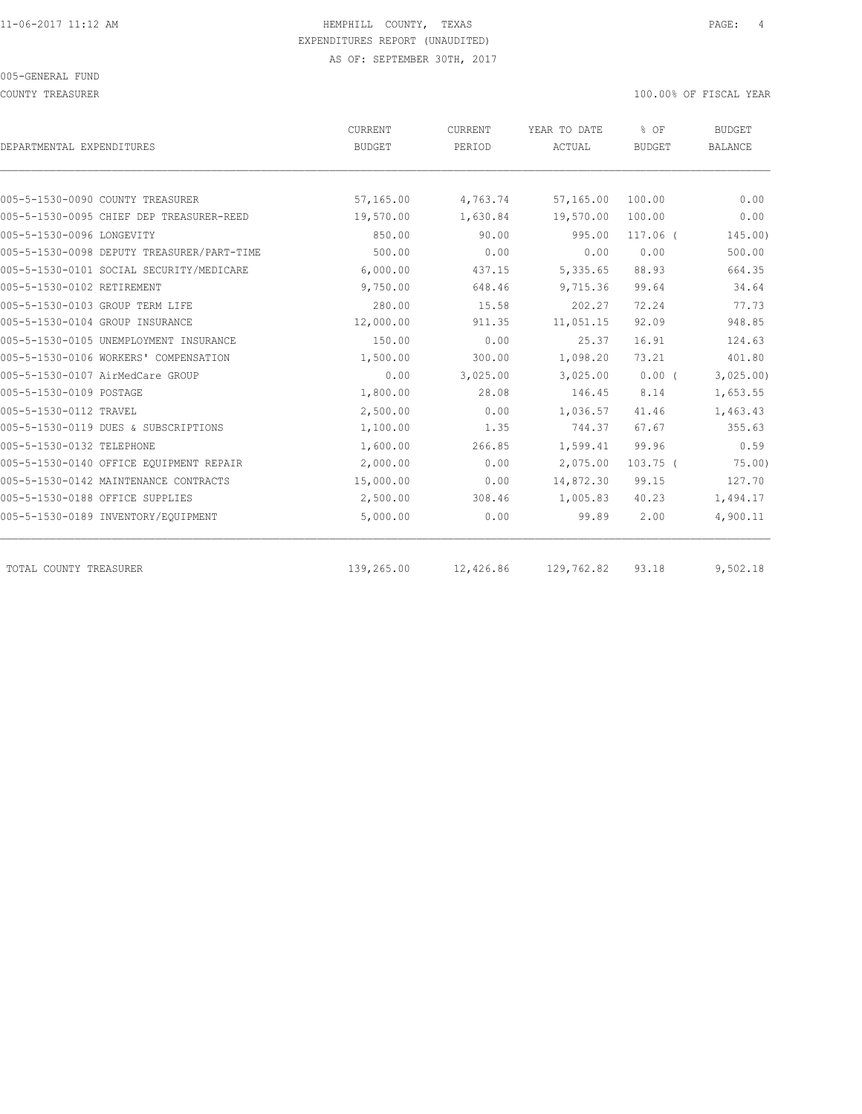COUNTY TREASURER 100.00% OF FISCAL YEAR

| DEPARTMENTAL EXPENDITURES                  | CURRENT<br><b>BUDGET</b> | CURRENT<br>PERIOD | YEAR TO DATE<br>ACTUAL | % OF<br><b>BUDGET</b> | <b>BUDGET</b><br><b>BALANCE</b> |
|--------------------------------------------|--------------------------|-------------------|------------------------|-----------------------|---------------------------------|
|                                            |                          |                   |                        |                       |                                 |
| 005-5-1530-0090 COUNTY TREASURER           | 57,165.00                | 4,763.74          | 57,165.00              | 100.00                | 0.00                            |
| 005-5-1530-0095 CHIEF DEP TREASURER-REED   | 19,570.00                | 1,630.84          | 19,570.00              | 100.00                | 0.00                            |
| 005-5-1530-0096 LONGEVITY                  | 850.00                   | 90.00             | 995.00                 | $117.06$ (            | 145.00                          |
| 005-5-1530-0098 DEPUTY TREASURER/PART-TIME | 500.00                   | 0.00              | 0.00                   | 0.00                  | 500.00                          |
| 005-5-1530-0101 SOCIAL SECURITY/MEDICARE   | 6,000.00                 | 437.15            | 5,335.65               | 88.93                 | 664.35                          |
| 005-5-1530-0102 RETIREMENT                 | 9,750.00                 | 648.46            | 9,715.36               | 99.64                 | 34.64                           |
| 005-5-1530-0103 GROUP TERM LIFE            | 280.00                   | 15.58             | 202.27                 | 72.24                 | 77.73                           |
| 005-5-1530-0104 GROUP INSURANCE            | 12,000.00                | 911.35            | 11,051.15              | 92.09                 | 948.85                          |
| 005-5-1530-0105 UNEMPLOYMENT INSURANCE     | 150.00                   | 0.00              | 25.37                  | 16.91                 | 124.63                          |
| 005-5-1530-0106 WORKERS' COMPENSATION      | 1,500.00                 | 300.00            | 1,098.20               | 73.21                 | 401.80                          |
| 005-5-1530-0107 AirMedCare GROUP           | 0.00                     | 3,025.00          | 3,025.00               | $0.00$ (              | 3,025.00                        |
| 005-5-1530-0109 POSTAGE                    | 1,800.00                 | 28.08             | 146.45                 | 8.14                  | 1,653.55                        |
| 005-5-1530-0112 TRAVEL                     | 2,500.00                 | 0.00              | 1,036.57               | 41.46                 | 1,463.43                        |
| 005-5-1530-0119 DUES & SUBSCRIPTIONS       | 1,100.00                 | 1.35              | 744.37                 | 67.67                 | 355.63                          |
| 005-5-1530-0132 TELEPHONE                  | 1,600.00                 | 266.85            | 1,599.41               | 99.96                 | 0.59                            |
| 005-5-1530-0140 OFFICE EQUIPMENT REPAIR    | 2,000.00                 | 0.00              | 2,075.00               | $103.75$ (            | 75.00                           |
| 005-5-1530-0142 MAINTENANCE CONTRACTS      | 15,000.00                | 0.00              | 14,872.30              | 99.15                 | 127.70                          |
| 005-5-1530-0188 OFFICE SUPPLIES            | 2,500.00                 | 308.46            | 1,005.83               | 40.23                 | 1,494.17                        |
| 005-5-1530-0189 INVENTORY/EQUIPMENT        | 5,000.00                 | 0.00              | 99.89                  | 2.00                  | 4,900.11                        |
| TOTAL COUNTY TREASURER                     | 139,265.00               | 12,426.86         | 129,762.82             | 93.18                 | 9,502.18                        |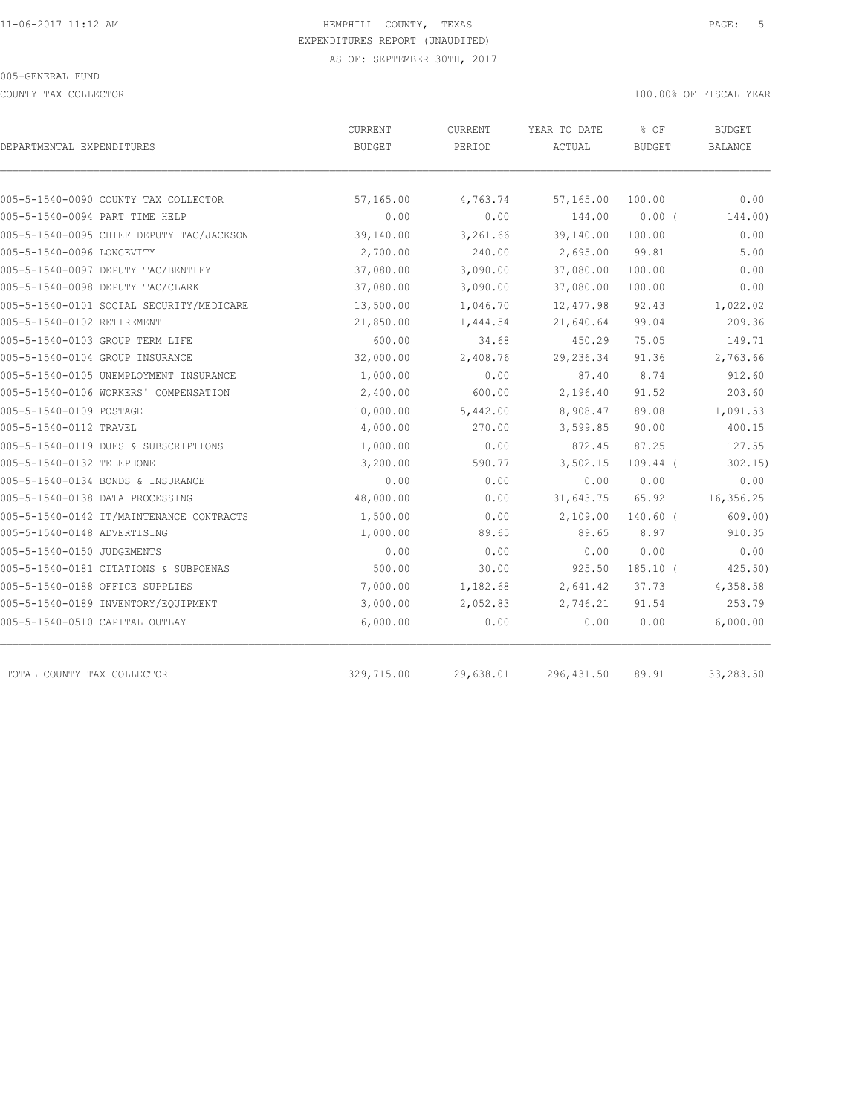COUNTY TAX COLLECTOR **EXECUTE A** SECOND THE SECOND THAT A SECOND THAT A SECOND THAT A SECOND THAT A SECOND THAT A SECOND THAT A SECOND THAT A SECOND THAT A SECOND THAT A SECOND THAT A SECOND THAT A SECOND THAT A SECOND THA

| DEPARTMENTAL EXPENDITURES                | CURRENT<br><b>BUDGET</b> | <b>CURRENT</b><br>PERIOD | YEAR TO DATE<br>ACTUAL | % OF<br><b>BUDGET</b> | <b>BUDGET</b><br><b>BALANCE</b> |
|------------------------------------------|--------------------------|--------------------------|------------------------|-----------------------|---------------------------------|
|                                          |                          |                          |                        |                       |                                 |
| 005-5-1540-0090 COUNTY TAX COLLECTOR     | 57,165.00                | 4,763.74                 | 57,165.00              | 100.00                | 0.00                            |
| 005-5-1540-0094 PART TIME HELP           | 0.00                     | 0.00                     | 144.00                 | 0.00(                 | 144.00)                         |
| 005-5-1540-0095 CHIEF DEPUTY TAC/JACKSON | 39,140.00                | 3,261.66                 | 39,140.00              | 100.00                | 0.00                            |
| 005-5-1540-0096 LONGEVITY                | 2,700.00                 | 240.00                   | 2,695.00               | 99.81                 | 5.00                            |
| 005-5-1540-0097 DEPUTY TAC/BENTLEY       | 37,080.00                | 3,090.00                 | 37,080.00              | 100.00                | 0.00                            |
| 005-5-1540-0098 DEPUTY TAC/CLARK         | 37,080.00                | 3,090.00                 | 37,080.00              | 100.00                | 0.00                            |
| 005-5-1540-0101 SOCIAL SECURITY/MEDICARE | 13,500.00                | 1,046.70                 | 12,477.98              | 92.43                 | 1,022.02                        |
| 005-5-1540-0102 RETIREMENT               | 21,850.00                | 1,444.54                 | 21,640.64              | 99.04                 | 209.36                          |
| 005-5-1540-0103 GROUP TERM LIFE          | 600.00                   | 34.68                    | 450.29                 | 75.05                 | 149.71                          |
| 005-5-1540-0104 GROUP INSURANCE          | 32,000.00                | 2,408.76                 | 29,236.34              | 91.36                 | 2,763.66                        |
| 005-5-1540-0105 UNEMPLOYMENT INSURANCE   | 1,000.00                 | 0.00                     | 87.40                  | 8.74                  | 912.60                          |
| 005-5-1540-0106 WORKERS' COMPENSATION    | 2,400.00                 | 600.00                   | 2,196.40               | 91.52                 | 203.60                          |
| 005-5-1540-0109 POSTAGE                  | 10,000.00                | 5,442.00                 | 8,908.47               | 89.08                 | 1,091.53                        |
| 005-5-1540-0112 TRAVEL                   | 4,000.00                 | 270.00                   | 3,599.85               | 90.00                 | 400.15                          |
| 005-5-1540-0119 DUES & SUBSCRIPTIONS     | 1,000.00                 | 0.00                     | 872.45                 | 87.25                 | 127.55                          |
| 005-5-1540-0132 TELEPHONE                | 3,200.00                 | 590.77                   | 3,502.15               | $109.44$ (            | 302.15                          |
| 005-5-1540-0134 BONDS & INSURANCE        | 0.00                     | 0.00                     | 0.00                   | 0.00                  | 0.00                            |
| 005-5-1540-0138 DATA PROCESSING          | 48,000.00                | 0.00                     | 31,643.75              | 65.92                 | 16,356.25                       |
| 005-5-1540-0142 IT/MAINTENANCE CONTRACTS | 1,500.00                 | 0.00                     | 2,109.00               | $140.60$ (            | 609.00                          |
| 005-5-1540-0148 ADVERTISING              | 1,000.00                 | 89.65                    | 89.65                  | 8.97                  | 910.35                          |
| 005-5-1540-0150 JUDGEMENTS               | 0.00                     | 0.00                     | 0.00                   | 0.00                  | 0.00                            |
| 005-5-1540-0181 CITATIONS & SUBPOENAS    | 500.00                   | 30.00                    | 925.50                 | $185.10$ (            | 425.50                          |
| 005-5-1540-0188 OFFICE SUPPLIES          | 7,000.00                 | 1,182.68                 | 2,641.42               | 37.73                 | 4,358.58                        |
| 005-5-1540-0189 INVENTORY/EQUIPMENT      | 3,000.00                 | 2,052.83                 | 2,746.21               | 91.54                 | 253.79                          |
| 005-5-1540-0510 CAPITAL OUTLAY           | 6,000.00                 | 0.00                     | 0.00                   | 0.00                  | 6,000.00                        |
| TOTAL COUNTY TAX COLLECTOR               | 329,715.00               | 29,638.01                | 296,431.50             | 89.91                 | 33,283.50                       |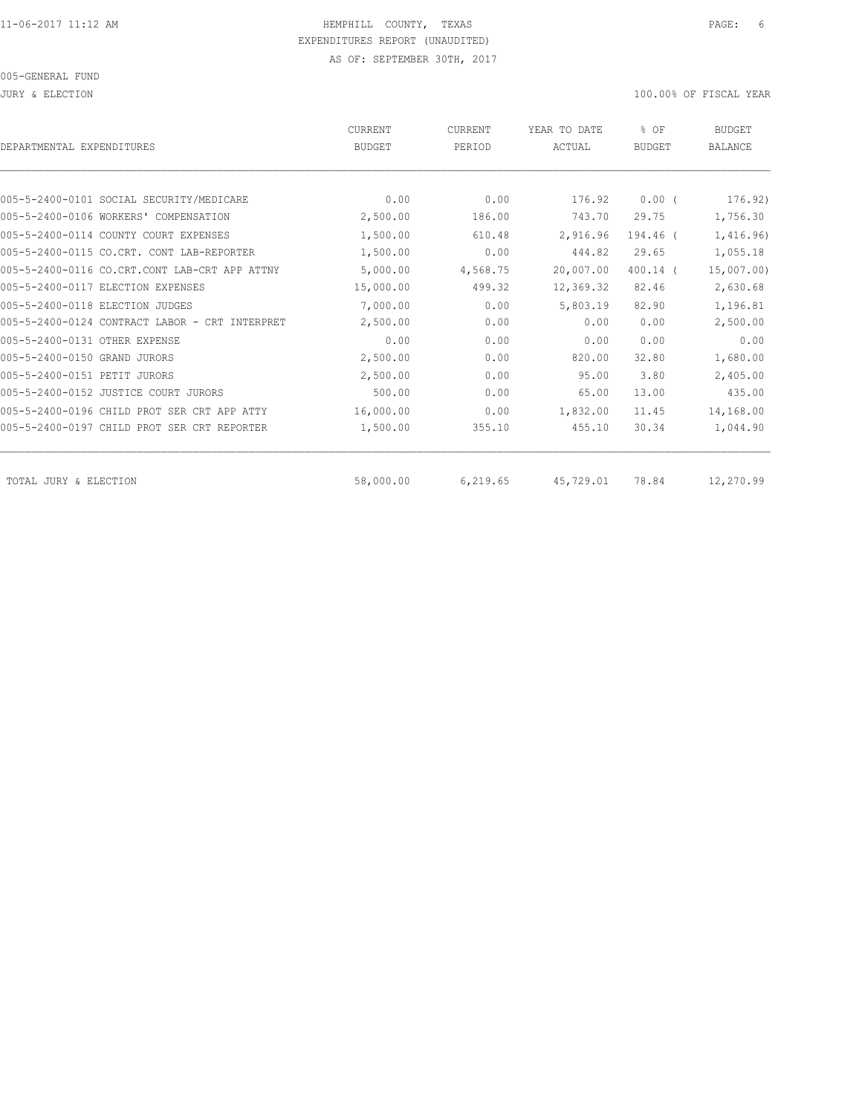| DEPARTMENTAL EXPENDITURES                      | <b>CURRENT</b><br><b>BUDGET</b> | <b>CURRENT</b><br>PERIOD | YEAR TO DATE<br>ACTUAL | % OF<br><b>BUDGET</b> | <b>BUDGET</b><br><b>BALANCE</b> |
|------------------------------------------------|---------------------------------|--------------------------|------------------------|-----------------------|---------------------------------|
|                                                |                                 |                          |                        |                       |                                 |
| 005-5-2400-0101 SOCIAL SECURITY/MEDICARE       | 0.00                            | 0.00                     | 176.92                 | $0.00$ (              | 176.92)                         |
| 005-5-2400-0106 WORKERS' COMPENSATION          | 2,500.00                        | 186.00                   | 743.70                 | 29.75                 | 1,756.30                        |
| 005-5-2400-0114 COUNTY COURT EXPENSES          | 1,500.00                        | 610.48                   | 2,916.96               | 194.46 (              | 1,416.96)                       |
| 005-5-2400-0115 CO.CRT. CONT LAB-REPORTER      | 1,500.00                        | 0.00                     | 444.82                 | 29.65                 | 1,055.18                        |
| 005-5-2400-0116 CO.CRT.CONT LAB-CRT APP ATTNY  | 5,000.00                        | 4,568.75                 | 20,007.00              | $400.14$ (            | 15,007.00                       |
| 005-5-2400-0117 ELECTION EXPENSES              | 15,000.00                       | 499.32                   | 12,369.32              | 82.46                 | 2,630.68                        |
| 005-5-2400-0118 ELECTION JUDGES                | 7,000.00                        | 0.00                     | 5,803.19               | 82.90                 | 1,196.81                        |
| 005-5-2400-0124 CONTRACT LABOR - CRT INTERPRET | 2,500.00                        | 0.00                     | 0.00                   | 0.00                  | 2,500.00                        |
| 005-5-2400-0131 OTHER EXPENSE                  | 0.00                            | 0.00                     | 0.00                   | 0.00                  | 0.00                            |
| 005-5-2400-0150 GRAND JURORS                   | 2,500.00                        | 0.00                     | 820.00                 | 32.80                 | 1,680.00                        |
| 005-5-2400-0151 PETIT JURORS                   | 2,500.00                        | 0.00                     | 95.00                  | 3.80                  | 2,405.00                        |
| 005-5-2400-0152 JUSTICE COURT JURORS           | 500.00                          | 0.00                     | 65.00                  | 13.00                 | 435.00                          |
| 005-5-2400-0196 CHILD PROT SER CRT APP ATTY    | 16,000.00                       | 0.00                     | 1,832.00               | 11.45                 | 14,168.00                       |
| 005-5-2400-0197 CHILD PROT SER CRT REPORTER    | 1,500.00                        | 355.10                   | 455.10                 | 30.34                 | 1,044.90                        |
| TOTAL JURY & ELECTION                          | 58,000.00                       | 6,219.65                 | 45,729.01              | 78.84                 | 12,270.99                       |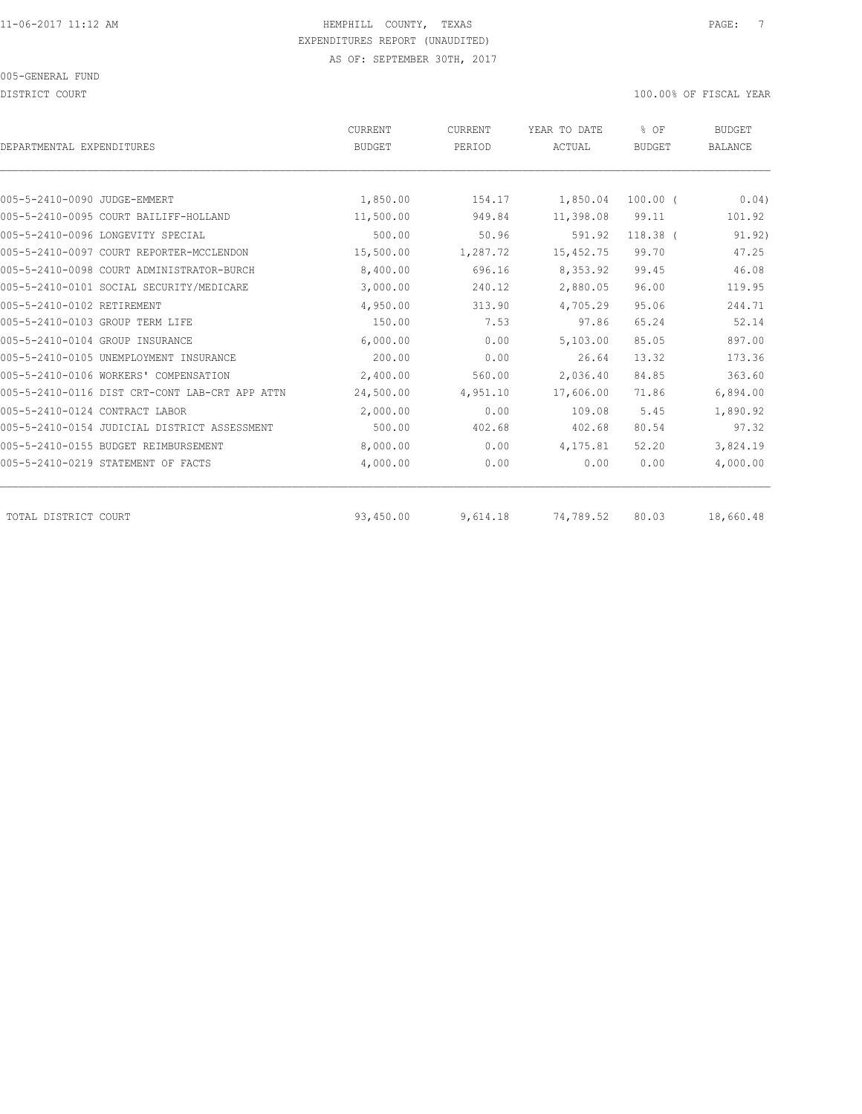DISTRICT COURT COURT COURT COURT COURT COURT COURT COURT COURT COURT COURT COURT COURT COURT COURT COURT COURT

| DEPARTMENTAL EXPENDITURES                    |                                                | CURRENT<br><b>BUDGET</b> | CURRENT<br>PERIOD | YEAR TO DATE<br>ACTUAL | % OF<br><b>BUDGET</b> | BUDGET<br><b>BALANCE</b> |
|----------------------------------------------|------------------------------------------------|--------------------------|-------------------|------------------------|-----------------------|--------------------------|
|                                              |                                                |                          |                   |                        |                       |                          |
| 005-5-2410-0090 JUDGE-EMMERT                 |                                                | 1,850.00                 | 154.17            | 1,850.04               | $100.00$ $($          | 0.04)                    |
| 005-5-2410-0095 COURT BAILIFF-HOLLAND        |                                                | 11,500.00                | 949.84            | 11,398.08              | 99.11                 | 101.92                   |
| 005-5-2410-0096 LONGEVITY SPECIAL            |                                                | 500.00                   | 50.96             | 591.92                 | $118.38$ (            | 91.92)                   |
| 005-5-2410-0097 COURT REPORTER-MCCLENDON     |                                                | 15,500.00                | 1,287.72          | 15, 452.75             | 99.70                 | 47.25                    |
| 005-5-2410-0098 COURT ADMINISTRATOR-BURCH    |                                                | 8,400.00                 | 696.16            | 8,353.92               | 99.45                 | 46.08                    |
| 005-5-2410-0101 SOCIAL SECURITY/MEDICARE     |                                                | 3,000.00                 | 240.12            | 2,880.05               | 96.00                 | 119.95                   |
| 005-5-2410-0102 RETIREMENT                   |                                                | 4,950.00                 | 313.90            | 4,705.29               | 95.06                 | 244.71                   |
| 005-5-2410-0103 GROUP TERM LIFE              |                                                | 150.00                   | 7.53              | 97.86                  | 65.24                 | 52.14                    |
| 005-5-2410-0104 GROUP INSURANCE              |                                                | 6,000.00                 | 0.00              | 5,103.00               | 85.05                 | 897.00                   |
| 005-5-2410-0105 UNEMPLOYMENT INSURANCE       |                                                | 200.00                   | 0.00              | 26.64                  | 13.32                 | 173.36                   |
| 005-5-2410-0106 WORKERS' COMPENSATION        |                                                | 2,400.00                 | 560.00            | 2,036.40               | 84.85                 | 363.60                   |
|                                              | 005-5-2410-0116 DIST CRT-CONT LAB-CRT APP ATTN | 24,500.00                | 4,951.10          | 17,606.00              | 71.86                 | 6,894.00                 |
| 005-5-2410-0124 CONTRACT LABOR               |                                                | 2,000.00                 | 0.00              | 109.08                 | 5.45                  | 1,890.92                 |
| 005-5-2410-0154 JUDICIAL DISTRICT ASSESSMENT |                                                | 500.00                   | 402.68            | 402.68                 | 80.54                 | 97.32                    |
| 005-5-2410-0155 BUDGET REIMBURSEMENT         |                                                | 8,000.00                 | 0.00              | 4,175.81               | 52.20                 | 3,824.19                 |
| 005-5-2410-0219 STATEMENT OF FACTS           |                                                | 4,000.00                 | 0.00              | 0.00                   | 0.00                  | 4,000.00                 |
| TOTAL DISTRICT COURT                         |                                                | 93,450.00                | 9,614.18          | 74,789.52              | 80.03                 | 18,660.48                |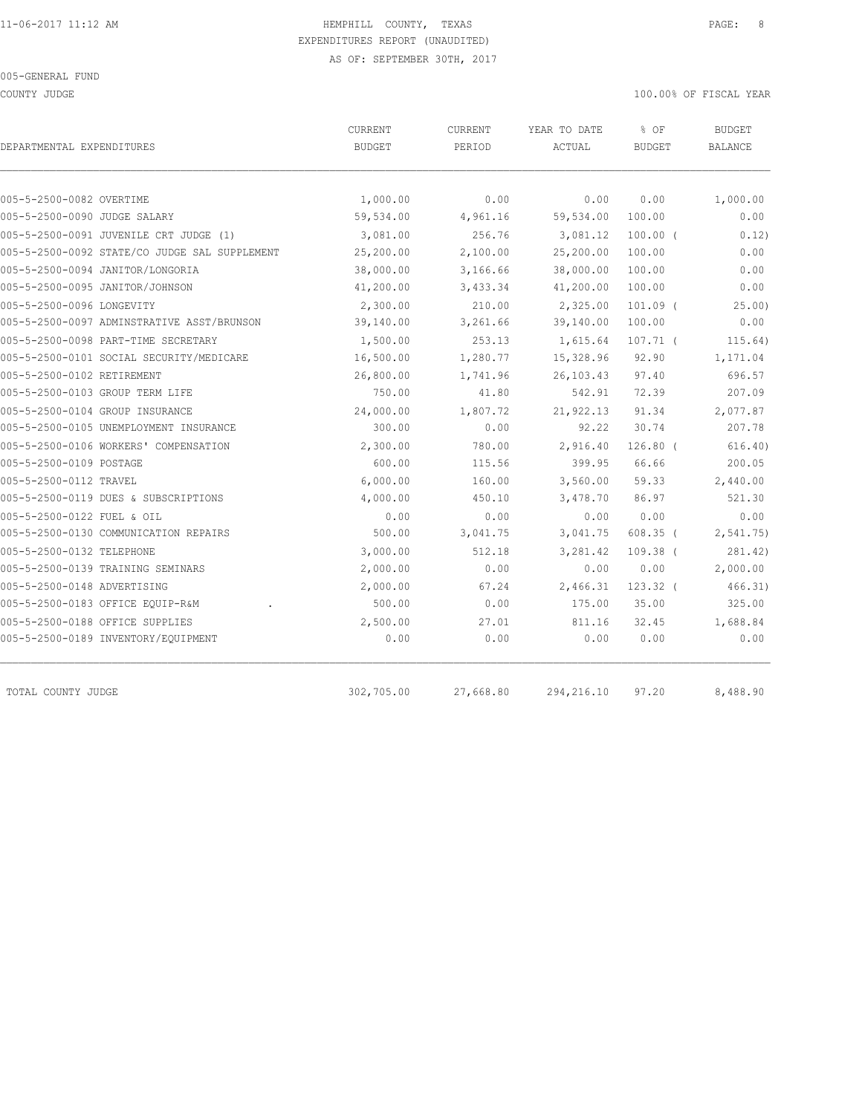COUNTY JUDGE 100.00% OF FISCAL YEAR

| DEPARTMENTAL EXPENDITURES                     | CURRENT<br><b>BUDGET</b> | CURRENT<br>PERIOD | YEAR TO DATE<br>ACTUAL | % OF<br><b>BUDGET</b> | <b>BUDGET</b><br>BALANCE |  |
|-----------------------------------------------|--------------------------|-------------------|------------------------|-----------------------|--------------------------|--|
|                                               |                          |                   |                        |                       |                          |  |
| 005-5-2500-0082 OVERTIME                      | 1,000.00                 | 0.00              | 0.00                   | 0.00                  | 1,000.00                 |  |
| 005-5-2500-0090 JUDGE SALARY                  | 59,534.00                | 4,961.16          | 59,534.00              | 100.00                | 0.00                     |  |
| 005-5-2500-0091 JUVENILE CRT JUDGE (1)        | 3,081.00                 | 256.76            | 3,081.12               | $100.00$ (            | 0.12)                    |  |
| 005-5-2500-0092 STATE/CO JUDGE SAL SUPPLEMENT | 25,200.00                | 2,100.00          | 25,200.00              | 100.00                | 0.00                     |  |
| 005-5-2500-0094 JANITOR/LONGORIA              | 38,000.00                | 3,166.66          | 38,000.00              | 100.00                | 0.00                     |  |
| 005-5-2500-0095 JANITOR/JOHNSON               | 41,200.00                | 3,433.34          | 41,200.00              | 100.00                | 0.00                     |  |
| 005-5-2500-0096 LONGEVITY                     | 2,300.00                 | 210.00            | 2,325.00               | $101.09$ (            | 25.00                    |  |
| 005-5-2500-0097 ADMINSTRATIVE ASST/BRUNSON    | 39,140.00                | 3,261.66          | 39,140.00              | 100.00                | 0.00                     |  |
| 005-5-2500-0098 PART-TIME SECRETARY           | 1,500.00                 | 253.13            | 1,615.64               | $107.71$ (            | 115.64)                  |  |
| 005-5-2500-0101 SOCIAL SECURITY/MEDICARE      | 16,500.00                | 1,280.77          | 15,328.96              | 92.90                 | 1,171.04                 |  |
| 005-5-2500-0102 RETIREMENT                    | 26,800.00                | 1,741.96          | 26, 103.43             | 97.40                 | 696.57                   |  |
| 005-5-2500-0103 GROUP TERM LIFE               | 750.00                   | 41.80             | 542.91                 | 72.39                 | 207.09                   |  |
| 005-5-2500-0104 GROUP INSURANCE               | 24,000.00                | 1,807.72          | 21,922.13              | 91.34                 | 2,077.87                 |  |
| 005-5-2500-0105 UNEMPLOYMENT INSURANCE        | 300.00                   | 0.00              | 92.22                  | 30.74                 | 207.78                   |  |
| 005-5-2500-0106 WORKERS' COMPENSATION         | 2,300.00                 | 780.00            | 2,916.40               | $126.80$ (            | 616.40)                  |  |
| 005-5-2500-0109 POSTAGE                       | 600.00                   | 115.56            | 399.95                 | 66.66                 | 200.05                   |  |
| 005-5-2500-0112 TRAVEL                        | 6,000.00                 | 160.00            | 3,560.00               | 59.33                 | 2,440.00                 |  |
| 005-5-2500-0119 DUES & SUBSCRIPTIONS          | 4,000.00                 | 450.10            | 3,478.70               | 86.97                 | 521.30                   |  |
| 005-5-2500-0122 FUEL & OIL                    | 0.00                     | 0.00              | 0.00                   | 0.00                  | 0.00                     |  |
| 005-5-2500-0130 COMMUNICATION REPAIRS         | 500.00                   | 3,041.75          | 3,041.75               | $608.35$ (            | 2, 541.75                |  |
| 005-5-2500-0132 TELEPHONE                     | 3,000.00                 | 512.18            | 3,281.42               | $109.38$ (            | 281.42)                  |  |
| 005-5-2500-0139 TRAINING SEMINARS             | 2,000.00                 | 0.00              | 0.00                   | 0.00                  | 2,000.00                 |  |
| 005-5-2500-0148 ADVERTISING                   | 2,000.00                 | 67.24             | 2,466.31               | $123.32$ (            | 466.31)                  |  |
| 005-5-2500-0183 OFFICE EQUIP-R&M              | 500.00                   | 0.00              | 175.00                 | 35.00                 | 325.00                   |  |
| 005-5-2500-0188 OFFICE SUPPLIES               | 2,500.00                 | 27.01             | 811.16                 | 32.45                 | 1,688.84                 |  |
| 005-5-2500-0189 INVENTORY/EQUIPMENT           | 0.00                     | 0.00              | 0.00                   | 0.00                  | 0.00                     |  |
| TOTAL COUNTY JUDGE                            | 302,705.00               | 27,668.80         | 294, 216.10            | 97.20                 | 8,488.90                 |  |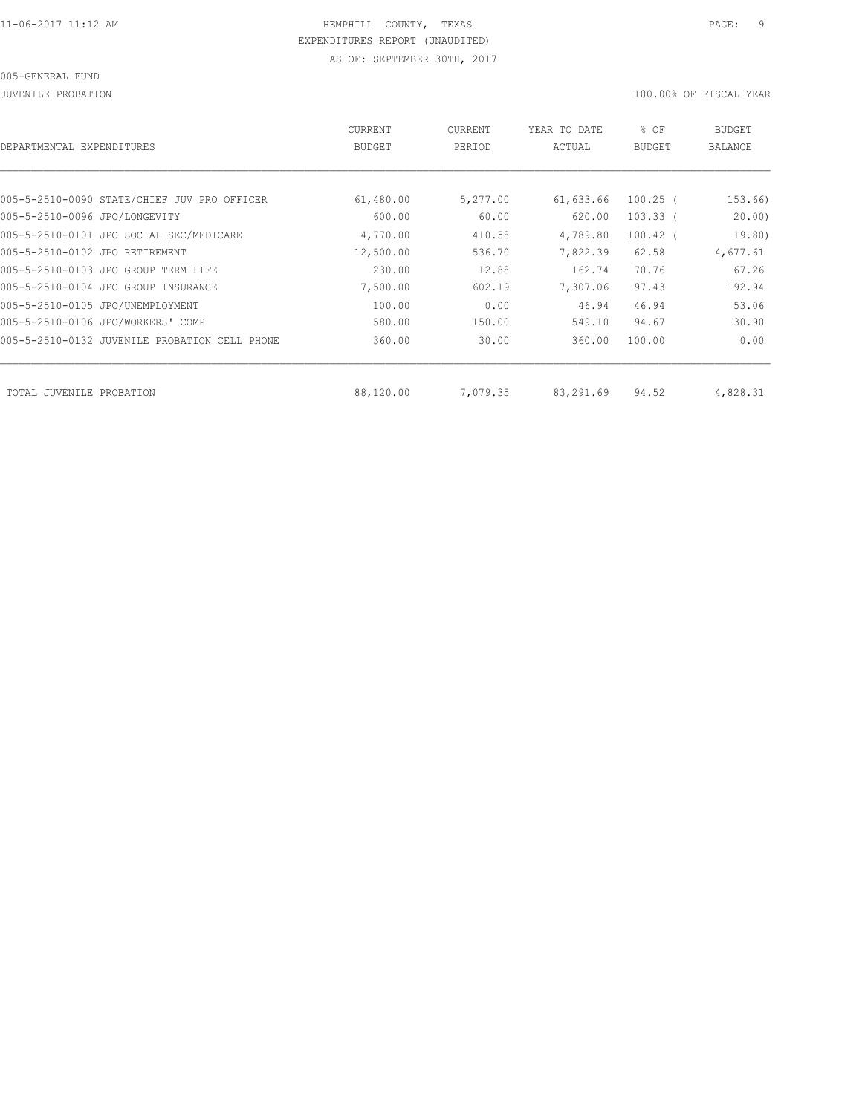JUVENILE PROBATION 100.00% OF FISCAL YEAR

| DEPARTMENTAL EXPENDITURES                     | <b>CURRENT</b><br><b>BUDGET</b> | CURRENT<br>PERIOD | YEAR TO DATE<br>ACTUAL | % OF<br><b>BUDGET</b> | BUDGET<br>BALANCE |
|-----------------------------------------------|---------------------------------|-------------------|------------------------|-----------------------|-------------------|
|                                               |                                 |                   |                        |                       |                   |
| 005-5-2510-0090 STATE/CHIEF JUV PRO OFFICER   | 61,480.00                       | 5,277.00          | 61,633.66              | $100.25$ (            | 153.66)           |
| 005-5-2510-0096 JPO/LONGEVITY                 | 600.00                          | 60.00             | 620.00                 | $103.33$ (            | 20.00             |
| 005-5-2510-0101 JPO SOCIAL SEC/MEDICARE       | 4,770.00                        | 410.58            | 4,789.80               | $100.42$ (            | 19.80)            |
| 005-5-2510-0102 JPO RETIREMENT                | 12,500.00                       | 536.70            | 7,822.39               | 62.58                 | 4,677.61          |
| 005-5-2510-0103 JPO GROUP TERM LIFE           | 230.00                          | 12.88             | 162.74                 | 70.76                 | 67.26             |
| 005-5-2510-0104 JPO GROUP INSURANCE           | 7,500.00                        | 602.19            | 7,307.06               | 97.43                 | 192.94            |
| 005-5-2510-0105 JPO/UNEMPLOYMENT              | 100.00                          | 0.00              | 46.94                  | 46.94                 | 53.06             |
| 005-5-2510-0106 JPO/WORKERS' COMP             | 580.00                          | 150.00            | 549.10                 | 94.67                 | 30.90             |
| 005-5-2510-0132 JUVENILE PROBATION CELL PHONE | 360.00                          | 30.00             | 360.00                 | 100.00                | 0.00              |
|                                               |                                 |                   |                        |                       |                   |
| TOTAL JUVENILE<br>PROBATION                   | 88,120.00                       | 7,079.35          | 83,291.69              | 94.52                 | 4,828.31          |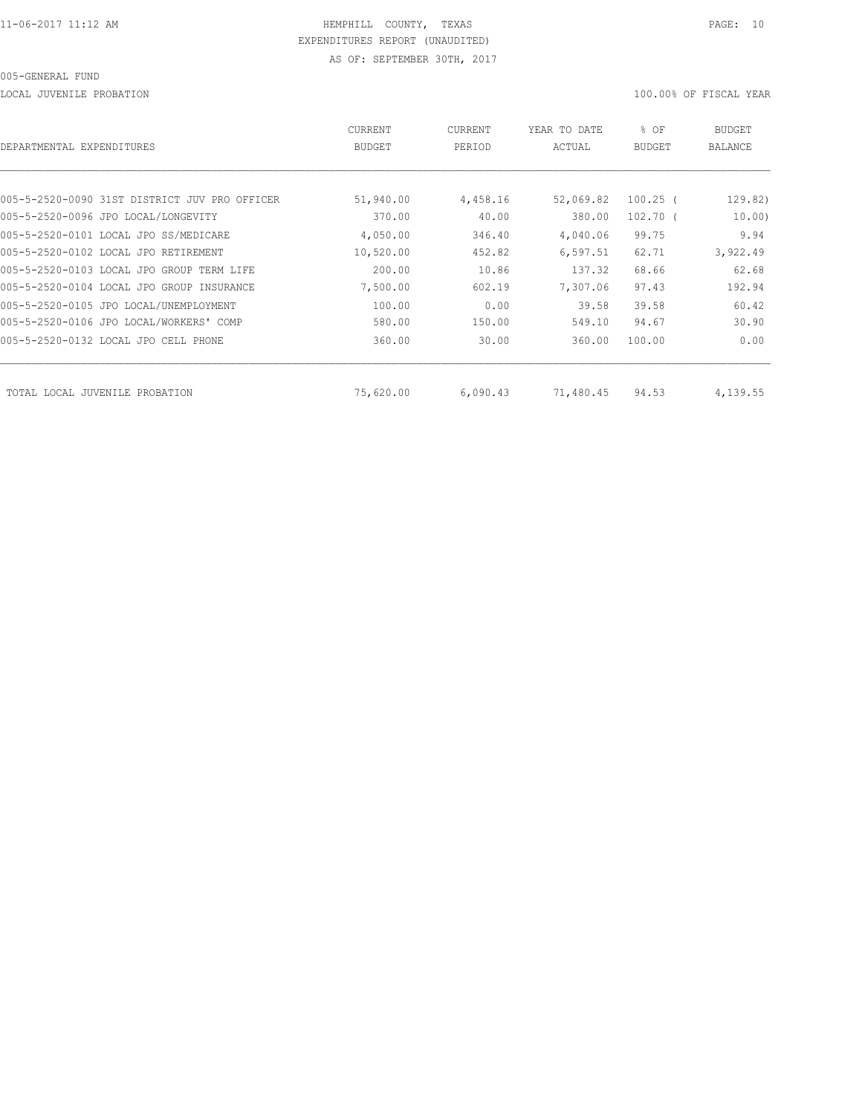LOCAL JUVENILE PROBATION 100.00% OF FISCAL YEAR

| DEPARTMENTAL EXPENDITURES                     | <b>CURRENT</b><br><b>BUDGET</b> | CURRENT<br>PERIOD | YEAR TO DATE<br>ACTUAL | % OF<br><b>BUDGET</b> | <b>BUDGET</b><br>BALANCE |
|-----------------------------------------------|---------------------------------|-------------------|------------------------|-----------------------|--------------------------|
|                                               |                                 |                   |                        |                       |                          |
| 005-5-2520-0090 31ST DISTRICT JUV PRO OFFICER | 51,940.00                       | 4,458.16          | 52,069.82              | $100.25$ (            | 129.82)                  |
| 005-5-2520-0096 JPO LOCAL/LONGEVITY           | 370.00                          | 40.00             | 380.00                 | $102.70$ (            | 10.00                    |
| 005-5-2520-0101 LOCAL JPO SS/MEDICARE         | 4,050.00                        | 346.40            | 4,040.06               | 99.75                 | 9.94                     |
| 005-5-2520-0102 LOCAL JPO RETIREMENT          | 10,520.00                       | 452.82            | 6,597.51               | 62.71                 | 3,922.49                 |
| 005-5-2520-0103 LOCAL JPO GROUP TERM LIFE     | 200.00                          | 10.86             | 137.32                 | 68.66                 | 62.68                    |
| 005-5-2520-0104 LOCAL JPO GROUP INSURANCE     | 7,500.00                        | 602.19            | 7,307.06               | 97.43                 | 192.94                   |
| 005-5-2520-0105 JPO LOCAL/UNEMPLOYMENT        | 100.00                          | 0.00              | 39.58                  | 39.58                 | 60.42                    |
| 005-5-2520-0106 JPO LOCAL/WORKERS' COMP       | 580.00                          | 150.00            | 549.10                 | 94.67                 | 30.90                    |
| 005-5-2520-0132 LOCAL JPO CELL PHONE          | 360.00                          | 30.00             | 360.00                 | 100.00                | 0.00                     |
| TOTAL LOCAL JUVENILE PROBATION                | 75,620.00                       | 6,090.43          | 71,480.45              | 94.53                 | 4,139.55                 |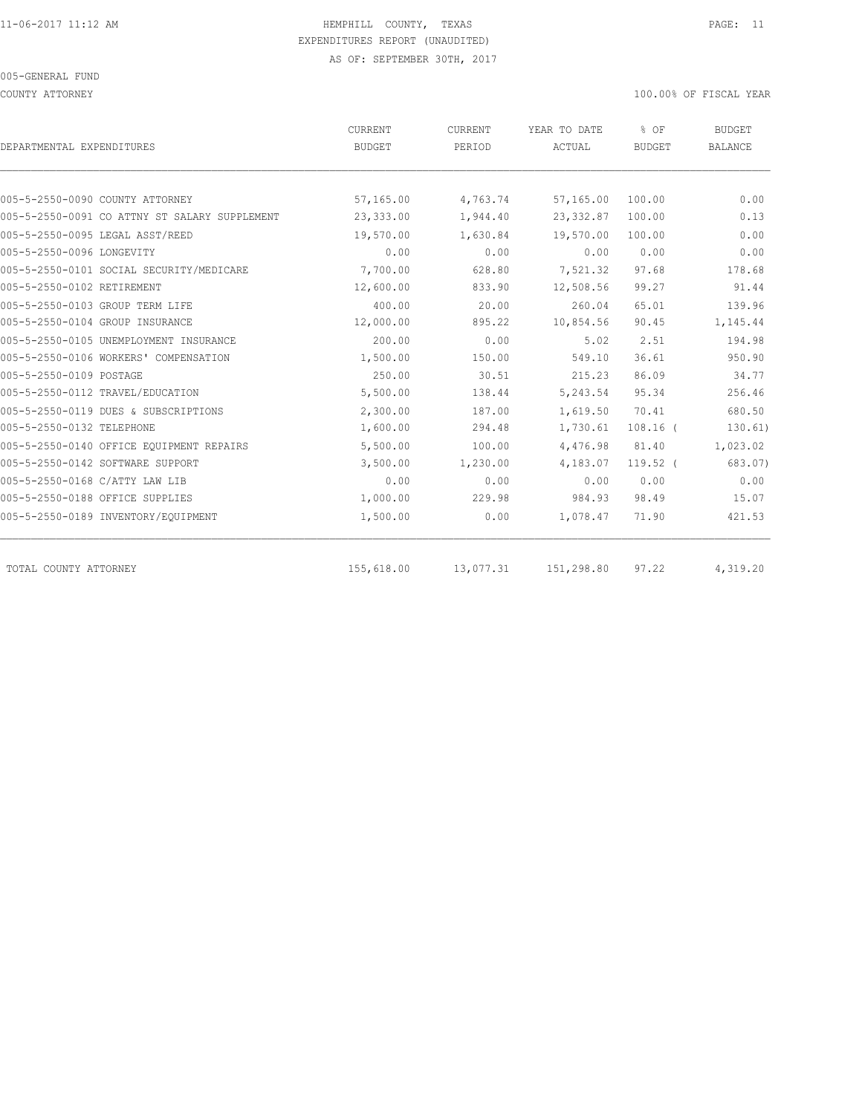COUNTY ATTORNEY 100.00% OF FISCAL YEAR

| DEPARTMENTAL EXPENDITURES                     | CURRENT<br>BUDGET | CURRENT<br>PERIOD | YEAR TO DATE<br>ACTUAL | % OF<br><b>BUDGET</b> | <b>BUDGET</b><br><b>BALANCE</b> |
|-----------------------------------------------|-------------------|-------------------|------------------------|-----------------------|---------------------------------|
|                                               |                   |                   |                        |                       |                                 |
| 005-5-2550-0090 COUNTY ATTORNEY               | 57,165.00         | 4,763.74          | 57,165.00              | 100.00                | 0.00                            |
| 005-5-2550-0091 CO ATTNY ST SALARY SUPPLEMENT | 23,333.00         | 1,944.40          | 23, 332.87             | 100.00                | 0.13                            |
| 005-5-2550-0095 LEGAL ASST/REED               | 19,570.00         | 1,630.84          | 19,570.00              | 100.00                | 0.00                            |
| 005-5-2550-0096 LONGEVITY                     | 0.00              | 0.00              | 0.00                   | 0.00                  | 0.00                            |
| 005-5-2550-0101 SOCIAL SECURITY/MEDICARE      | 7,700.00          | 628.80            | 7,521.32               | 97.68                 | 178.68                          |
| 005-5-2550-0102 RETIREMENT                    | 12,600.00         | 833.90            | 12,508.56              | 99.27                 | 91.44                           |
| 005-5-2550-0103 GROUP TERM LIFE               | 400.00            | 20.00             | 260.04                 | 65.01                 | 139.96                          |
| 005-5-2550-0104 GROUP INSURANCE               | 12,000.00         | 895.22            | 10,854.56              | 90.45                 | 1,145.44                        |
| 005-5-2550-0105 UNEMPLOYMENT INSURANCE        | 200.00            | 0.00              | 5.02                   | 2.51                  | 194.98                          |
| 005-5-2550-0106 WORKERS' COMPENSATION         | 1,500.00          | 150.00            | 549.10                 | 36.61                 | 950.90                          |
| 005-5-2550-0109 POSTAGE                       | 250.00            | 30.51             | 215.23                 | 86.09                 | 34.77                           |
| 005-5-2550-0112 TRAVEL/EDUCATION              | 5,500.00          | 138.44            | 5,243.54               | 95.34                 | 256.46                          |
| 005-5-2550-0119 DUES & SUBSCRIPTIONS          | 2,300.00          | 187.00            | 1,619.50               | 70.41                 | 680.50                          |
| 005-5-2550-0132 TELEPHONE                     | 1,600.00          | 294.48            | 1,730.61               | $108.16$ (            | 130.61)                         |
| 005-5-2550-0140 OFFICE EOUIPMENT REPAIRS      | 5,500.00          | 100.00            | 4,476.98               | 81.40                 | 1,023.02                        |
| 005-5-2550-0142 SOFTWARE SUPPORT              | 3,500.00          | 1,230.00          | 4,183.07               | $119.52$ (            | 683.07)                         |
| 005-5-2550-0168 C/ATTY LAW LIB                | 0.00              | 0.00              | 0.00                   | 0.00                  | 0.00                            |
| 005-5-2550-0188 OFFICE SUPPLIES               | 1,000.00          | 229.98            | 984.93                 | 98.49                 | 15.07                           |
| 005-5-2550-0189 INVENTORY/EQUIPMENT           | 1,500.00          | 0.00              | 1,078.47               | 71.90                 | 421.53                          |
| TOTAL COUNTY ATTORNEY                         | 155,618.00        | 13,077.31         | 151,298.80             | 97.22                 | 4,319.20                        |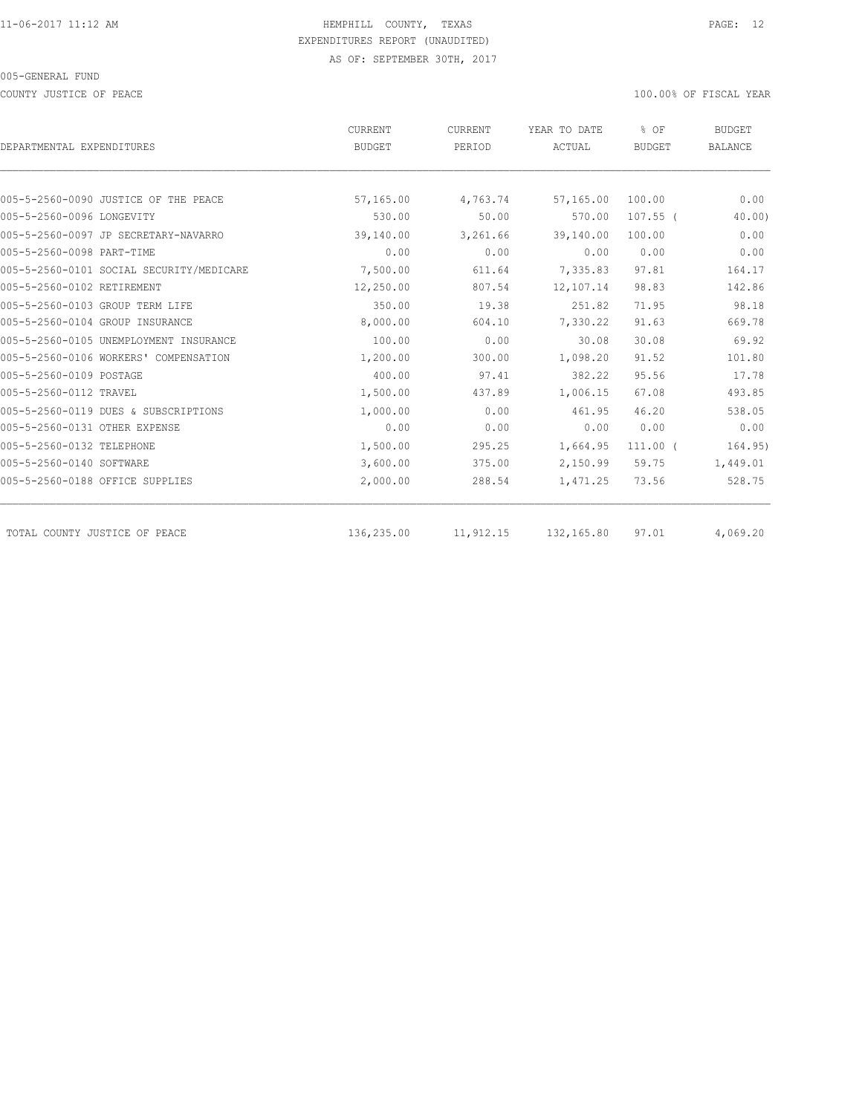COUNTY JUSTICE OF PEACE **100.000 OF FISCAL YEAR** 

| DEPARTMENTAL EXPENDITURES                | CURRENT<br><b>BUDGET</b> | CURRENT<br>PERIOD | YEAR TO DATE<br>ACTUAL | % OF<br><b>BUDGET</b> | <b>BUDGET</b><br><b>BALANCE</b> |
|------------------------------------------|--------------------------|-------------------|------------------------|-----------------------|---------------------------------|
|                                          |                          |                   |                        |                       |                                 |
| 005-5-2560-0090 JUSTICE OF THE PEACE     | 57,165.00                | 4,763.74          | 57,165.00              | 100.00                | 0.00                            |
| 005-5-2560-0096 LONGEVITY                | 530.00                   | 50.00             | 570.00                 | $107.55$ (            | $40.00$ )                       |
| 005-5-2560-0097 JP SECRETARY-NAVARRO     | 39,140.00                | 3,261.66          | 39,140.00              | 100.00                | 0.00                            |
| 005-5-2560-0098 PART-TIME                | 0.00                     | 0.00              | 0.00                   | 0.00                  | 0.00                            |
| 005-5-2560-0101 SOCIAL SECURITY/MEDICARE | 7,500.00                 | 611.64            | 7,335.83               | 97.81                 | 164.17                          |
| 005-5-2560-0102 RETIREMENT               | 12,250.00                | 807.54            | 12,107.14              | 98.83                 | 142.86                          |
| 005-5-2560-0103 GROUP TERM LIFE          | 350.00                   | 19.38             | 251.82                 | 71.95                 | 98.18                           |
| 005-5-2560-0104 GROUP INSURANCE          | 8,000.00                 | 604.10            | 7,330.22               | 91.63                 | 669.78                          |
| 005-5-2560-0105 UNEMPLOYMENT INSURANCE   | 100.00                   | 0.00              | 30.08                  | 30.08                 | 69.92                           |
| 005-5-2560-0106 WORKERS' COMPENSATION    | 1,200.00                 | 300.00            | 1,098.20               | 91.52                 | 101.80                          |
| 005-5-2560-0109 POSTAGE                  | 400.00                   | 97.41             | 382.22                 | 95.56                 | 17.78                           |
| 005-5-2560-0112 TRAVEL                   | 1,500.00                 | 437.89            | 1,006.15               | 67.08                 | 493.85                          |
| 005-5-2560-0119 DUES & SUBSCRIPTIONS     | 1,000.00                 | 0.00              | 461.95                 | 46.20                 | 538.05                          |
| 005-5-2560-0131 OTHER EXPENSE            | 0.00                     | 0.00              | 0.00                   | 0.00                  | 0.00                            |
| 005-5-2560-0132 TELEPHONE                | 1,500.00                 | 295.25            | 1,664.95               | $111.00$ (            | 164.95)                         |
| 005-5-2560-0140 SOFTWARE                 | 3,600.00                 | 375.00            | 2,150.99               | 59.75                 | 1,449.01                        |
| 005-5-2560-0188 OFFICE SUPPLIES          | 2,000.00                 | 288.54            | 1,471.25               | 73.56                 | 528.75                          |
| TOTAL COUNTY JUSTICE OF PEACE            | 136,235.00               | 11,912.15         | 132,165.80             | 97.01                 | 4,069.20                        |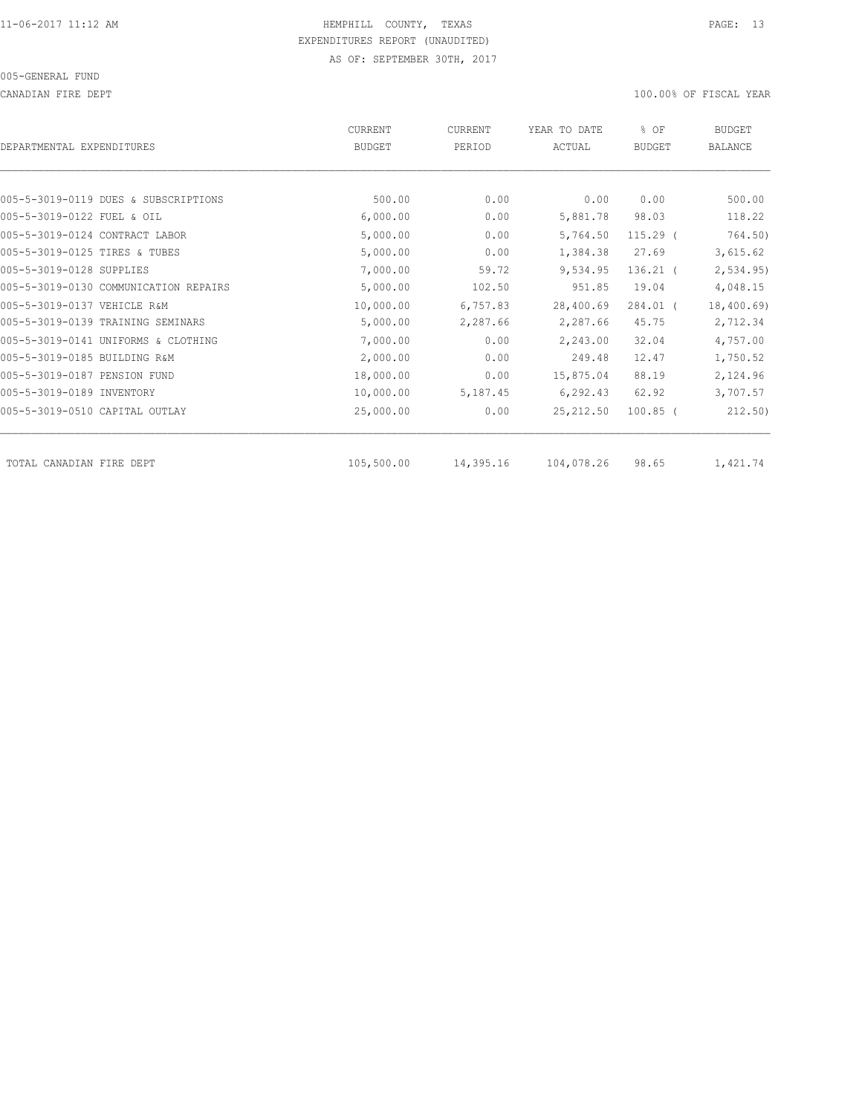#### 005-GENERAL FUND

CANADIAN FIRE DEPT 100.00% OF FISCAL YEAR

| DEPARTMENTAL EXPENDITURES      |                                       | <b>CURRENT</b><br><b>BUDGET</b> | CURRENT<br>PERIOD | YEAR TO DATE<br>ACTUAL | % OF<br><b>BUDGET</b> | <b>BUDGET</b><br>BALANCE |
|--------------------------------|---------------------------------------|---------------------------------|-------------------|------------------------|-----------------------|--------------------------|
|                                |                                       |                                 |                   |                        |                       |                          |
|                                | 005-5-3019-0119 DUES & SUBSCRIPTIONS  | 500.00                          | 0.00              | 0.00                   | 0.00                  | 500.00                   |
| 005-5-3019-0122 FUEL & OIL     |                                       | 6,000.00                        | 0.00              | 5,881.78               | 98.03                 | 118.22                   |
| 005-5-3019-0124 CONTRACT LABOR |                                       | 5,000.00                        | 0.00              | 5,764.50               | $115.29$ (            | 764.50)                  |
| 005-5-3019-0125 TIRES & TUBES  |                                       | 5,000.00                        | 0.00              | 1,384.38               | 27.69                 | 3,615.62                 |
| 005-5-3019-0128 SUPPLIES       |                                       | 7,000.00                        | 59.72             | 9,534.95               | $136.21$ (            | 2, 534.95                |
|                                | 005-5-3019-0130 COMMUNICATION REPAIRS | 5,000.00                        | 102.50            | 951.85                 | 19.04                 | 4,048.15                 |
| 005-5-3019-0137 VEHICLE R&M    |                                       | 10,000.00                       | 6,757.83          | 28,400.69              | $284.01$ (            | 18,400.69)               |
|                                | 005-5-3019-0139 TRAINING SEMINARS     | 5,000.00                        | 2,287.66          | 2,287.66               | 45.75                 | 2,712.34                 |
|                                | 005-5-3019-0141 UNIFORMS & CLOTHING   | 7,000.00                        | 0.00              | 2,243.00               | 32.04                 | 4,757.00                 |
| 005-5-3019-0185 BUILDING R&M   |                                       | 2,000.00                        | 0.00              | 249.48                 | 12.47                 | 1,750.52                 |
| 005-5-3019-0187 PENSION FUND   |                                       | 18,000.00                       | 0.00              | 15,875.04              | 88.19                 | 2,124.96                 |
| 005-5-3019-0189 INVENTORY      |                                       | 10,000.00                       | 5,187.45          | 6,292.43               | 62.92                 | 3,707.57                 |
| 005-5-3019-0510 CAPITAL OUTLAY |                                       | 25,000.00                       | 0.00              | 25, 212.50             | $100.85$ (            | 212.50)                  |
| TOTAL CANADIAN FIRE DEPT       |                                       | 105,500.00                      | 14,395.16         | 104,078.26             | 98.65                 | 1,421.74                 |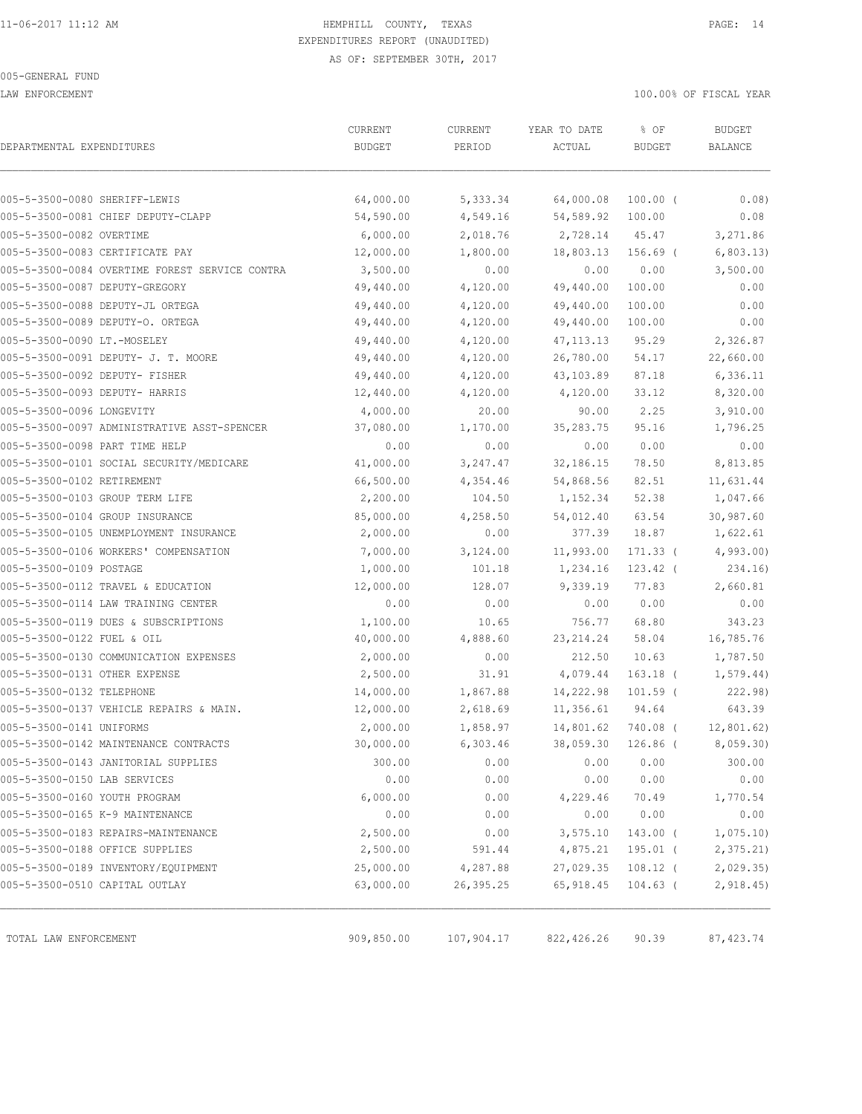LAW ENFORCEMENT 100.00% OF FISCAL YEAR

|                                                | CURRENT       | CURRENT    | YEAR TO DATE | % OF          | <b>BUDGET</b> |
|------------------------------------------------|---------------|------------|--------------|---------------|---------------|
| DEPARTMENTAL EXPENDITURES                      | <b>BUDGET</b> | PERIOD     | ACTUAL       | <b>BUDGET</b> | BALANCE       |
|                                                |               |            |              |               |               |
| 005-5-3500-0080 SHERIFF-LEWIS                  | 64,000.00     | 5,333.34   | 64,000.08    | $100.00$ (    | 0.08)         |
| 005-5-3500-0081 CHIEF DEPUTY-CLAPP             | 54,590.00     | 4,549.16   | 54,589.92    | 100.00        | 0.08          |
| 005-5-3500-0082 OVERTIME                       | 6,000.00      | 2,018.76   | 2,728.14     | 45.47         | 3,271.86      |
| 005-5-3500-0083 CERTIFICATE PAY                | 12,000.00     | 1,800.00   | 18,803.13    | 156.69 (      | 6,803.13)     |
| 005-5-3500-0084 OVERTIME FOREST SERVICE CONTRA | 3,500.00      | 0.00       | 0.00         | 0.00          | 3,500.00      |
| 005-5-3500-0087 DEPUTY-GREGORY                 | 49,440.00     | 4,120.00   | 49,440.00    | 100.00        | 0.00          |
| 005-5-3500-0088 DEPUTY-JL ORTEGA               | 49,440.00     | 4,120.00   | 49,440.00    | 100.00        | 0.00          |
| 005-5-3500-0089 DEPUTY-O. ORTEGA               | 49,440.00     | 4,120.00   | 49,440.00    | 100.00        | 0.00          |
| 005-5-3500-0090 LT.-MOSELEY                    | 49,440.00     | 4,120.00   | 47, 113.13   | 95.29         | 2,326.87      |
| 005-5-3500-0091 DEPUTY- J. T. MOORE            | 49,440.00     | 4,120.00   | 26,780.00    | 54.17         | 22,660.00     |
| 005-5-3500-0092 DEPUTY- FISHER                 | 49,440.00     | 4,120.00   | 43,103.89    | 87.18         | 6,336.11      |
| 005-5-3500-0093 DEPUTY- HARRIS                 | 12,440.00     | 4,120.00   | 4,120.00     | 33.12         | 8,320.00      |
| 005-5-3500-0096 LONGEVITY                      | 4,000.00      | 20.00      | 90.00        | 2.25          | 3,910.00      |
| 005-5-3500-0097 ADMINISTRATIVE ASST-SPENCER    | 37,080.00     | 1,170.00   | 35, 283. 75  | 95.16         | 1,796.25      |
| 005-5-3500-0098 PART TIME HELP                 | 0.00          | 0.00       | 0.00         | 0.00          | 0.00          |
| 005-5-3500-0101 SOCIAL SECURITY/MEDICARE       | 41,000.00     | 3,247.47   | 32,186.15    | 78.50         | 8,813.85      |
| 005-5-3500-0102 RETIREMENT                     | 66,500.00     | 4,354.46   | 54,868.56    | 82.51         | 11,631.44     |
| 005-5-3500-0103 GROUP TERM LIFE                | 2,200.00      | 104.50     | 1,152.34     | 52.38         | 1,047.66      |
| 005-5-3500-0104 GROUP INSURANCE                | 85,000.00     | 4,258.50   | 54,012.40    | 63.54         | 30,987.60     |
| 005-5-3500-0105 UNEMPLOYMENT INSURANCE         | 2,000.00      | 0.00       | 377.39       | 18.87         | 1,622.61      |
| 005-5-3500-0106 WORKERS' COMPENSATION          | 7,000.00      | 3,124.00   | 11,993.00    | 171.33 (      | 4,993.00      |
| 005-5-3500-0109 POSTAGE                        | 1,000.00      | 101.18     | 1,234.16     | $123.42$ (    | 234.16)       |
| 005-5-3500-0112 TRAVEL & EDUCATION             | 12,000.00     | 128.07     | 9,339.19     | 77.83         | 2,660.81      |
| 005-5-3500-0114 LAW TRAINING CENTER            | 0.00          | 0.00       | 0.00         | 0.00          | 0.00          |
| 005-5-3500-0119 DUES & SUBSCRIPTIONS           | 1,100.00      | 10.65      | 756.77       | 68.80         | 343.23        |
| 005-5-3500-0122 FUEL & OIL                     | 40,000.00     | 4,888.60   | 23, 214.24   | 58.04         | 16,785.76     |
| 005-5-3500-0130 COMMUNICATION EXPENSES         | 2,000.00      | 0.00       | 212.50       | 10.63         | 1,787.50      |
| 005-5-3500-0131 OTHER EXPENSE                  | 2,500.00      | 31.91      | 4,079.44     | $163.18$ (    | 1,579.44)     |
| 005-5-3500-0132 TELEPHONE                      | 14,000.00     | 1,867.88   | 14,222.98    | $101.59$ (    | 222.98)       |
| 005-5-3500-0137 VEHICLE REPAIRS & MAIN.        | 12,000.00     | 2,618.69   | 11,356.61    | 94.64         | 643.39        |
| 005-5-3500-0141 UNIFORMS                       | 2,000.00      | 1,858.97   | 14,801.62    | 740.08 (      | 12,801.62)    |
| 005-5-3500-0142 MAINTENANCE CONTRACTS          | 30,000.00     | 6,303.46   | 38,059.30    | $126.86$ (    | 8,059.30      |
| 005-5-3500-0143 JANITORIAL SUPPLIES            | 300.00        | 0.00       | 0.00         | 0.00          | 300.00        |
| 005-5-3500-0150 LAB SERVICES                   | 0.00          | 0.00       | 0.00         | 0.00          | 0.00          |
| 005-5-3500-0160 YOUTH PROGRAM                  | 6,000.00      | 0.00       | 4,229.46     | 70.49         | 1,770.54      |
| 005-5-3500-0165 K-9 MAINTENANCE                | 0.00          | 0.00       | 0.00         | 0.00          | 0.00          |
| 005-5-3500-0183 REPAIRS-MAINTENANCE            | 2,500.00      | 0.00       | 3,575.10     | 143.00 (      | 1,075.10      |
| 005-5-3500-0188 OFFICE SUPPLIES                | 2,500.00      | 591.44     | 4,875.21     | 195.01 (      | 2,375.21      |
| 005-5-3500-0189 INVENTORY/EQUIPMENT            | 25,000.00     | 4,287.88   | 27,029.35    | $108.12$ (    | 2,029.35      |
| 005-5-3500-0510 CAPITAL OUTLAY                 | 63,000.00     | 26,395.25  | 65,918.45    | $104.63$ (    | 2,918.45      |
|                                                |               |            |              |               |               |
| TOTAL LAW ENFORCEMENT                          | 909,850.00    | 107,904.17 | 822, 426.26  | 90.39         | 87, 423.74    |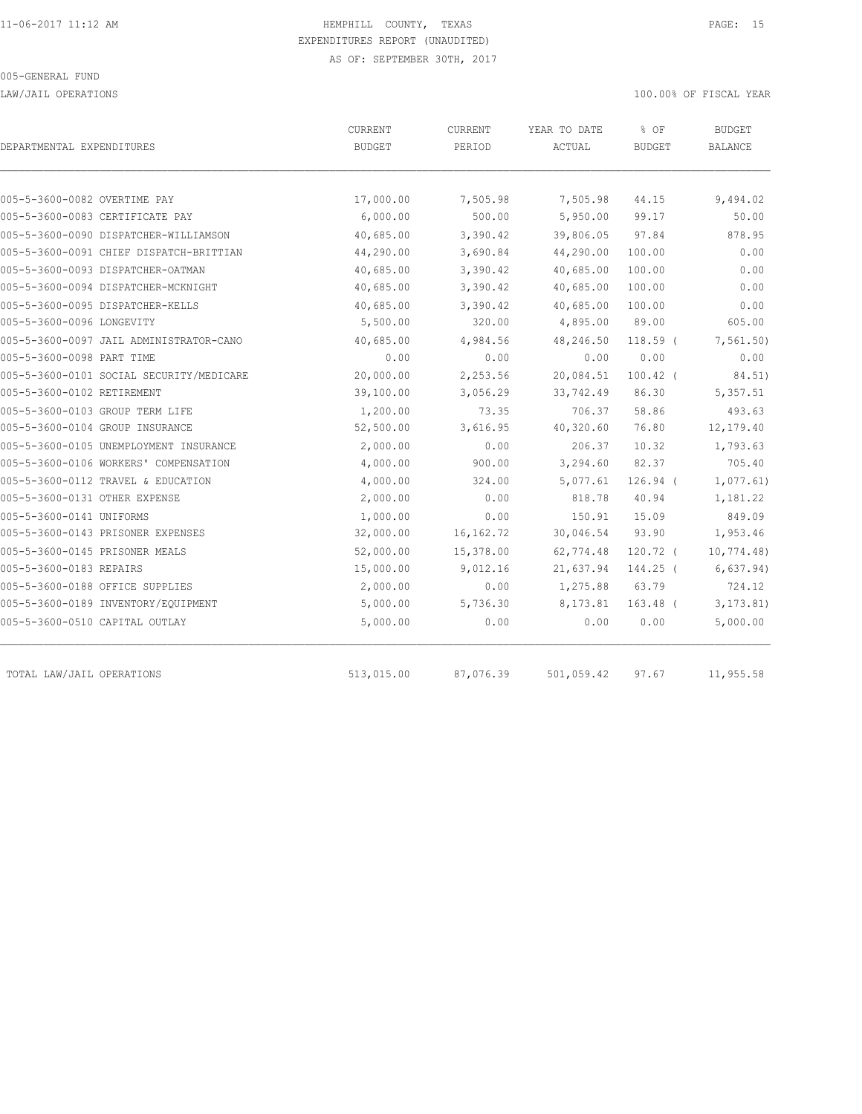LAW/JAIL OPERATIONS 100.00% OF FISCAL YEAR

| DEPARTMENTAL EXPENDITURES                | CURRENT<br><b>BUDGET</b> | <b>CURRENT</b><br>PERIOD | YEAR TO DATE<br>ACTUAL | % OF<br><b>BUDGET</b> | <b>BUDGET</b><br><b>BALANCE</b> |
|------------------------------------------|--------------------------|--------------------------|------------------------|-----------------------|---------------------------------|
|                                          |                          |                          |                        |                       |                                 |
| 005-5-3600-0082 OVERTIME PAY             | 17,000.00                | 7,505.98                 | 7,505.98               | 44.15                 | 9,494.02                        |
| 005-5-3600-0083 CERTIFICATE PAY          | 6,000.00                 | 500.00                   | 5,950.00               | 99.17                 | 50.00                           |
| 005-5-3600-0090 DISPATCHER-WILLIAMSON    | 40,685.00                | 3,390.42                 | 39,806.05              | 97.84                 | 878.95                          |
| 005-5-3600-0091 CHIEF DISPATCH-BRITTIAN  | 44,290.00                | 3,690.84                 | 44,290.00              | 100.00                | 0.00                            |
| 005-5-3600-0093 DISPATCHER-OATMAN        | 40,685.00                | 3,390.42                 | 40,685.00              | 100.00                | 0.00                            |
| 005-5-3600-0094 DISPATCHER-MCKNIGHT      | 40,685.00                | 3,390.42                 | 40,685.00              | 100.00                | 0.00                            |
| 005-5-3600-0095 DISPATCHER-KELLS         | 40,685.00                | 3,390.42                 | 40,685.00              | 100.00                | 0.00                            |
| 005-5-3600-0096 LONGEVITY                | 5,500.00                 | 320.00                   | 4,895.00               | 89.00                 | 605.00                          |
| 005-5-3600-0097 JAIL ADMINISTRATOR-CANO  | 40,685.00                | 4,984.56                 | 48,246.50              | $118.59$ (            | 7, 561.50                       |
| 005-5-3600-0098 PART TIME                | 0.00                     | 0.00                     | 0.00                   | 0.00                  | 0.00                            |
| 005-5-3600-0101 SOCIAL SECURITY/MEDICARE | 20,000.00                | 2,253.56                 | 20,084.51              | $100.42$ (            | 84.51)                          |
| 005-5-3600-0102 RETIREMENT               | 39,100.00                | 3,056.29                 | 33,742.49              | 86.30                 | 5,357.51                        |
| 005-5-3600-0103 GROUP TERM LIFE          | 1,200.00                 | 73.35                    | 706.37                 | 58.86                 | 493.63                          |
| 005-5-3600-0104 GROUP INSURANCE          | 52,500.00                | 3,616.95                 | 40,320.60              | 76.80                 | 12,179.40                       |
| 005-5-3600-0105 UNEMPLOYMENT INSURANCE   | 2,000.00                 | 0.00                     | 206.37                 | 10.32                 | 1,793.63                        |
| 005-5-3600-0106 WORKERS' COMPENSATION    | 4,000.00                 | 900.00                   | 3,294.60               | 82.37                 | 705.40                          |
| 005-5-3600-0112 TRAVEL & EDUCATION       | 4,000.00                 | 324.00                   | 5,077.61               | $126.94$ (            | 1,077.61                        |
| 005-5-3600-0131 OTHER EXPENSE            | 2,000.00                 | 0.00                     | 818.78                 | 40.94                 | 1,181.22                        |
| 005-5-3600-0141 UNIFORMS                 | 1,000.00                 | 0.00                     | 150.91                 | 15.09                 | 849.09                          |
| 005-5-3600-0143 PRISONER EXPENSES        | 32,000.00                | 16, 162. 72              | 30,046.54              | 93.90                 | 1,953.46                        |
| 005-5-3600-0145 PRISONER MEALS           | 52,000.00                | 15,378.00                | 62,774.48              | $120.72$ (            | 10, 774.48                      |
| 005-5-3600-0183 REPAIRS                  | 15,000.00                | 9,012.16                 | 21,637.94              | 144.25 (              | 6,637.94)                       |
| 005-5-3600-0188 OFFICE SUPPLIES          | 2,000.00                 | 0.00                     | 1,275.88               | 63.79                 | 724.12                          |
| 005-5-3600-0189 INVENTORY/EQUIPMENT      | 5,000.00                 | 5,736.30                 | 8,173.81               | $163.48$ (            | 3, 173.81                       |
| 005-5-3600-0510 CAPITAL OUTLAY           | 5,000.00                 | 0.00                     | 0.00                   | 0.00                  | 5,000.00                        |
| TOTAL LAW/JAIL OPERATIONS                | 513,015.00               | 87,076.39                | 501,059.42             | 97.67                 | 11,955.58                       |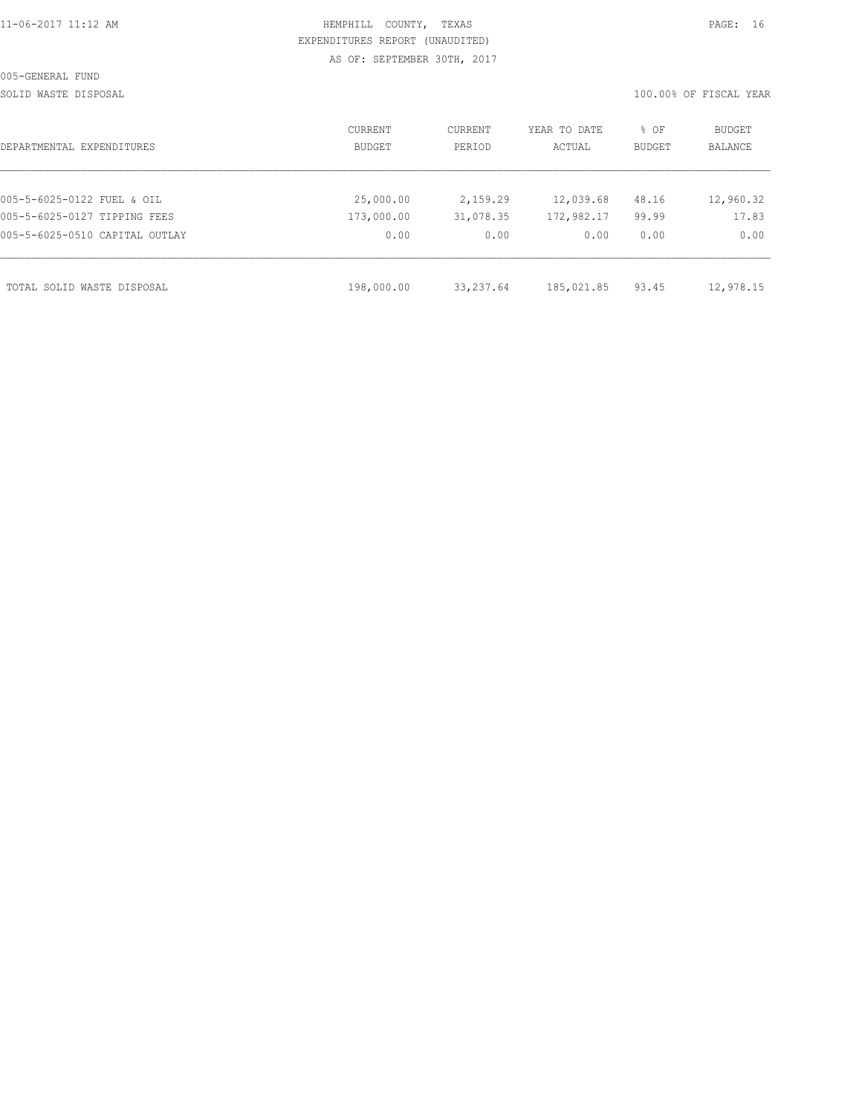SOLID WASTE DISPOSAL 100.00% OF FISCAL YEAR

| DEPARTMENTAL EXPENDITURES      | CURRENT<br><b>BUDGET</b> | CURRENT<br>PERIOD | YEAR TO DATE<br>ACTUAL | % OF<br><b>BUDGET</b> | BUDGET<br><b>BALANCE</b> |
|--------------------------------|--------------------------|-------------------|------------------------|-----------------------|--------------------------|
|                                |                          |                   |                        |                       |                          |
| 005-5-6025-0122 FUEL & OIL     | 25,000.00                | 2,159.29          | 12,039.68              | 48.16                 | 12,960.32                |
| 005-5-6025-0127 TIPPING FEES   | 173,000.00               | 31,078.35         | 172,982.17             | 99.99                 | 17.83                    |
| 005-5-6025-0510 CAPITAL OUTLAY | 0.00                     | 0.00              | 0.00                   | 0.00                  | 0.00                     |
|                                |                          |                   |                        |                       |                          |
| TOTAL SOLID WASTE DISPOSAL     | 198,000.00               | 33, 237.64        | 185,021.85             | 93.45                 | 12,978.15                |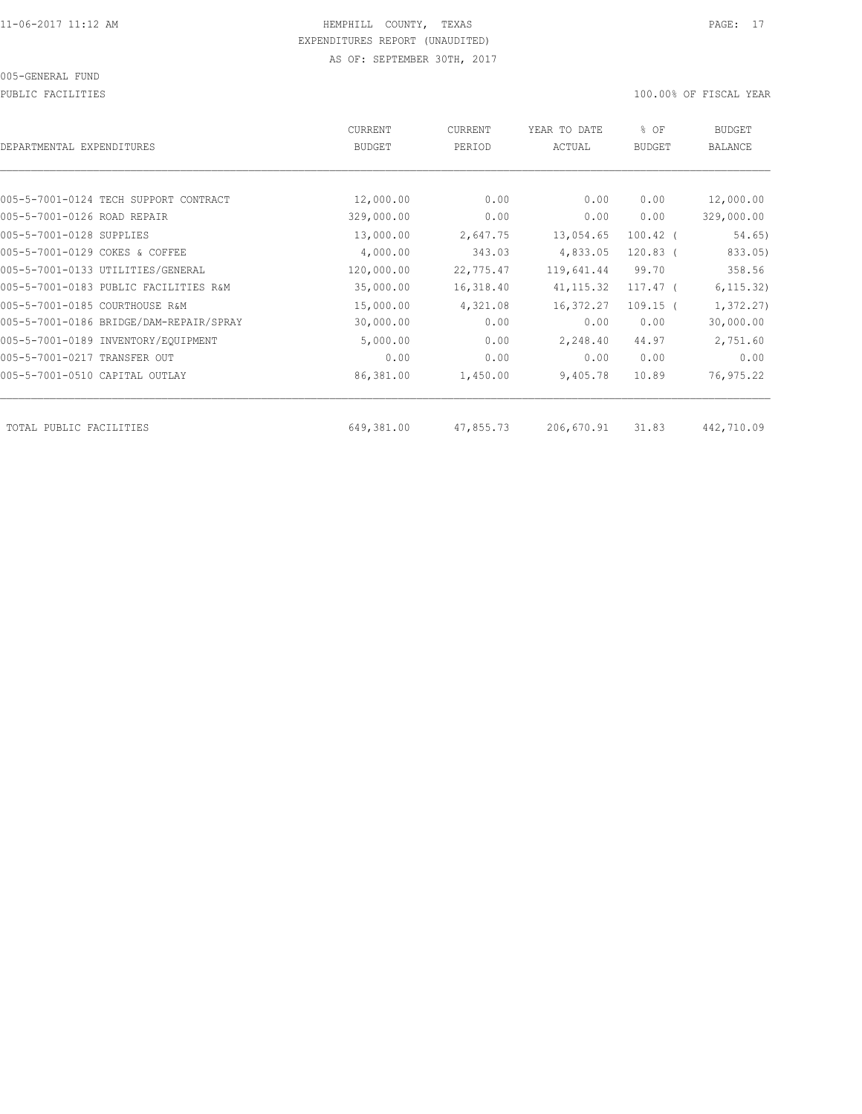PUBLIC FACILITIES 100.00% OF FISCAL YEAR

| DEPARTMENTAL EXPENDITURES               | <b>CURRENT</b><br><b>BUDGET</b> | CURRENT<br>PERIOD | YEAR TO DATE<br>ACTUAL | % OF<br><b>BUDGET</b> | BUDGET<br><b>BALANCE</b> |
|-----------------------------------------|---------------------------------|-------------------|------------------------|-----------------------|--------------------------|
|                                         |                                 |                   |                        |                       |                          |
| 005-5-7001-0124 TECH SUPPORT CONTRACT   | 12,000.00                       | 0.00              | 0.00                   | 0.00                  | 12,000.00                |
| 005-5-7001-0126 ROAD REPAIR             | 329,000.00                      | 0.00              | 0.00                   | 0.00                  | 329,000.00               |
| 005-5-7001-0128 SUPPLIES                | 13,000.00                       | 2,647.75          | 13,054.65              | $100.42$ (            | 54.65)                   |
| 005-5-7001-0129 COKES & COFFEE          | 4,000.00                        | 343.03            | 4,833.05               | $120.83$ (            | 833.05)                  |
| 005-5-7001-0133 UTILITIES/GENERAL       | 120,000.00                      | 22,775.47         | 119,641.44             | 99.70                 | 358.56                   |
| 005-5-7001-0183 PUBLIC FACILITIES R&M   | 35,000.00                       | 16,318.40         | 41, 115.32             | $117.47$ (            | 6, 115.32)               |
| 005-5-7001-0185 COURTHOUSE R&M          | 15,000.00                       | 4,321.08          | 16,372.27              | $109.15$ (            | 1,372.27                 |
| 005-5-7001-0186 BRIDGE/DAM-REPAIR/SPRAY | 30,000.00                       | 0.00              | 0.00                   | 0.00                  | 30,000.00                |
| 005-5-7001-0189 INVENTORY/EQUIPMENT     | 5,000.00                        | 0.00              | 2,248.40               | 44.97                 | 2,751.60                 |
| 005-5-7001-0217 TRANSFER OUT            | 0.00                            | 0.00              | 0.00                   | 0.00                  | 0.00                     |
| 005-5-7001-0510 CAPITAL OUTLAY          | 86,381.00                       | 1,450.00          | 9,405.78               | 10.89                 | 76,975.22                |
| TOTAL PUBLIC FACILITIES                 | 649,381.00                      | 47,855.73         | 206,670.91             | 31.83                 | 442,710.09               |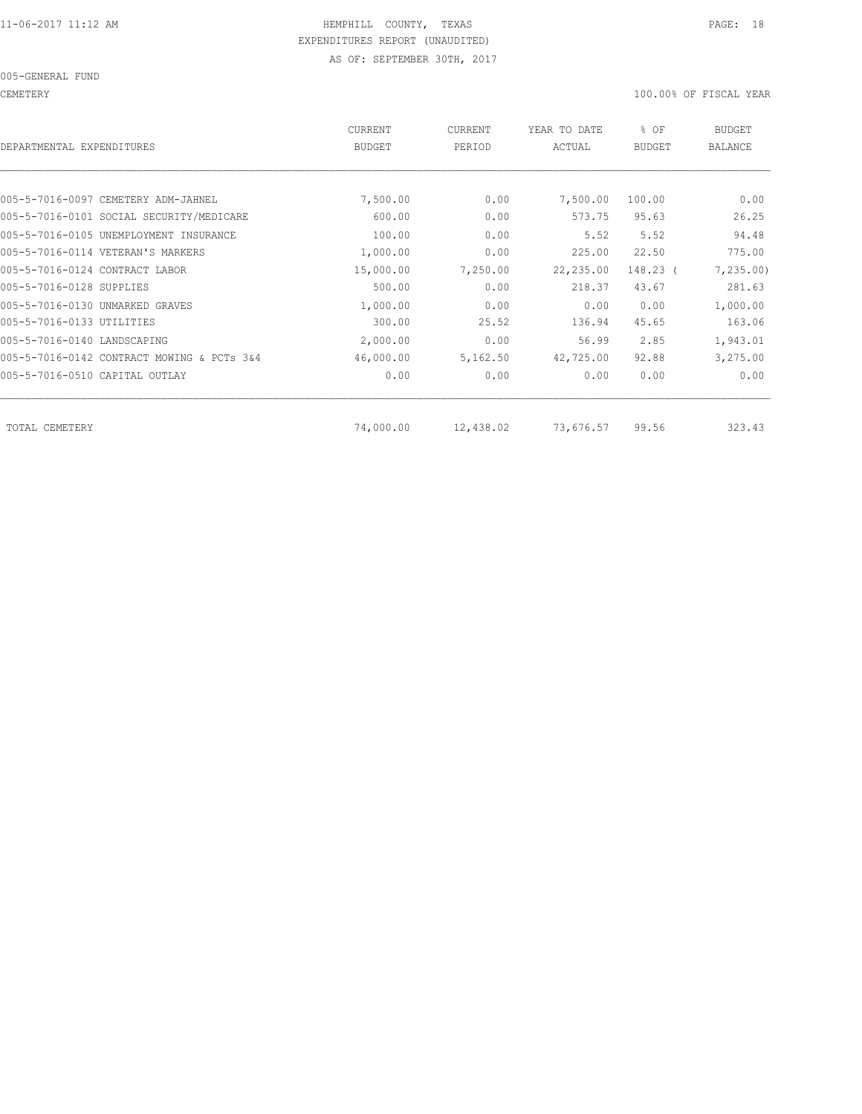CEMETERY 100.00% OF FISCAL YEAR

| DEPARTMENTAL EXPENDITURES                  | <b>CURRENT</b><br><b>BUDGET</b> | CURRENT<br>PERIOD | YEAR TO DATE<br>ACTUAL | % OF<br><b>BUDGET</b> | <b>BUDGET</b><br><b>BALANCE</b> |
|--------------------------------------------|---------------------------------|-------------------|------------------------|-----------------------|---------------------------------|
|                                            |                                 |                   |                        |                       |                                 |
| 005-5-7016-0097 CEMETERY ADM-JAHNEL        | 7,500.00                        | 0.00              | 7,500.00               | 100.00                | 0.00                            |
| 005-5-7016-0101 SOCIAL SECURITY/MEDICARE   | 600.00                          | 0.00              | 573.75                 | 95.63                 | 26.25                           |
| 005-5-7016-0105 UNEMPLOYMENT INSURANCE     | 100.00                          | 0.00              | 5.52                   | 5.52                  | 94.48                           |
| 005-5-7016-0114 VETERAN'S MARKERS          | 1,000.00                        | 0.00              | 225.00                 | 22.50                 | 775.00                          |
| 005-5-7016-0124 CONTRACT LABOR             | 15,000.00                       | 7,250.00          | 22,235.00              | 148.23 (              | 7,235.00                        |
| 005-5-7016-0128 SUPPLIES                   | 500.00                          | 0.00              | 218.37                 | 43.67                 | 281.63                          |
| 005-5-7016-0130 UNMARKED GRAVES            | 1,000.00                        | 0.00              | 0.00                   | 0.00                  | 1,000.00                        |
| 005-5-7016-0133 UTILITIES                  | 300.00                          | 25.52             | 136.94                 | 45.65                 | 163.06                          |
| 005-5-7016-0140 LANDSCAPING                | 2,000.00                        | 0.00              | 56.99                  | 2.85                  | 1,943.01                        |
| 005-5-7016-0142 CONTRACT MOWING & PCTs 3&4 | 46,000.00                       | 5,162.50          | 42,725.00              | 92.88                 | 3,275.00                        |
| 005-5-7016-0510 CAPITAL OUTLAY             | 0.00                            | 0.00              | 0.00                   | 0.00                  | 0.00                            |
|                                            |                                 |                   |                        |                       | 323.43                          |
| TOTAL CEMETERY                             | 74,000.00                       | 12,438.02         | 73,676.57              | 99.56                 |                                 |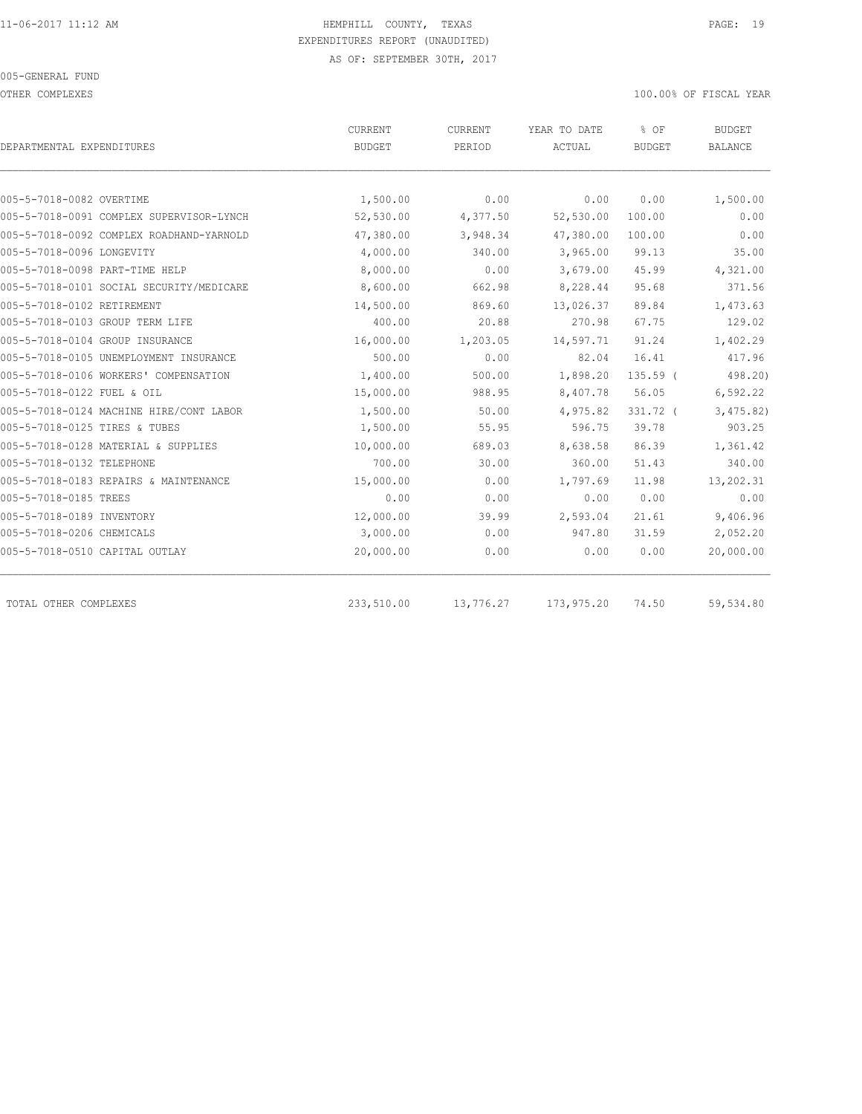OTHER COMPLEXES 100.00% OF FISCAL YEAR

| DEPARTMENTAL EXPENDITURES                | <b>CURRENT</b><br><b>BUDGET</b> | <b>CURRENT</b><br>PERIOD | YEAR TO DATE<br>ACTUAL | % OF<br><b>BUDGET</b> | <b>BUDGET</b><br><b>BALANCE</b> |
|------------------------------------------|---------------------------------|--------------------------|------------------------|-----------------------|---------------------------------|
|                                          |                                 |                          |                        |                       |                                 |
| 005-5-7018-0082 OVERTIME                 | 1,500.00                        | 0.00                     | 0.00                   | 0.00                  | 1,500.00                        |
| 005-5-7018-0091 COMPLEX SUPERVISOR-LYNCH | 52,530.00                       | 4,377.50                 | 52,530.00              | 100.00                | 0.00                            |
| 005-5-7018-0092 COMPLEX ROADHAND-YARNOLD | 47,380.00                       | 3,948.34                 | 47,380.00              | 100.00                | 0.00                            |
| 005-5-7018-0096 LONGEVITY                | 4,000.00                        | 340.00                   | 3,965.00               | 99.13                 | 35.00                           |
| 005-5-7018-0098 PART-TIME HELP           | 8,000.00                        | 0.00                     | 3,679.00               | 45.99                 | 4,321.00                        |
| 005-5-7018-0101 SOCIAL SECURITY/MEDICARE | 8,600.00                        | 662.98                   | 8,228.44               | 95.68                 | 371.56                          |
| 005-5-7018-0102 RETIREMENT               | 14,500.00                       | 869.60                   | 13,026.37              | 89.84                 | 1,473.63                        |
| 005-5-7018-0103 GROUP TERM LIFE          | 400.00                          | 20.88                    | 270.98                 | 67.75                 | 129.02                          |
| 005-5-7018-0104 GROUP INSURANCE          | 16,000.00                       | 1,203.05                 | 14,597.71              | 91.24                 | 1,402.29                        |
| 005-5-7018-0105 UNEMPLOYMENT INSURANCE   | 500.00                          | 0.00                     | 82.04                  | 16.41                 | 417.96                          |
| 005-5-7018-0106 WORKERS' COMPENSATION    | 1,400.00                        | 500.00                   | 1,898.20               | $135.59$ (            | 498.20)                         |
| 005-5-7018-0122 FUEL & OIL               | 15,000.00                       | 988.95                   | 8,407.78               | 56.05                 | 6,592.22                        |
| 005-5-7018-0124 MACHINE HIRE/CONT LABOR  | 1,500.00                        | 50.00                    | 4,975.82               | 331.72 (              | 3,475.82)                       |
| 005-5-7018-0125 TIRES & TUBES            | 1,500.00                        | 55.95                    | 596.75                 | 39.78                 | 903.25                          |
| 005-5-7018-0128 MATERIAL & SUPPLIES      | 10,000.00                       | 689.03                   | 8,638.58               | 86.39                 | 1,361.42                        |
| 005-5-7018-0132 TELEPHONE                | 700.00                          | 30.00                    | 360.00                 | 51.43                 | 340.00                          |
| 005-5-7018-0183 REPAIRS & MAINTENANCE    | 15,000.00                       | 0.00                     | 1,797.69               | 11.98                 | 13,202.31                       |
| 005-5-7018-0185 TREES                    | 0.00                            | 0.00                     | 0.00                   | 0.00                  | 0.00                            |
| 005-5-7018-0189 INVENTORY                | 12,000.00                       | 39.99                    | 2,593.04               | 21.61                 | 9,406.96                        |
| 005-5-7018-0206 CHEMICALS                | 3,000.00                        | 0.00                     | 947.80                 | 31.59                 | 2,052.20                        |
| 005-5-7018-0510 CAPITAL OUTLAY           | 20,000.00                       | 0.00                     | 0.00                   | 0.00                  | 20,000.00                       |
| TOTAL OTHER COMPLEXES                    | 233,510.00                      | 13,776.27                | 173,975.20             | 74.50                 | 59,534.80                       |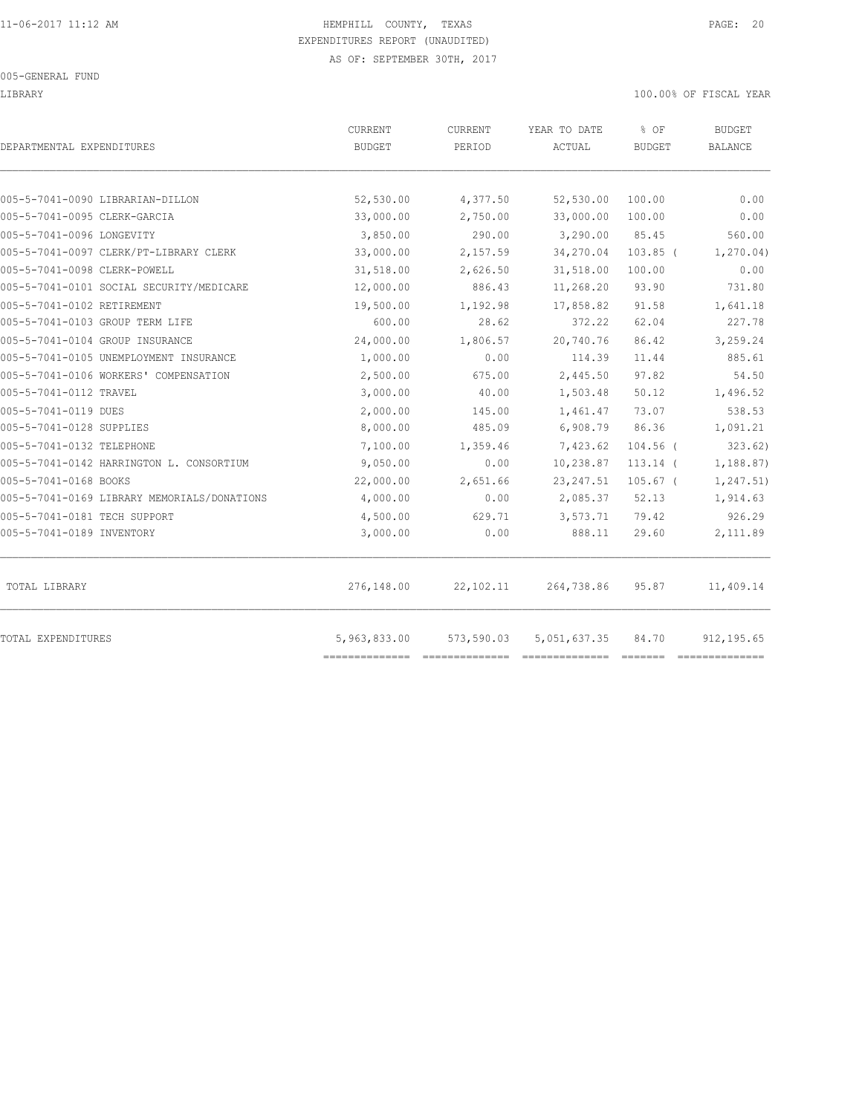LIBRARY 100.00% OF FISCAL YEAR

| DEPARTMENTAL EXPENDITURES                   | CURRENT<br><b>BUDGET</b> | CURRENT<br>PERIOD | YEAR TO DATE<br>ACTUAL | % OF<br><b>BUDGET</b> | <b>BUDGET</b><br><b>BALANCE</b> |
|---------------------------------------------|--------------------------|-------------------|------------------------|-----------------------|---------------------------------|
| 005-5-7041-0090 LIBRARIAN-DILLON            | 52,530.00                | 4,377.50          | 52,530.00              | 100.00                | 0.00                            |
| 005-5-7041-0095 CLERK-GARCIA                | 33,000.00                | 2,750.00          | 33,000.00              | 100.00                | 0.00                            |
| 005-5-7041-0096 LONGEVITY                   | 3,850.00                 | 290.00            | 3,290.00               | 85.45                 | 560.00                          |
| 005-5-7041-0097 CLERK/PT-LIBRARY CLERK      | 33,000.00                | 2,157.59          | 34,270.04              | $103.85$ (            | 1, 270.04)                      |
| 005-5-7041-0098 CLERK-POWELL                | 31,518.00                | 2,626.50          | 31,518.00              | 100.00                | 0.00                            |
| 005-5-7041-0101 SOCIAL SECURITY/MEDICARE    | 12,000.00                | 886.43            | 11,268.20              | 93.90                 | 731.80                          |
| 005-5-7041-0102 RETIREMENT                  | 19,500.00                | 1,192.98          | 17,858.82              | 91.58                 | 1,641.18                        |
| 005-5-7041-0103 GROUP TERM LIFE             | 600.00                   | 28.62             | 372.22                 | 62.04                 | 227.78                          |
| 005-5-7041-0104 GROUP INSURANCE             | 24,000.00                | 1,806.57          | 20,740.76              | 86.42                 | 3,259.24                        |
| 005-5-7041-0105 UNEMPLOYMENT INSURANCE      | 1,000.00                 | 0.00              | 114.39                 | 11.44                 | 885.61                          |
| 005-5-7041-0106 WORKERS' COMPENSATION       | 2,500.00                 | 675.00            | 2,445.50               | 97.82                 | 54.50                           |
| 005-5-7041-0112 TRAVEL                      | 3,000.00                 | 40.00             | 1,503.48               | 50.12                 | 1,496.52                        |
| 005-5-7041-0119 DUES                        | 2,000.00                 | 145.00            | 1,461.47               | 73.07                 | 538.53                          |
| 005-5-7041-0128 SUPPLIES                    | 8,000.00                 | 485.09            | 6,908.79               | 86.36                 | 1,091.21                        |
| 005-5-7041-0132 TELEPHONE                   | 7,100.00                 | 1,359.46          | 7,423.62               | $104.56$ (            | 323.62)                         |
| 005-5-7041-0142 HARRINGTON L. CONSORTIUM    | 9,050.00                 | 0.00              | 10,238.87              | $113.14$ (            | 1,188.87)                       |
| 005-5-7041-0168 BOOKS                       | 22,000.00                | 2,651.66          | 23, 247.51             | $105.67$ (            | 1,247.51)                       |
| 005-5-7041-0169 LIBRARY MEMORIALS/DONATIONS | 4,000.00                 | 0.00              | 2,085.37               | 52.13                 | 1,914.63                        |
| 005-5-7041-0181 TECH SUPPORT                | 4,500.00                 | 629.71            | 3,573.71               | 79.42                 | 926.29                          |
| 005-5-7041-0189 INVENTORY                   | 3,000.00                 | 0.00              | 888.11                 | 29.60                 | 2,111.89                        |
| TOTAL LIBRARY                               | 276,148.00               | 22,102.11         | 264,738.86             | 95.87                 | 11,409.14                       |
| TOTAL EXPENDITURES                          | 5,963,833.00             | 573,590.03        | 5,051,637.35           | 84.70                 | 912, 195.65                     |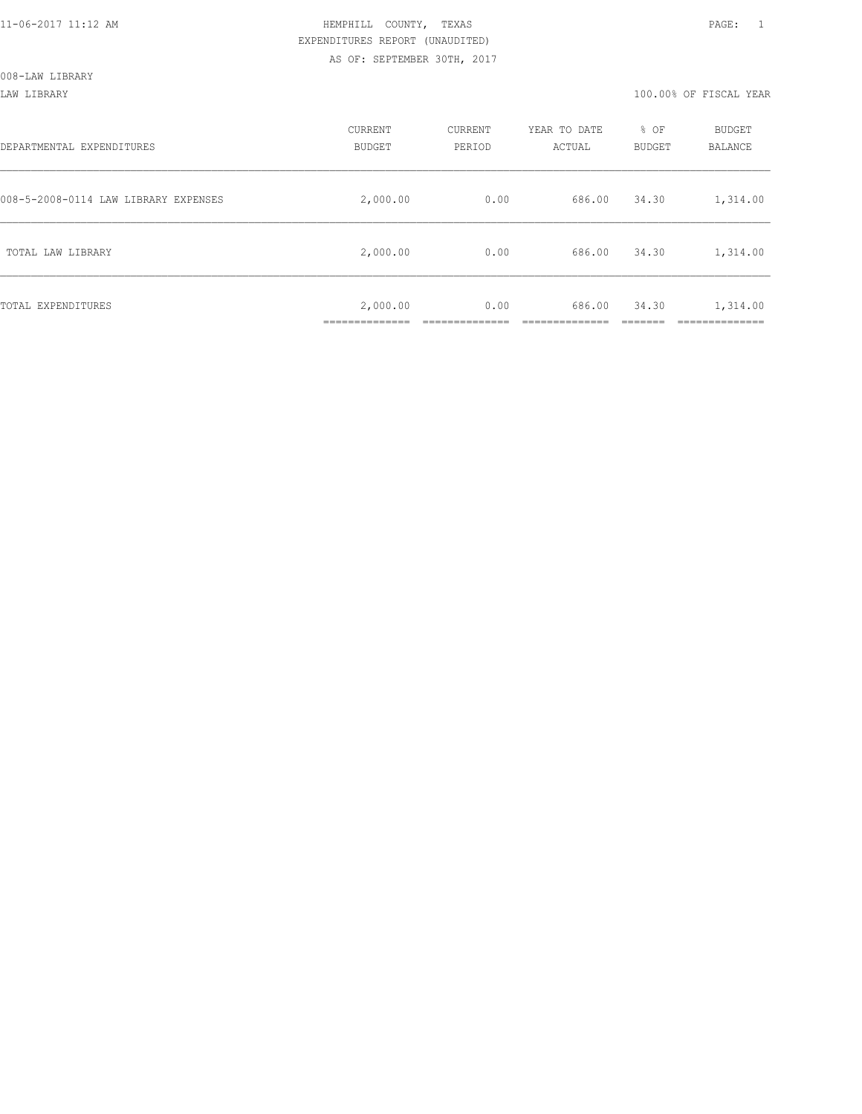LAW LIBRARY 100.00% OF FISCAL YEAR

| DEPARTMENTAL EXPENDITURES            | CURRENT<br><b>BUDGET</b>  | CURRENT<br>PERIOD | YEAR TO DATE<br>ACTUAL | % OF<br><b>BUDGET</b> | BUDGET<br>BALANCE     |
|--------------------------------------|---------------------------|-------------------|------------------------|-----------------------|-----------------------|
| 008-5-2008-0114 LAW LIBRARY EXPENSES | 2,000.00                  | 0.00              | 686.00                 | 34.30                 | 1,314.00              |
| TOTAL LAW LIBRARY                    | 2,000.00                  | 0.00              | 686.00                 | 34.30                 | 1,314.00              |
| TOTAL EXPENDITURES                   | 2,000.00<br>_____________ | 0.00              | 686.00                 | 34.30                 | 1,314.00<br>--------- |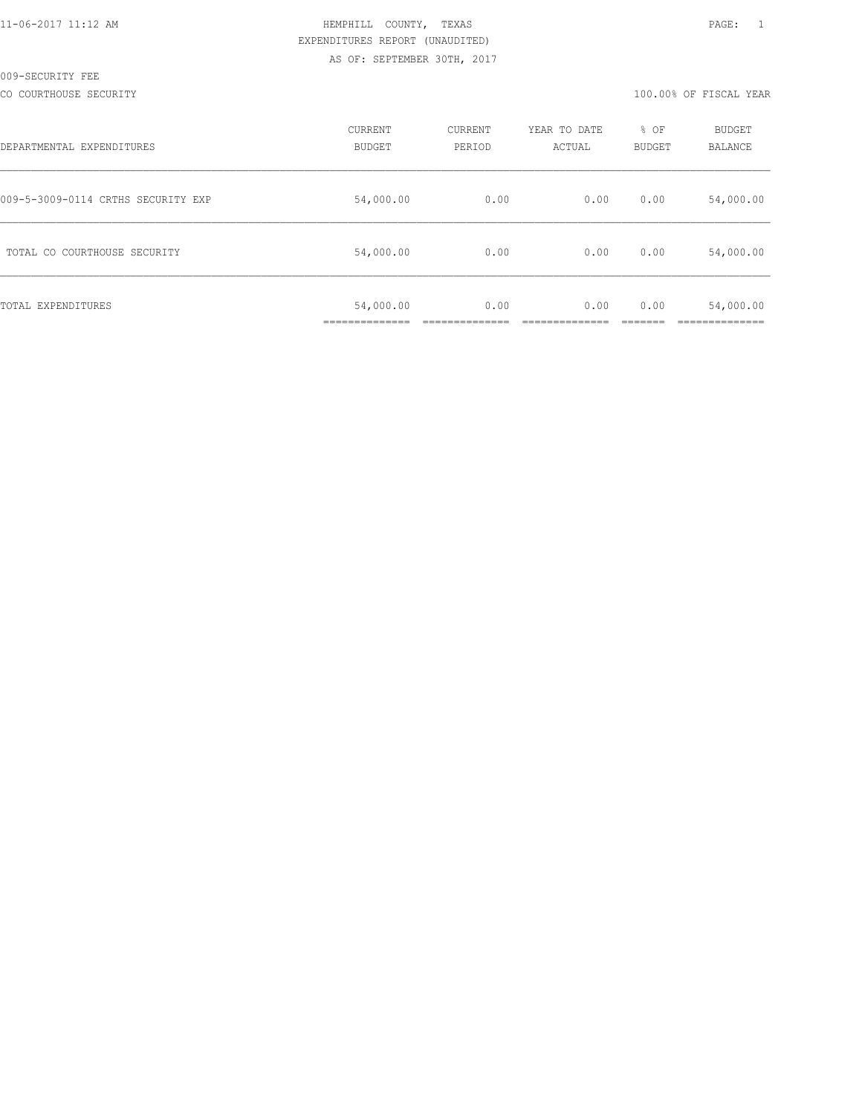CO COURTHOUSE SECURITY **100.000 COURTHOUSE SECURITY** 

| DEPARTMENTAL EXPENDITURES          | CURRENT<br><b>BUDGET</b> | CURRENT<br>PERIOD | YEAR TO DATE<br>ACTUAL | % OF<br><b>BUDGET</b> | BUDGET<br>BALANCE |
|------------------------------------|--------------------------|-------------------|------------------------|-----------------------|-------------------|
| 009-5-3009-0114 CRTHS SECURITY EXP | 54,000.00                | 0.00              | 0.00                   | 0.00                  | 54,000.00         |
| TOTAL CO COURTHOUSE SECURITY       | 54,000.00                | 0.00              | 0.00                   | 0.00                  | 54,000.00         |
| TOTAL EXPENDITURES                 | 54,000.00                | 0.00              | 0.00                   | 0.00                  | 54,000.00         |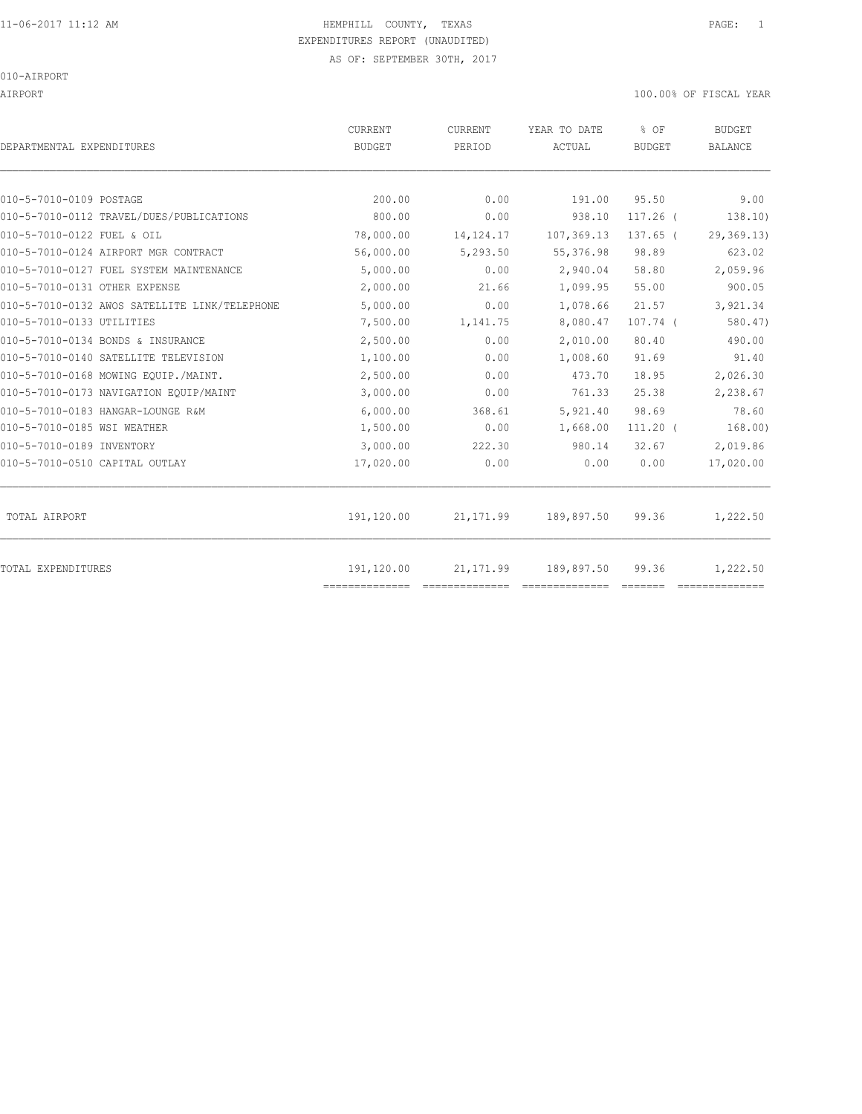AIRPORT 100.00% OF FISCAL YEAR

| DEPARTMENTAL EXPENDITURES                     | CURRENT<br><b>BUDGET</b>     | CURRENT<br>PERIOD | YEAR TO DATE<br>ACTUAL | % OF<br><b>BUDGET</b> | <b>BUDGET</b><br><b>BALANCE</b> |
|-----------------------------------------------|------------------------------|-------------------|------------------------|-----------------------|---------------------------------|
| 010-5-7010-0109 POSTAGE                       | 200.00                       | 0.00              | 191.00                 | 95.50                 | 9.00                            |
| 010-5-7010-0112 TRAVEL/DUES/PUBLICATIONS      | 800.00                       | 0.00              | 938.10                 | $117.26$ (            | 138.10)                         |
| 010-5-7010-0122 FUEL & OIL                    | 78,000.00                    | 14, 124. 17       | 107,369.13             | 137.65 (              | 29,369.13)                      |
| 010-5-7010-0124 AIRPORT MGR CONTRACT          | 56,000.00                    | 5,293.50          | 55, 376.98             | 98.89                 | 623.02                          |
| 010-5-7010-0127 FUEL SYSTEM MAINTENANCE       | 5,000.00                     | 0.00              | 2,940.04               | 58.80                 | 2,059.96                        |
| 010-5-7010-0131 OTHER EXPENSE                 | 2,000.00                     | 21.66             | 1,099.95               | 55.00                 | 900.05                          |
|                                               |                              |                   |                        |                       |                                 |
| 010-5-7010-0132 AWOS SATELLITE LINK/TELEPHONE | 5,000.00                     | 0.00              | 1,078.66               | 21.57                 | 3,921.34                        |
| 010-5-7010-0133 UTILITIES                     | 7,500.00                     | 1,141.75          | 8,080.47               | $107.74$ (            | 580.47                          |
| 010-5-7010-0134 BONDS & INSURANCE             | 2,500.00                     | 0.00              | 2,010.00               | 80.40                 | 490.00                          |
| 010-5-7010-0140 SATELLITE TELEVISION          | 1,100.00                     | 0.00              | 1,008.60               | 91.69                 | 91.40                           |
| 010-5-7010-0168 MOWING EOUIP./MAINT.          | 2,500.00                     | 0.00              | 473.70                 | 18.95                 | 2,026.30                        |
| 010-5-7010-0173 NAVIGATION EQUIP/MAINT        | 3,000.00                     | 0.00              | 761.33                 | 25.38                 | 2,238.67                        |
| 010-5-7010-0183 HANGAR-LOUNGE R&M             | 6,000.00                     | 368.61            | 5,921.40               | 98.69                 | 78.60                           |
| 010-5-7010-0185 WSI WEATHER                   | 1,500.00                     | 0.00              | 1,668.00               | $111.20$ (            | 168.00)                         |
| 010-5-7010-0189 INVENTORY                     | 3,000.00                     | 222.30            | 980.14                 | 32.67                 | 2,019.86                        |
| 010-5-7010-0510 CAPITAL OUTLAY                | 17,020.00                    | 0.00              | 0.00                   | 0.00                  | 17,020.00                       |
| TOTAL AIRPORT                                 | 191,120.00                   | 21, 171.99        | 189,897.50             | 99.36                 | 1,222.50                        |
| TOTAL EXPENDITURES                            | 191,120.00<br>============== | 21, 171.99        | 189,897.50             | 99.36                 | 1,222.50<br>==============      |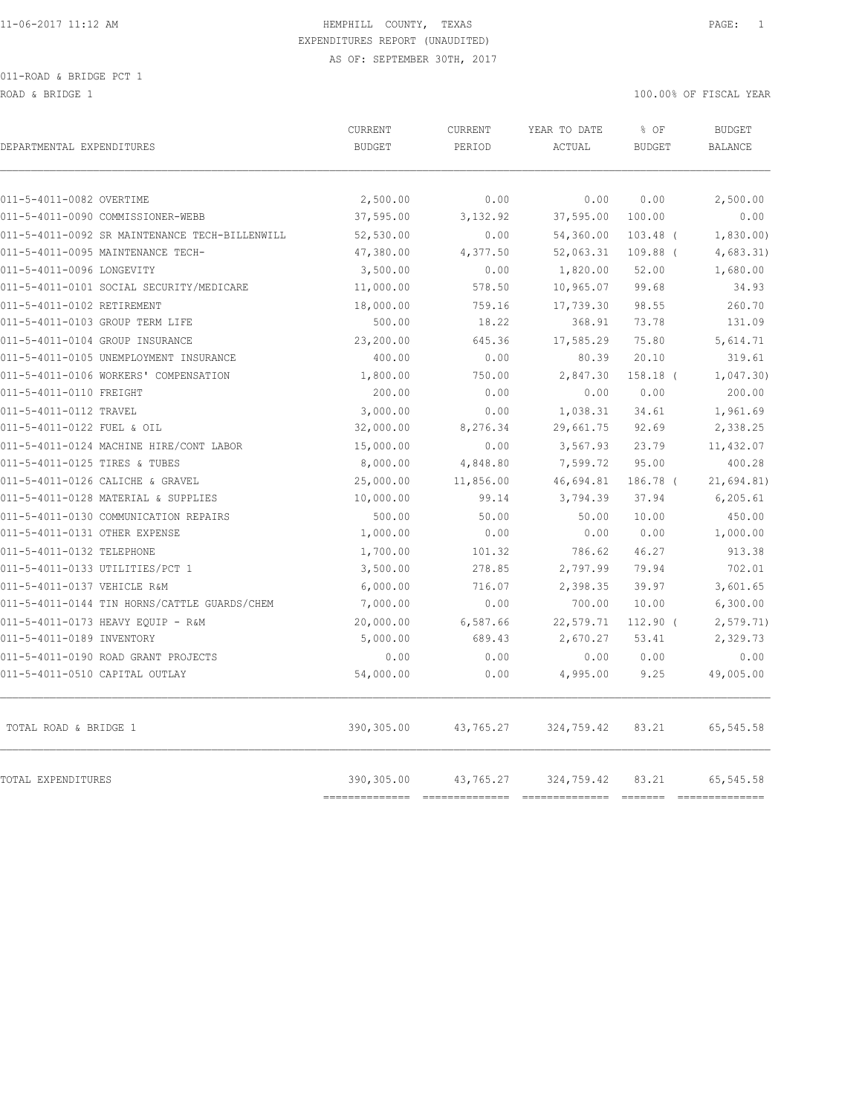ROAD & BRIDGE 1 100.00% OF FISCAL YEAR

| DEPARTMENTAL EXPENDITURES                      | CURRENT<br><b>BUDGET</b> | CURRENT<br>PERIOD | YEAR TO DATE<br>ACTUAL | % OF<br><b>BUDGET</b> | <b>BUDGET</b><br><b>BALANCE</b> |
|------------------------------------------------|--------------------------|-------------------|------------------------|-----------------------|---------------------------------|
| 011-5-4011-0082 OVERTIME                       | 2,500.00                 | 0.00              | 0.00                   | 0.00                  | 2,500.00                        |
| 011-5-4011-0090 COMMISSIONER-WEBB              | 37,595.00                | 3,132.92          | 37,595.00              | 100.00                | 0.00                            |
| 011-5-4011-0092 SR MAINTENANCE TECH-BILLENWILL | 52,530.00                | 0.00              | 54,360.00              | $103.48$ (            | 1,830.00                        |
| 011-5-4011-0095 MAINTENANCE TECH-              | 47,380.00                | 4,377.50          | 52,063.31              | $109.88$ (            | 4,683.31)                       |
| 011-5-4011-0096 LONGEVITY                      | 3,500.00                 | 0.00              | 1,820.00               | 52.00                 | 1,680.00                        |
| 011-5-4011-0101 SOCIAL SECURITY/MEDICARE       | 11,000.00                | 578.50            | 10,965.07              | 99.68                 | 34.93                           |
| 011-5-4011-0102 RETIREMENT                     | 18,000.00                | 759.16            | 17,739.30              | 98.55                 | 260.70                          |
| 011-5-4011-0103 GROUP TERM LIFE                | 500.00                   | 18.22             | 368.91                 | 73.78                 | 131.09                          |
| 011-5-4011-0104 GROUP INSURANCE                | 23,200.00                | 645.36            | 17,585.29              | 75.80                 | 5,614.71                        |
| 011-5-4011-0105 UNEMPLOYMENT INSURANCE         | 400.00                   | 0.00              | 80.39                  | 20.10                 | 319.61                          |
| 011-5-4011-0106 WORKERS' COMPENSATION          | 1,800.00                 | 750.00            | 2,847.30               | 158.18 (              | 1,047.30                        |
| 011-5-4011-0110 FREIGHT                        | 200.00                   | 0.00              | 0.00                   | 0.00                  | 200.00                          |
| 011-5-4011-0112 TRAVEL                         | 3,000.00                 | 0.00              | 1,038.31               | 34.61                 | 1,961.69                        |
| 011-5-4011-0122 FUEL & OIL                     | 32,000.00                | 8,276.34          | 29,661.75              | 92.69                 | 2,338.25                        |
| 011-5-4011-0124 MACHINE HIRE/CONT LABOR        | 15,000.00                | 0.00              | 3,567.93               | 23.79                 | 11,432.07                       |
| 011-5-4011-0125 TIRES & TUBES                  | 8,000.00                 | 4,848.80          | 7,599.72               | 95.00                 | 400.28                          |
| 011-5-4011-0126 CALICHE & GRAVEL               | 25,000.00                | 11,856.00         | 46,694.81              | 186.78 (              | 21,694.81)                      |
| 011-5-4011-0128 MATERIAL & SUPPLIES            | 10,000.00                | 99.14             | 3,794.39               | 37.94                 | 6, 205.61                       |
| 011-5-4011-0130 COMMUNICATION REPAIRS          | 500.00                   | 50.00             | 50.00                  | 10.00                 | 450.00                          |
| 011-5-4011-0131 OTHER EXPENSE                  | 1,000.00                 | 0.00              | 0.00                   | 0.00                  | 1,000.00                        |
| 011-5-4011-0132 TELEPHONE                      | 1,700.00                 | 101.32            | 786.62                 | 46.27                 | 913.38                          |
| 011-5-4011-0133 UTILITIES/PCT 1                | 3,500.00                 | 278.85            | 2,797.99               | 79.94                 | 702.01                          |
| 011-5-4011-0137 VEHICLE R&M                    | 6,000.00                 | 716.07            | 2,398.35               | 39.97                 | 3,601.65                        |
| 011-5-4011-0144 TIN HORNS/CATTLE GUARDS/CHEM   | 7,000.00                 | 0.00              | 700.00                 | 10.00                 | 6,300.00                        |
| 011-5-4011-0173 HEAVY EQUIP - R&M              | 20,000.00                | 6,587.66          | 22,579.71              | 112.90 (              | 2, 579.71                       |
| 011-5-4011-0189 INVENTORY                      | 5,000.00                 | 689.43            | 2,670.27               | 53.41                 | 2,329.73                        |
| 011-5-4011-0190 ROAD GRANT PROJECTS            | 0.00                     | 0.00              | 0.00                   | 0.00                  | 0.00                            |
| 011-5-4011-0510 CAPITAL OUTLAY                 | 54,000.00                | 0.00              | 4,995.00               | 9.25                  | 49,005.00                       |
| TOTAL ROAD & BRIDGE 1                          | 390,305.00               | 43,765.27         | 324,759.42             | 83.21                 | 65,545.58                       |
| TOTAL EXPENDITURES                             | 390,305.00               | 43,765.27         | 324,759.42             | 83.21                 | 65,545.58                       |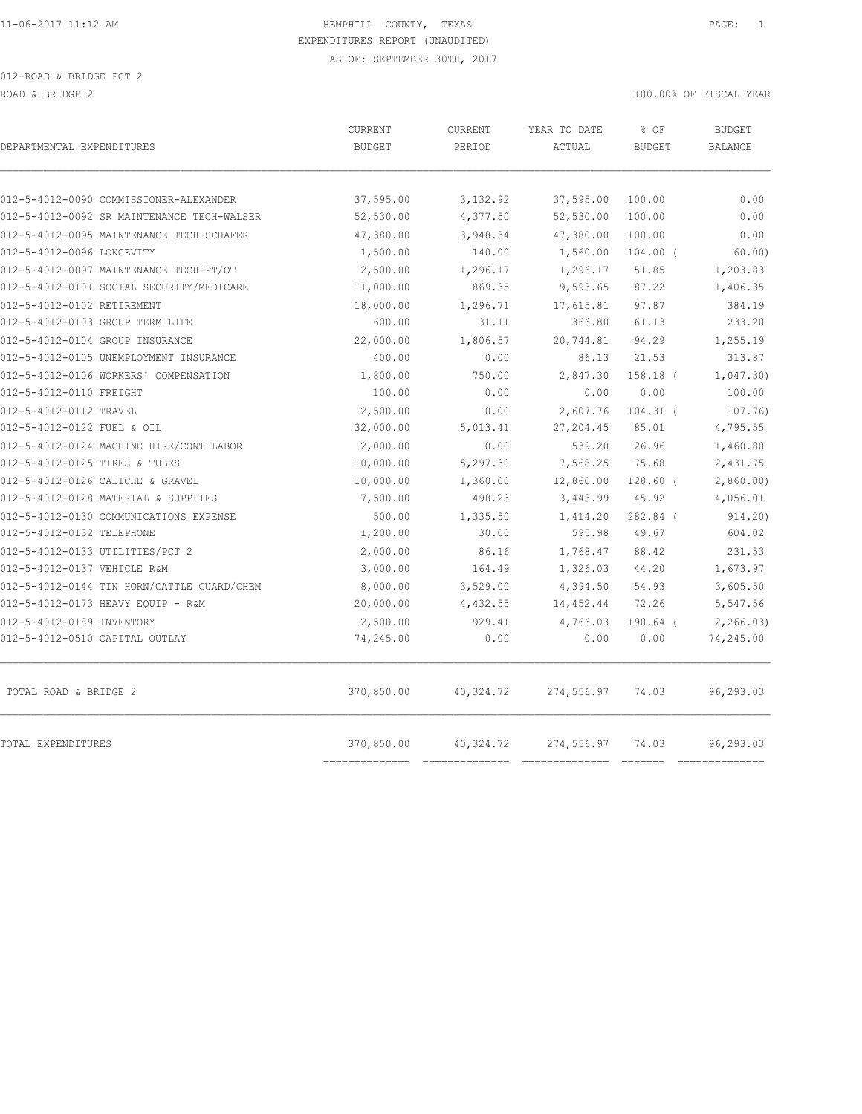| DEPARTMENTAL EXPENDITURES                  | CURRENT<br><b>BUDGET</b>     | <b>CURRENT</b><br>PERIOD | YEAR TO DATE<br>ACTUAL | % OF<br><b>BUDGET</b> | <b>BUDGET</b><br><b>BALANCE</b> |
|--------------------------------------------|------------------------------|--------------------------|------------------------|-----------------------|---------------------------------|
|                                            |                              |                          |                        |                       |                                 |
| 012-5-4012-0090 COMMISSIONER-ALEXANDER     | 37,595.00                    | 3,132.92                 | 37,595.00              | 100.00                | 0.00                            |
| 012-5-4012-0092 SR MAINTENANCE TECH-WALSER | 52,530.00                    | 4,377.50                 | 52, 530.00             | 100.00                | 0.00                            |
| 012-5-4012-0095 MAINTENANCE TECH-SCHAFER   | 47,380.00                    | 3,948.34                 | 47,380.00              | 100.00                | 0.00                            |
| 012-5-4012-0096 LONGEVITY                  | 1,500.00                     | 140.00                   | 1,560.00               | $104.00$ (            | 60.00)                          |
| 012-5-4012-0097 MAINTENANCE TECH-PT/OT     | 2,500.00                     | 1,296.17                 | 1,296.17               | 51.85                 | 1,203.83                        |
| 012-5-4012-0101 SOCIAL SECURITY/MEDICARE   | 11,000.00                    | 869.35                   | 9,593.65               | 87.22                 | 1,406.35                        |
| 012-5-4012-0102 RETIREMENT                 | 18,000.00                    | 1,296.71                 | 17,615.81              | 97.87                 | 384.19                          |
| 012-5-4012-0103 GROUP TERM LIFE            | 600.00                       | 31.11                    | 366.80                 | 61.13                 | 233.20                          |
| 012-5-4012-0104 GROUP INSURANCE            | 22,000.00                    | 1,806.57                 | 20,744.81              | 94.29                 | 1,255.19                        |
| 012-5-4012-0105 UNEMPLOYMENT INSURANCE     | 400.00                       | 0.00                     | 86.13                  | 21.53                 | 313.87                          |
| 012-5-4012-0106 WORKERS' COMPENSATION      | 1,800.00                     | 750.00                   | 2,847.30               | 158.18 (              | 1,047.30                        |
| 012-5-4012-0110 FREIGHT                    | 100.00                       | 0.00                     | 0.00                   | 0.00                  | 100.00                          |
| 012-5-4012-0112 TRAVEL                     | 2,500.00                     | 0.00                     | 2,607.76               | $104.31$ (            | 107.76)                         |
| 012-5-4012-0122 FUEL & OIL                 | 32,000.00                    | 5,013.41                 | 27, 204.45             | 85.01                 | 4,795.55                        |
| 012-5-4012-0124 MACHINE HIRE/CONT LABOR    | 2,000.00                     | 0.00                     | 539.20                 | 26.96                 | 1,460.80                        |
| 012-5-4012-0125 TIRES & TUBES              | 10,000.00                    | 5,297.30                 | 7,568.25               | 75.68                 | 2,431.75                        |
| 012-5-4012-0126 CALICHE & GRAVEL           | 10,000.00                    | 1,360.00                 | 12,860.00              | $128.60$ (            | 2,860.00                        |
| 012-5-4012-0128 MATERIAL & SUPPLIES        | 7,500.00                     | 498.23                   | 3,443.99               | 45.92                 | 4,056.01                        |
| 012-5-4012-0130 COMMUNICATIONS EXPENSE     | 500.00                       | 1,335.50                 | 1,414.20               | 282.84 (              | 914.20)                         |
| 012-5-4012-0132 TELEPHONE                  | 1,200.00                     | 30.00                    | 595.98                 | 49.67                 | 604.02                          |
| 012-5-4012-0133 UTILITIES/PCT 2            | 2,000.00                     | 86.16                    | 1,768.47               | 88.42                 | 231.53                          |
| 012-5-4012-0137 VEHICLE R&M                | 3,000.00                     | 164.49                   | 1,326.03               | 44.20                 | 1,673.97                        |
| 012-5-4012-0144 TIN HORN/CATTLE GUARD/CHEM | 8,000.00                     | 3,529.00                 | 4,394.50               | 54.93                 | 3,605.50                        |
| 012-5-4012-0173 HEAVY EQUIP - R&M          | 20,000.00                    | 4,432.55                 | 14,452.44              | 72.26                 | 5,547.56                        |
| 012-5-4012-0189 INVENTORY                  | 2,500.00                     | 929.41                   | 4,766.03               | $190.64$ (            | 2, 266.03                       |
| 012-5-4012-0510 CAPITAL OUTLAY             | 74,245.00                    | 0.00                     | 0.00                   | 0.00                  | 74,245.00                       |
| TOTAL ROAD & BRIDGE 2                      | 370,850.00                   | 40,324.72                | 274,556.97             | 74.03                 | 96,293.03                       |
| TOTAL EXPENDITURES                         | 370,850.00<br>-------------- | 40,324.72                | 274,556.97             | 74.03                 | 96,293.03<br>==============     |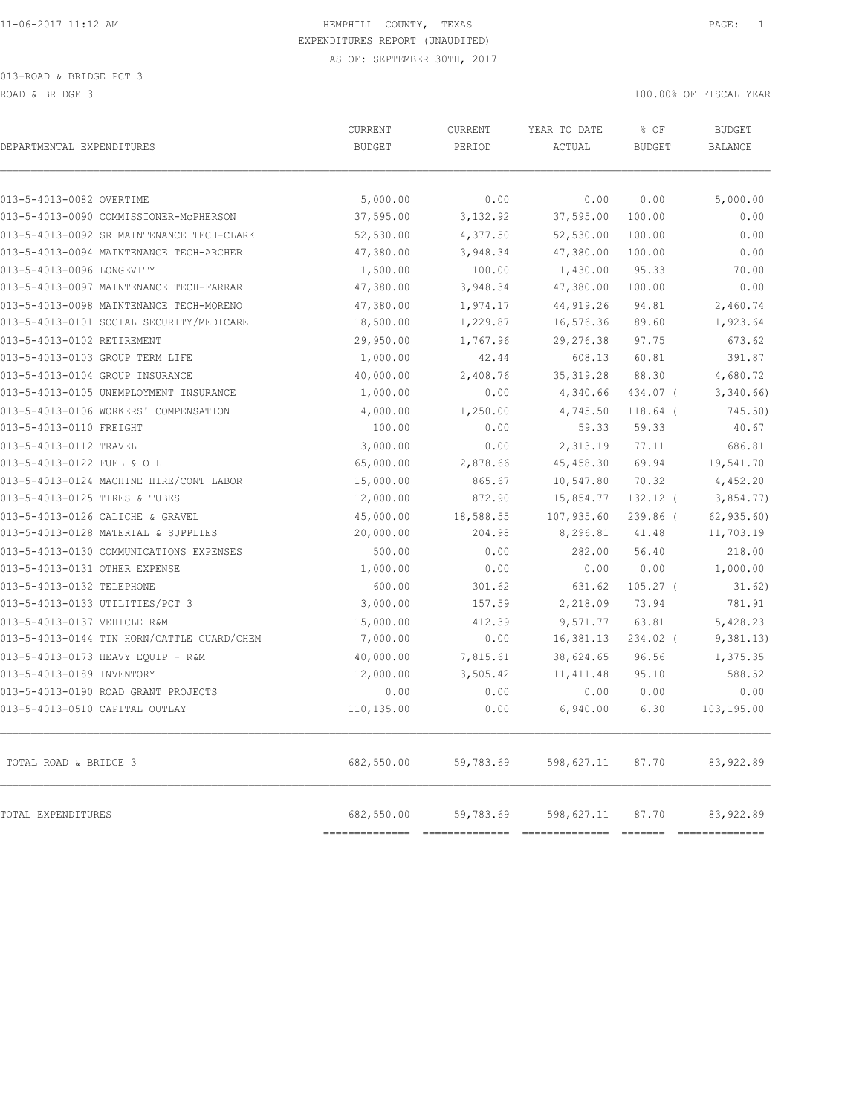| DEPARTMENTAL EXPENDITURES                  | CURRENT<br><b>BUDGET</b>     | <b>CURRENT</b><br>PERIOD | YEAR TO DATE<br>ACTUAL        | % OF<br><b>BUDGET</b>                                                                                                                                                                                                                                                                                                                                                                                                                                                                           | <b>BUDGET</b><br><b>BALANCE</b>                                                                                                                                                                                                                                                                                                                                                                |
|--------------------------------------------|------------------------------|--------------------------|-------------------------------|-------------------------------------------------------------------------------------------------------------------------------------------------------------------------------------------------------------------------------------------------------------------------------------------------------------------------------------------------------------------------------------------------------------------------------------------------------------------------------------------------|------------------------------------------------------------------------------------------------------------------------------------------------------------------------------------------------------------------------------------------------------------------------------------------------------------------------------------------------------------------------------------------------|
| 013-5-4013-0082 OVERTIME                   | 5,000.00                     | 0.00                     | 0.00                          | 0.00                                                                                                                                                                                                                                                                                                                                                                                                                                                                                            | 5,000.00                                                                                                                                                                                                                                                                                                                                                                                       |
| 013-5-4013-0090 COMMISSIONER-MCPHERSON     | 37,595.00                    | 3,132.92                 | 37,595.00                     | 100.00                                                                                                                                                                                                                                                                                                                                                                                                                                                                                          | 0.00                                                                                                                                                                                                                                                                                                                                                                                           |
| 013-5-4013-0092 SR MAINTENANCE TECH-CLARK  | 52,530.00                    | 4,377.50                 | 52,530.00                     | 100.00                                                                                                                                                                                                                                                                                                                                                                                                                                                                                          | 0.00                                                                                                                                                                                                                                                                                                                                                                                           |
| 013-5-4013-0094 MAINTENANCE TECH-ARCHER    | 47,380.00                    | 3,948.34                 | 47,380.00                     | 100.00                                                                                                                                                                                                                                                                                                                                                                                                                                                                                          | 0.00                                                                                                                                                                                                                                                                                                                                                                                           |
| 013-5-4013-0096 LONGEVITY                  | 1,500.00                     | 100.00                   | 1,430.00                      | 95.33                                                                                                                                                                                                                                                                                                                                                                                                                                                                                           | 70.00                                                                                                                                                                                                                                                                                                                                                                                          |
| 013-5-4013-0097 MAINTENANCE TECH-FARRAR    | 47,380.00                    | 3,948.34                 | 47,380.00                     | 100.00                                                                                                                                                                                                                                                                                                                                                                                                                                                                                          | 0.00                                                                                                                                                                                                                                                                                                                                                                                           |
| 013-5-4013-0098 MAINTENANCE TECH-MORENO    | 47,380.00                    | 1,974.17                 | 44, 919.26                    | 94.81                                                                                                                                                                                                                                                                                                                                                                                                                                                                                           | 2,460.74                                                                                                                                                                                                                                                                                                                                                                                       |
| 013-5-4013-0101 SOCIAL SECURITY/MEDICARE   | 18,500.00                    | 1,229.87                 | 16,576.36                     | 89.60                                                                                                                                                                                                                                                                                                                                                                                                                                                                                           | 1,923.64                                                                                                                                                                                                                                                                                                                                                                                       |
| 013-5-4013-0102 RETIREMENT                 | 29,950.00                    | 1,767.96                 | 29, 276.38                    | 97.75                                                                                                                                                                                                                                                                                                                                                                                                                                                                                           | 673.62                                                                                                                                                                                                                                                                                                                                                                                         |
| 013-5-4013-0103 GROUP TERM LIFE            | 1,000.00                     | 42.44                    | 608.13                        | 60.81                                                                                                                                                                                                                                                                                                                                                                                                                                                                                           | 391.87                                                                                                                                                                                                                                                                                                                                                                                         |
| 013-5-4013-0104 GROUP INSURANCE            | 40,000.00                    | 2,408.76                 | 35, 319.28                    | 88.30                                                                                                                                                                                                                                                                                                                                                                                                                                                                                           | 4,680.72                                                                                                                                                                                                                                                                                                                                                                                       |
| 013-5-4013-0105 UNEMPLOYMENT INSURANCE     | 1,000.00                     | 0.00                     | 4,340.66                      | 434.07 (                                                                                                                                                                                                                                                                                                                                                                                                                                                                                        | 3,340.66                                                                                                                                                                                                                                                                                                                                                                                       |
| 013-5-4013-0106 WORKERS' COMPENSATION      | 4,000.00                     | 1,250.00                 | 4,745.50                      | $118.64$ (                                                                                                                                                                                                                                                                                                                                                                                                                                                                                      | 745.50)                                                                                                                                                                                                                                                                                                                                                                                        |
| 013-5-4013-0110 FREIGHT                    | 100.00                       | 0.00                     | 59.33                         | 59.33                                                                                                                                                                                                                                                                                                                                                                                                                                                                                           | 40.67                                                                                                                                                                                                                                                                                                                                                                                          |
| 013-5-4013-0112 TRAVEL                     | 3,000.00                     | 0.00                     | 2,313.19                      | 77.11                                                                                                                                                                                                                                                                                                                                                                                                                                                                                           | 686.81                                                                                                                                                                                                                                                                                                                                                                                         |
| 013-5-4013-0122 FUEL & OIL                 | 65,000.00                    | 2,878.66                 | 45, 458.30                    | 69.94                                                                                                                                                                                                                                                                                                                                                                                                                                                                                           | 19,541.70                                                                                                                                                                                                                                                                                                                                                                                      |
| 013-5-4013-0124 MACHINE HIRE/CONT LABOR    | 15,000.00                    | 865.67                   | 10,547.80                     | 70.32                                                                                                                                                                                                                                                                                                                                                                                                                                                                                           | 4,452.20                                                                                                                                                                                                                                                                                                                                                                                       |
| 013-5-4013-0125 TIRES & TUBES              | 12,000.00                    | 872.90                   | 15,854.77                     | $132.12$ (                                                                                                                                                                                                                                                                                                                                                                                                                                                                                      | 3,854.77)                                                                                                                                                                                                                                                                                                                                                                                      |
| 013-5-4013-0126 CALICHE & GRAVEL           | 45,000.00                    | 18,588.55                | 107,935.60                    | 239.86 (                                                                                                                                                                                                                                                                                                                                                                                                                                                                                        | 62, 935.60                                                                                                                                                                                                                                                                                                                                                                                     |
| 013-5-4013-0128 MATERIAL & SUPPLIES        | 20,000.00                    | 204.98                   | 8,296.81                      | 41.48                                                                                                                                                                                                                                                                                                                                                                                                                                                                                           | 11,703.19                                                                                                                                                                                                                                                                                                                                                                                      |
| 013-5-4013-0130 COMMUNICATIONS EXPENSES    | 500.00                       | 0.00                     | 282.00                        | 56.40                                                                                                                                                                                                                                                                                                                                                                                                                                                                                           | 218.00                                                                                                                                                                                                                                                                                                                                                                                         |
| 013-5-4013-0131 OTHER EXPENSE              | 1,000.00                     | 0.00                     | 0.00                          | 0.00                                                                                                                                                                                                                                                                                                                                                                                                                                                                                            | 1,000.00                                                                                                                                                                                                                                                                                                                                                                                       |
| 013-5-4013-0132 TELEPHONE                  | 600.00                       | 301.62                   | 631.62                        | $105.27$ (                                                                                                                                                                                                                                                                                                                                                                                                                                                                                      | 31.62)                                                                                                                                                                                                                                                                                                                                                                                         |
| 013-5-4013-0133 UTILITIES/PCT 3            | 3,000.00                     | 157.59                   | 2,218.09                      | 73.94                                                                                                                                                                                                                                                                                                                                                                                                                                                                                           | 781.91                                                                                                                                                                                                                                                                                                                                                                                         |
| 013-5-4013-0137 VEHICLE R&M                | 15,000.00                    | 412.39                   | 9,571.77                      | 63.81                                                                                                                                                                                                                                                                                                                                                                                                                                                                                           | 5,428.23                                                                                                                                                                                                                                                                                                                                                                                       |
| 013-5-4013-0144 TIN HORN/CATTLE GUARD/CHEM | 7,000.00                     | 0.00                     | 16,381.13                     | 234.02 (                                                                                                                                                                                                                                                                                                                                                                                                                                                                                        | 9,381.13)                                                                                                                                                                                                                                                                                                                                                                                      |
| 013-5-4013-0173 HEAVY EQUIP - R&M          | 40,000.00                    | 7,815.61                 | 38,624.65                     | 96.56                                                                                                                                                                                                                                                                                                                                                                                                                                                                                           | 1,375.35                                                                                                                                                                                                                                                                                                                                                                                       |
| 013-5-4013-0189 INVENTORY                  | 12,000.00                    | 3,505.42                 | 11, 411.48                    | 95.10                                                                                                                                                                                                                                                                                                                                                                                                                                                                                           | 588.52                                                                                                                                                                                                                                                                                                                                                                                         |
| 013-5-4013-0190 ROAD GRANT PROJECTS        | 0.00                         | 0.00                     | 0.00                          | 0.00                                                                                                                                                                                                                                                                                                                                                                                                                                                                                            | 0.00                                                                                                                                                                                                                                                                                                                                                                                           |
| 013-5-4013-0510 CAPITAL OUTLAY             | 110,135.00                   | 0.00                     | 6,940.00                      | 6.30                                                                                                                                                                                                                                                                                                                                                                                                                                                                                            | 103,195.00                                                                                                                                                                                                                                                                                                                                                                                     |
| TOTAL ROAD & BRIDGE 3                      | 682,550.00                   | 59,783.69                | 598,627.11                    | 87.70                                                                                                                                                                                                                                                                                                                                                                                                                                                                                           | 83,922.89                                                                                                                                                                                                                                                                                                                                                                                      |
| TOTAL EXPENDITURES                         | 682,550.00<br>============== | 59,783.69                | 598,627.11<br>=============== | 87.70<br>$\begin{array}{cccccccccc} \multicolumn{2}{c}{} & \multicolumn{2}{c}{} & \multicolumn{2}{c}{} & \multicolumn{2}{c}{} & \multicolumn{2}{c}{} & \multicolumn{2}{c}{} & \multicolumn{2}{c}{} & \multicolumn{2}{c}{} & \multicolumn{2}{c}{} & \multicolumn{2}{c}{} & \multicolumn{2}{c}{} & \multicolumn{2}{c}{} & \multicolumn{2}{c}{} & \multicolumn{2}{c}{} & \multicolumn{2}{c}{} & \multicolumn{2}{c}{} & \multicolumn{2}{c}{} & \multicolumn{2}{c}{} & \multicolumn{2}{c}{} & \mult$ | 83, 922.89<br>$\begin{array}{c} \rule{0pt}{2.5mm} \rule{0pt}{2.5mm} \rule{0pt}{2.5mm} \rule{0pt}{2.5mm} \rule{0pt}{2.5mm} \rule{0pt}{2.5mm} \rule{0pt}{2.5mm} \rule{0pt}{2.5mm} \rule{0pt}{2.5mm} \rule{0pt}{2.5mm} \rule{0pt}{2.5mm} \rule{0pt}{2.5mm} \rule{0pt}{2.5mm} \rule{0pt}{2.5mm} \rule{0pt}{2.5mm} \rule{0pt}{2.5mm} \rule{0pt}{2.5mm} \rule{0pt}{2.5mm} \rule{0pt}{2.5mm} \rule{0$ |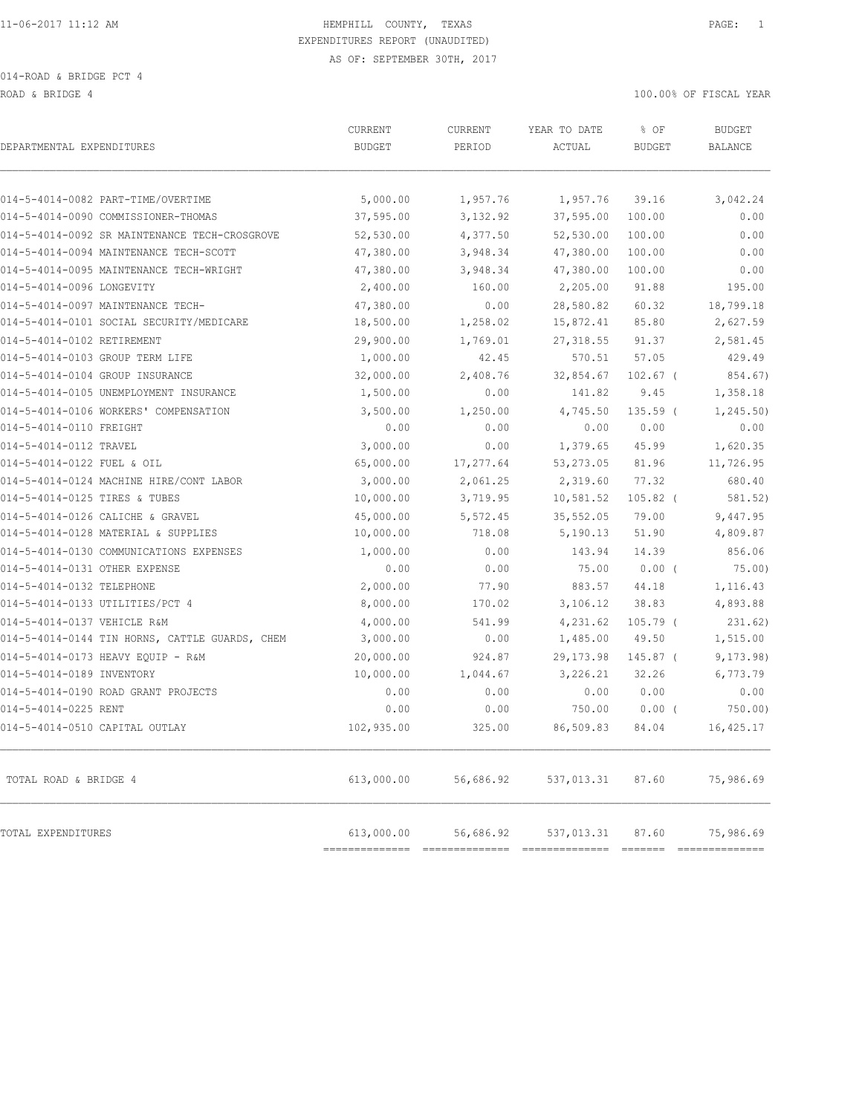ROAD & BRIDGE 4 100.00% OF FISCAL YEAR

| DEPARTMENTAL EXPENDITURES                      | <b>CURRENT</b><br><b>BUDGET</b> | <b>CURRENT</b><br>PERIOD | YEAR TO DATE<br>ACTUAL | % OF<br><b>BUDGET</b> | <b>BUDGET</b><br><b>BALANCE</b> |
|------------------------------------------------|---------------------------------|--------------------------|------------------------|-----------------------|---------------------------------|
| 014-5-4014-0082 PART-TIME/OVERTIME             | 5,000.00                        | 1,957.76                 | 1,957.76               | 39.16                 | 3,042.24                        |
| 014-5-4014-0090 COMMISSIONER-THOMAS            | 37,595.00                       | 3,132.92                 | 37,595.00              | 100.00                | 0.00                            |
| 014-5-4014-0092 SR MAINTENANCE TECH-CROSGROVE  | 52,530.00                       | 4,377.50                 | 52,530.00              | 100.00                | 0.00                            |
| 014-5-4014-0094 MAINTENANCE TECH-SCOTT         | 47,380.00                       | 3,948.34                 | 47,380.00              | 100.00                | 0.00                            |
| 014-5-4014-0095 MAINTENANCE TECH-WRIGHT        | 47,380.00                       | 3,948.34                 | 47,380.00              | 100.00                | 0.00                            |
| 014-5-4014-0096 LONGEVITY                      | 2,400.00                        | 160.00                   | 2,205.00               | 91.88                 | 195.00                          |
| 014-5-4014-0097 MAINTENANCE TECH-              | 47,380.00                       | 0.00                     | 28,580.82              | 60.32                 | 18,799.18                       |
| 014-5-4014-0101 SOCIAL SECURITY/MEDICARE       | 18,500.00                       | 1,258.02                 | 15,872.41              | 85.80                 | 2,627.59                        |
| 014-5-4014-0102 RETIREMENT                     | 29,900.00                       | 1,769.01                 | 27, 318.55             | 91.37                 | 2,581.45                        |
| 014-5-4014-0103 GROUP TERM LIFE                | 1,000.00                        | 42.45                    | 570.51                 | 57.05                 | 429.49                          |
| 014-5-4014-0104 GROUP INSURANCE                | 32,000.00                       | 2,408.76                 | 32,854.67              | $102.67$ (            | 854.67)                         |
| 014-5-4014-0105 UNEMPLOYMENT INSURANCE         | 1,500.00                        | 0.00                     | 141.82                 | 9.45                  | 1,358.18                        |
| 014-5-4014-0106 WORKERS' COMPENSATION          | 3,500.00                        | 1,250.00                 | 4,745.50               | $135.59$ (            | 1, 245.50                       |
| 014-5-4014-0110 FREIGHT                        | 0.00                            | 0.00                     | 0.00                   | 0.00                  | 0.00                            |
| 014-5-4014-0112 TRAVEL                         | 3,000.00                        | 0.00                     | 1,379.65               | 45.99                 | 1,620.35                        |
| 014-5-4014-0122 FUEL & OIL                     | 65,000.00                       | 17,277.64                | 53, 273.05             | 81.96                 | 11,726.95                       |
| 014-5-4014-0124 MACHINE HIRE/CONT LABOR        | 3,000.00                        | 2,061.25                 | 2,319.60               | 77.32                 | 680.40                          |
| 014-5-4014-0125 TIRES & TUBES                  | 10,000.00                       | 3,719.95                 | 10,581.52              | $105.82$ (            | 581.52)                         |
| 014-5-4014-0126 CALICHE & GRAVEL               | 45,000.00                       | 5,572.45                 | 35,552.05              | 79.00                 | 9,447.95                        |
| 014-5-4014-0128 MATERIAL & SUPPLIES            | 10,000.00                       | 718.08                   | 5,190.13               | 51.90                 | 4,809.87                        |
| 014-5-4014-0130 COMMUNICATIONS EXPENSES        | 1,000.00                        | 0.00                     | 143.94                 | 14.39                 | 856.06                          |
| 014-5-4014-0131 OTHER EXPENSE                  | 0.00                            | 0.00                     | 75.00                  | $0.00$ (              | 75.00)                          |
| 014-5-4014-0132 TELEPHONE                      | 2,000.00                        | 77.90                    | 883.57                 | 44.18                 | 1,116.43                        |
| 014-5-4014-0133 UTILITIES/PCT 4                | 8,000.00                        | 170.02                   | 3,106.12               | 38.83                 | 4,893.88                        |
| 014-5-4014-0137 VEHICLE R&M                    | 4,000.00                        | 541.99                   | 4,231.62               | $105.79$ (            | 231.62)                         |
| 014-5-4014-0144 TIN HORNS, CATTLE GUARDS, CHEM | 3,000.00                        | 0.00                     | 1,485.00               | 49.50                 | 1,515.00                        |
| 014-5-4014-0173 HEAVY EQUIP - R&M              | 20,000.00                       | 924.87                   | 29, 173.98             | 145.87 (              | 9, 173.98)                      |
| 014-5-4014-0189 INVENTORY                      | 10,000.00                       | 1,044.67                 | 3,226.21               | 32.26                 | 6,773.79                        |
| 014-5-4014-0190 ROAD GRANT PROJECTS            | 0.00                            | 0.00                     | 0.00                   | 0.00                  | 0.00                            |
| 014-5-4014-0225 RENT                           | 0.00                            | 0.00                     | 750.00                 | $0.00$ (              | 750.00)                         |
| 014-5-4014-0510 CAPITAL OUTLAY                 | 102,935.00                      | 325.00                   | 86,509.83              | 84.04                 | 16,425.17                       |
| TOTAL ROAD & BRIDGE 4                          | 613,000.00                      | 56,686.92                | 537,013.31             | 87.60                 | 75,986.69                       |
| TOTAL EXPENDITURES                             | 613,000.00<br>------------      | 56,686.92                | 537,013.31             | 87.60                 | 75,986.69<br>============       |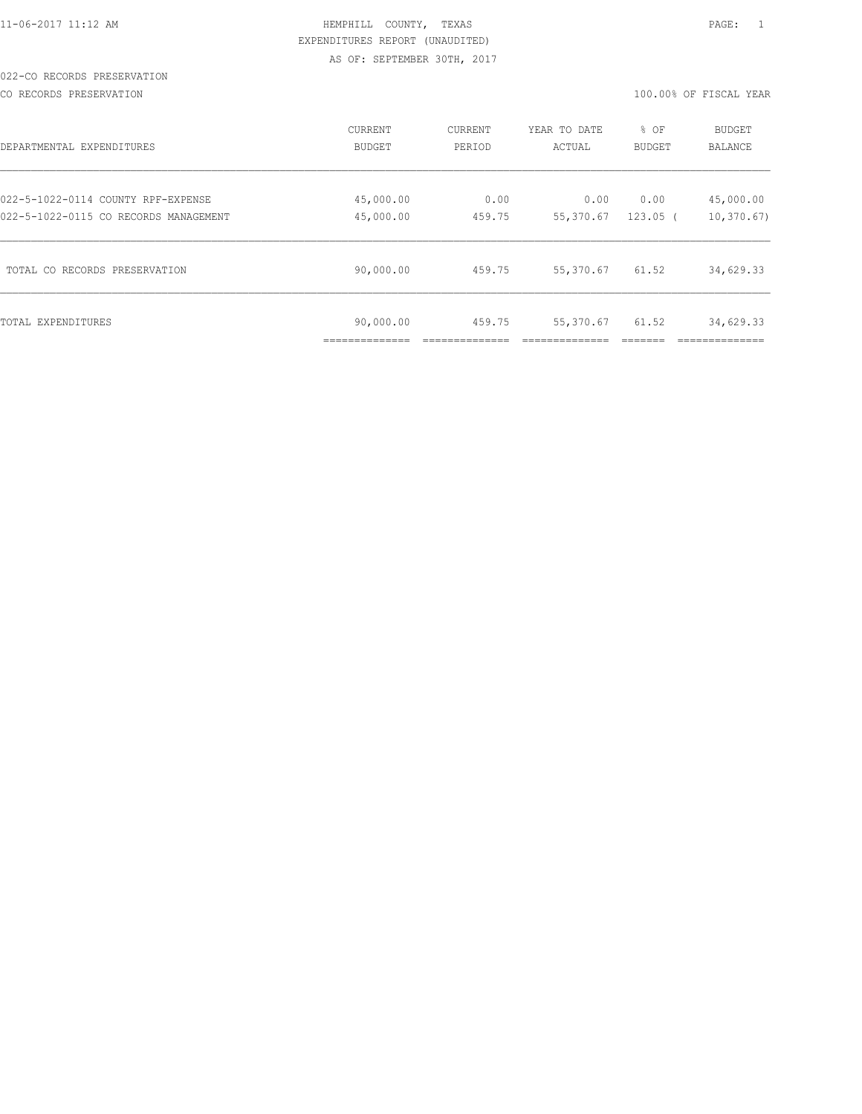CO RECORDS PRESERVATION 100.00% OF FISCAL YEAR

| DEPARTMENTAL EXPENDITURES             | CURRENT<br>BUDGET | CURRENT<br>PERIOD | YEAR TO DATE<br>ACTUAL | % OF<br>BUDGET | <b>BUDGET</b><br>BALANCE |
|---------------------------------------|-------------------|-------------------|------------------------|----------------|--------------------------|
| 022-5-1022-0114 COUNTY RPF-EXPENSE    | 45,000.00         | 0.00              | 0.00                   | 0.00           | 45,000.00                |
| 022-5-1022-0115 CO RECORDS MANAGEMENT | 45,000.00         | 459.75            | 55,370.67              | $123.05$ (     | 10, 370.67               |
| TOTAL CO RECORDS PRESERVATION         | 90,000.00         | 459.75            | 55,370.67              | 61.52          | 34,629.33                |
| TOTAL EXPENDITURES                    | 90,000.00         | 459.75            | 55,370.67              | 61.52          | 34,629.33                |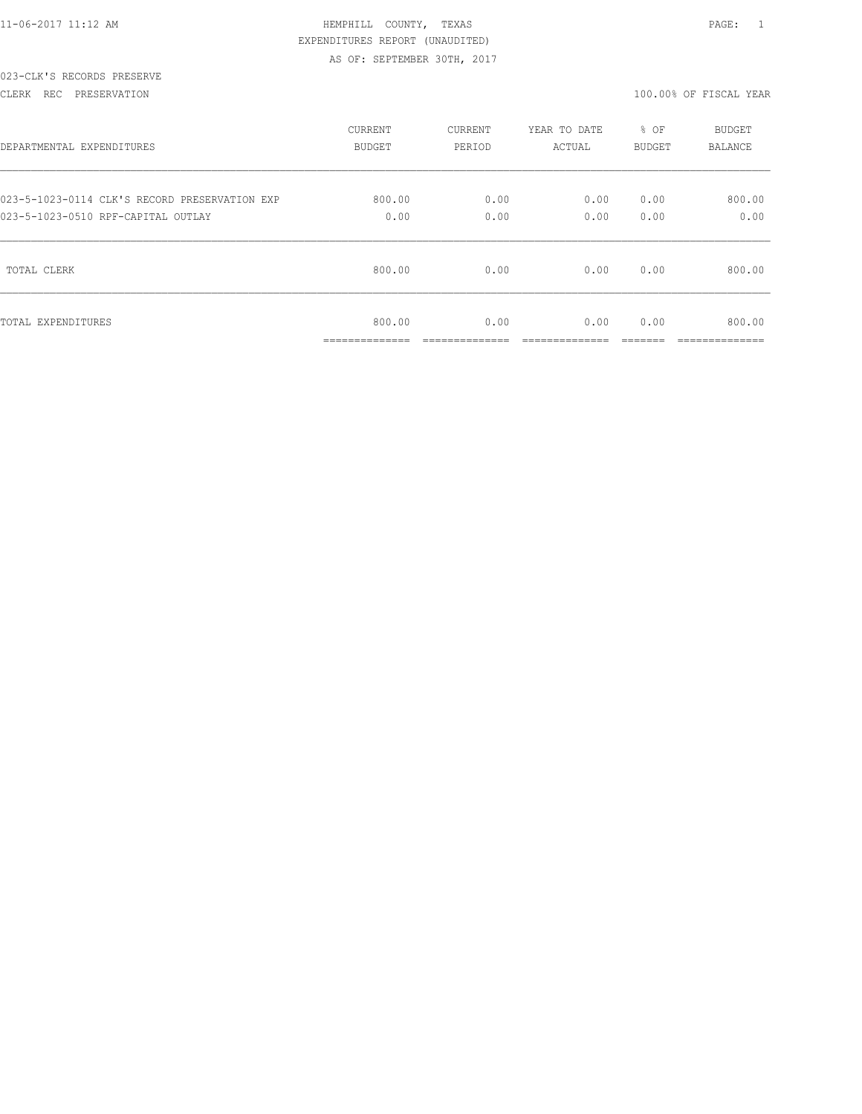#### CLERK REC PRESERVATION 100.00% OF FISCAL YEAR

| DEPARTMENTAL EXPENDITURES                     | CURRENT                                   | CURRENT | YEAR TO DATE | % OF   | <b>BUDGET</b>             |
|-----------------------------------------------|-------------------------------------------|---------|--------------|--------|---------------------------|
|                                               | BUDGET                                    | PERIOD  | ACTUAL       | BUDGET | BALANCE                   |
| 023-5-1023-0114 CLK'S RECORD PRESERVATION EXP | 800.00                                    | 0.00    | 0.00         | 0.00   | 800.00                    |
| 023-5-1023-0510 RPF-CAPITAL OUTLAY            | 0.00                                      | 0.00    | 0.00         | 0.00   | 0.00                      |
| TOTAL CLERK                                   | 800.00                                    | 0.00    | 0.00         | 0.00   | 800.00                    |
| TOTAL EXPENDITURES                            | 800.00<br>_____________<br>______________ | 0.00    | 0.00         | 0.00   | 800.00<br>--------------- |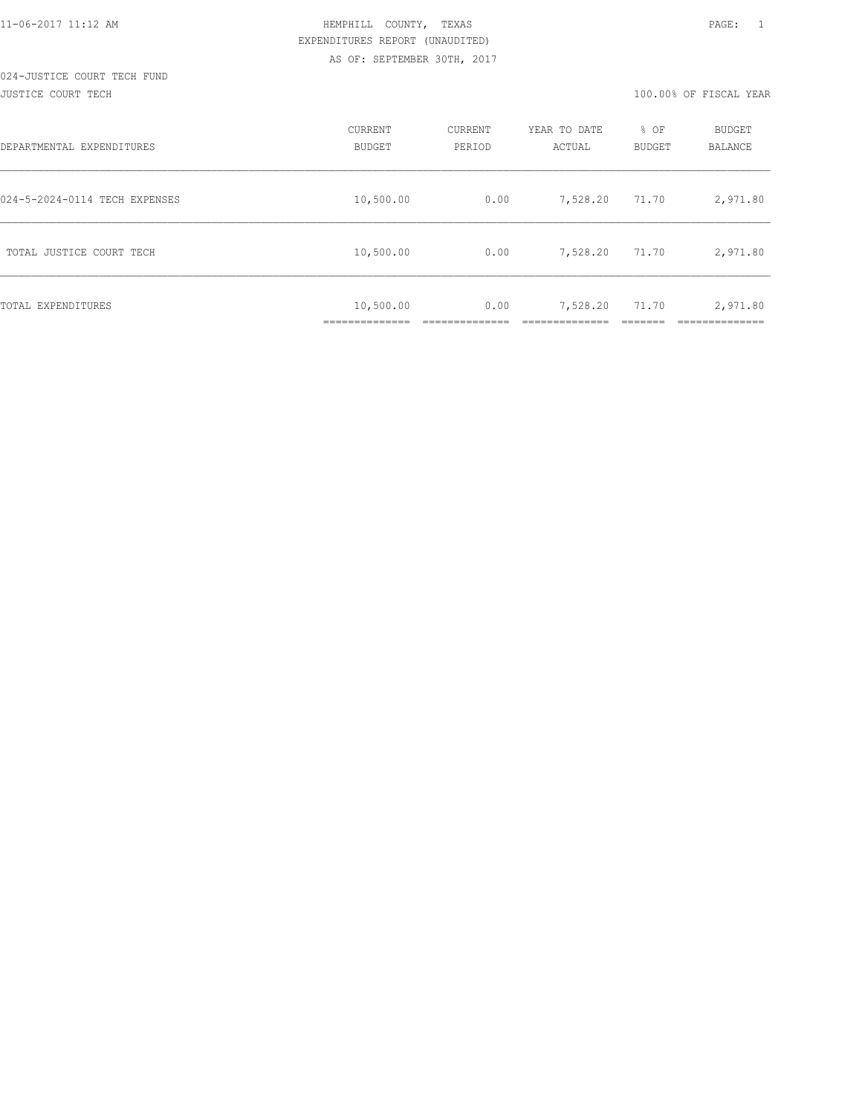#### JUSTICE COURT TECH 100.00% OF FISCAL YEAR

| DEPARTMENTAL EXPENDITURES     | CURRENT<br><b>BUDGET</b> | CURRENT<br>PERIOD | YEAR TO DATE<br>ACTUAL | % OF<br>BUDGET | BUDGET<br><b>BALANCE</b> |
|-------------------------------|--------------------------|-------------------|------------------------|----------------|--------------------------|
| 024-5-2024-0114 TECH EXPENSES | 10,500.00                | 0.00              | 7,528.20               | 71.70          | 2,971.80                 |
| TOTAL JUSTICE COURT TECH      | 10,500.00                | 0.00              | 7,528.20               | 71.70          | 2,971.80                 |
| TOTAL EXPENDITURES            | 10,500.00                | 0.00              | 7,528.20               | 71.70          | 2,971.80                 |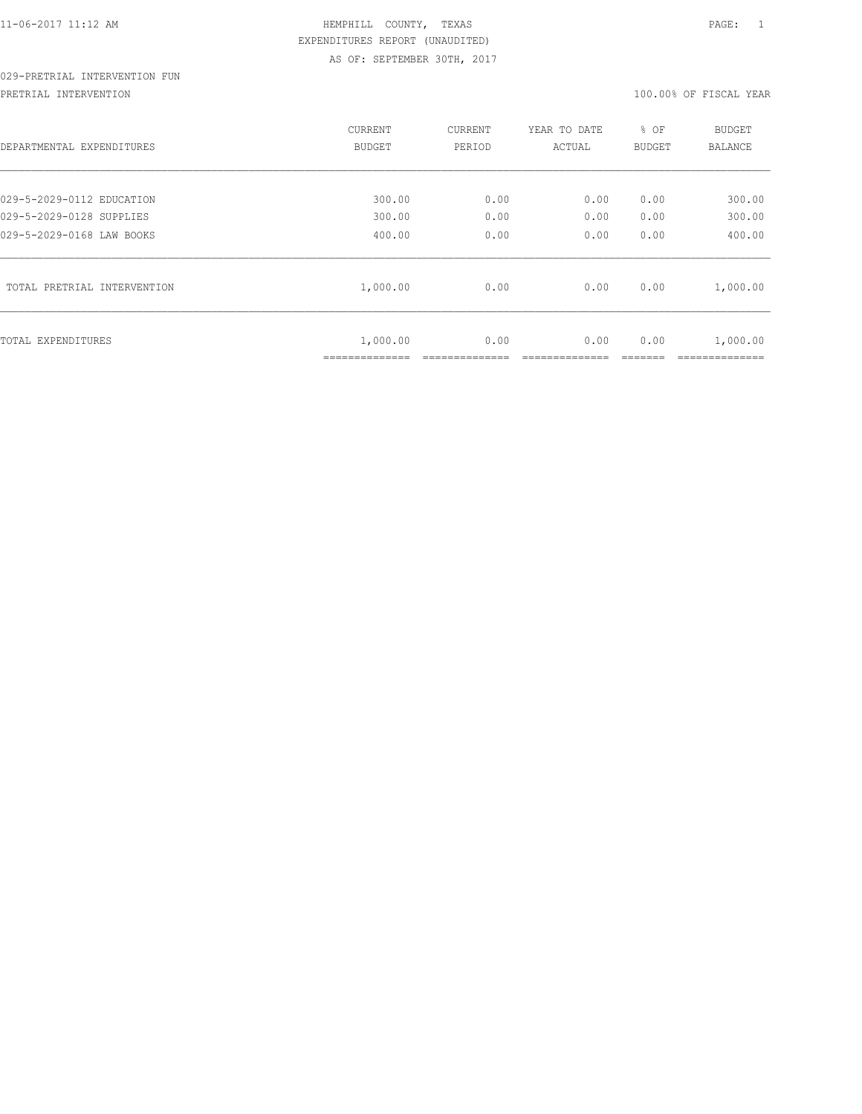# 029-PRETRIAL INTERVENTION FUN

PRETRIAL INTERVENTION 100.00% OF FISCAL YEAR

| DEPARTMENTAL EXPENDITURES   | CURRENT<br>BUDGET           | CURRENT<br>PERIOD | YEAR TO DATE<br>ACTUAL | % OF<br>BUDGET | <b>BUDGET</b><br>BALANCE |
|-----------------------------|-----------------------------|-------------------|------------------------|----------------|--------------------------|
| 029-5-2029-0112 EDUCATION   | 300.00                      | 0.00              | 0.00                   | 0.00           | 300.00                   |
| 029-5-2029-0128 SUPPLIES    | 300.00                      | 0.00              | 0.00                   | 0.00           | 300.00                   |
| 029-5-2029-0168 LAW BOOKS   | 400.00                      | 0.00              | 0.00                   | 0.00           | 400.00                   |
| TOTAL PRETRIAL INTERVENTION | 1,000.00                    | 0.00              | 0.00                   | 0.00           | 1,000.00                 |
| TOTAL EXPENDITURES          | 1,000.00<br>--------------- | 0.00              | 0.00                   | 0.00           | 1,000.00                 |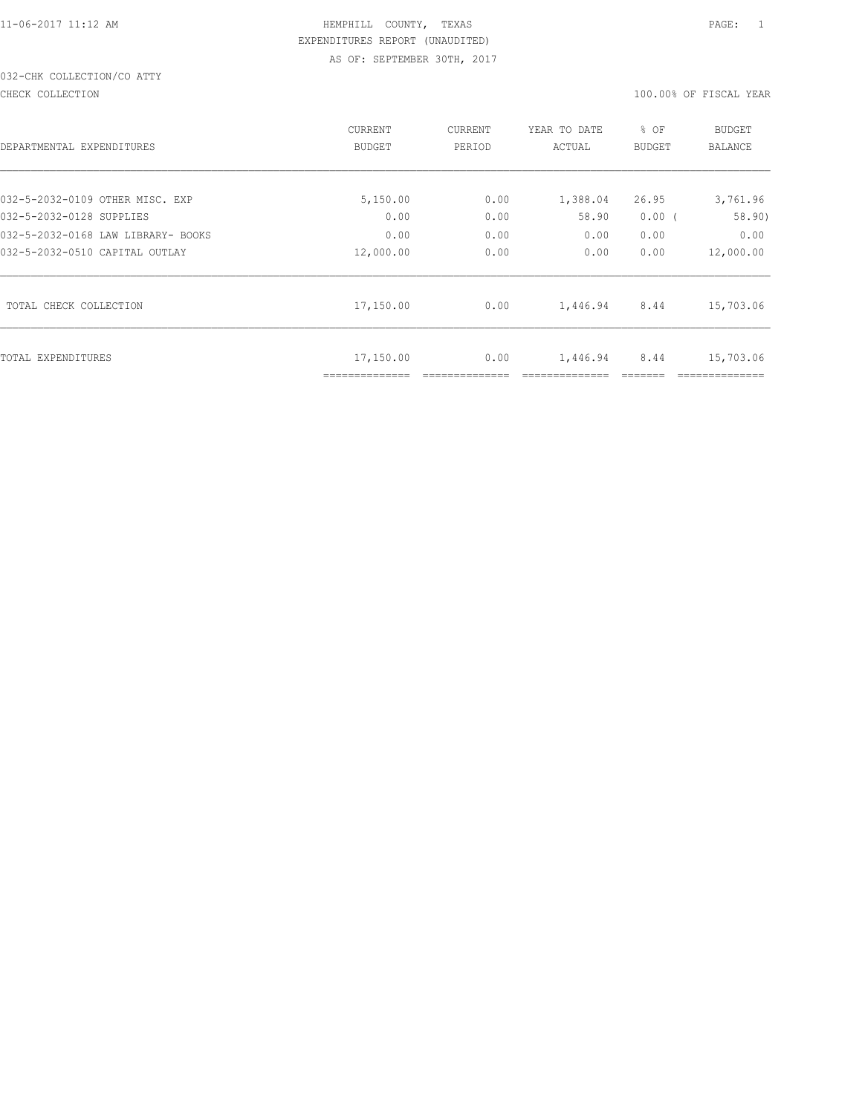# 032-CHK COLLECTION/CO ATTY

CHECK COLLECTION 100.00% OF FISCAL YEAR

| DEPARTMENTAL EXPENDITURES          | CURRENT<br><b>BUDGET</b> | CURRENT<br>PERIOD | YEAR TO DATE<br>ACTUAL | % OF<br><b>BUDGET</b> | <b>BUDGET</b><br><b>BALANCE</b> |
|------------------------------------|--------------------------|-------------------|------------------------|-----------------------|---------------------------------|
| 032-5-2032-0109 OTHER MISC. EXP    | 5,150.00                 | 0.00              | 1,388.04               | 26.95                 | 3,761.96                        |
| 032-5-2032-0128 SUPPLIES           | 0.00                     | 0.00              | 58.90                  | 0.00(                 | 58.90)                          |
| 032-5-2032-0168 LAW LIBRARY- BOOKS | 0.00                     | 0.00              | 0.00                   | 0.00                  | 0.00                            |
| 032-5-2032-0510 CAPITAL OUTLAY     | 12,000.00                | 0.00              | 0.00                   | 0.00                  | 12,000.00                       |
| TOTAL CHECK COLLECTION             | 17,150.00                | 0.00              | 1,446.94               | 8.44                  | 15,703.06                       |
| TOTAL EXPENDITURES                 | 17,150.00                | 0.00              | 1,446.94               | 8.44                  | 15,703.06                       |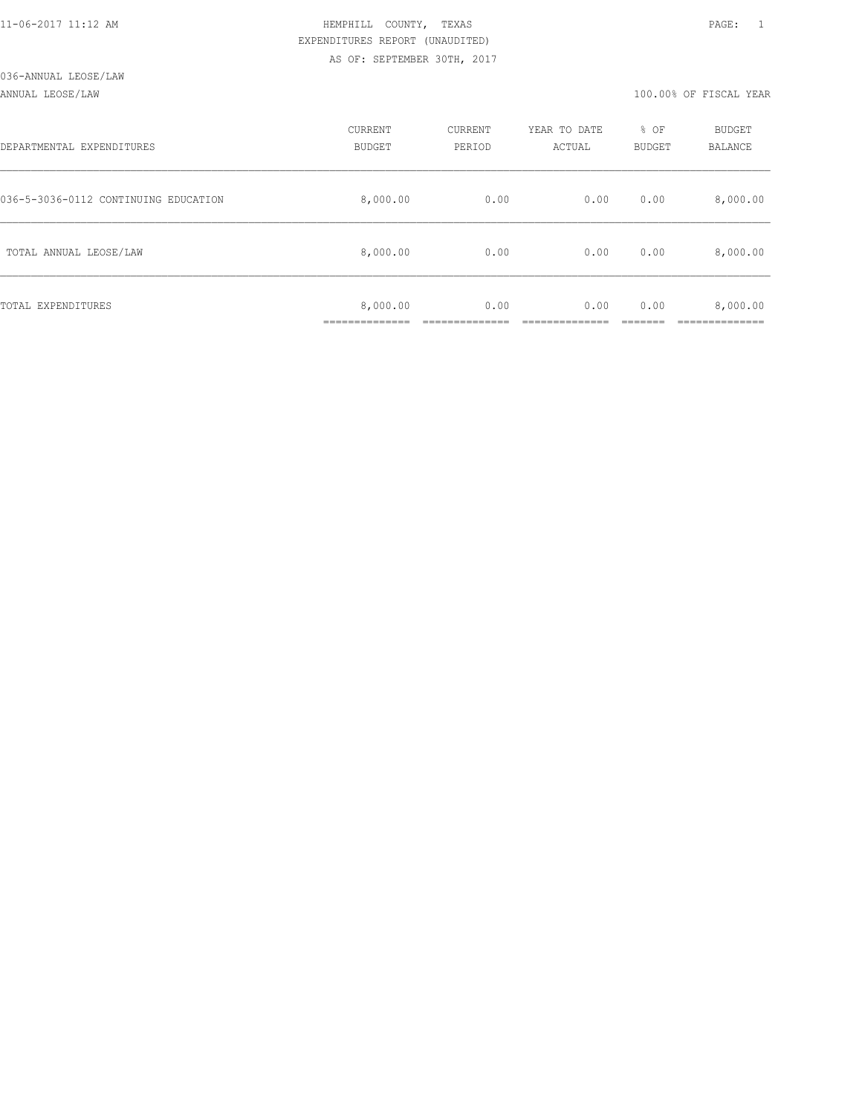#### ANNUAL LEOSE/LAW 100.00% OF FISCAL YEAR

| DEPARTMENTAL EXPENDITURES            | CURRENT<br><b>BUDGET</b> | CURRENT<br>PERIOD | YEAR TO DATE<br>ACTUAL | % OF<br>BUDGET | BUDGET<br><b>BALANCE</b> |
|--------------------------------------|--------------------------|-------------------|------------------------|----------------|--------------------------|
| 036-5-3036-0112 CONTINUING EDUCATION | 8,000.00                 | 0.00              | 0.00                   | 0.00           | 8,000.00                 |
| TOTAL ANNUAL LEOSE/LAW               | 8,000.00                 | 0.00              | 0.00                   | 0.00           | 8,000.00                 |
| TOTAL EXPENDITURES                   | 8,000.00                 | 0.00              | 0.00                   | 0.00           | 8,000.00                 |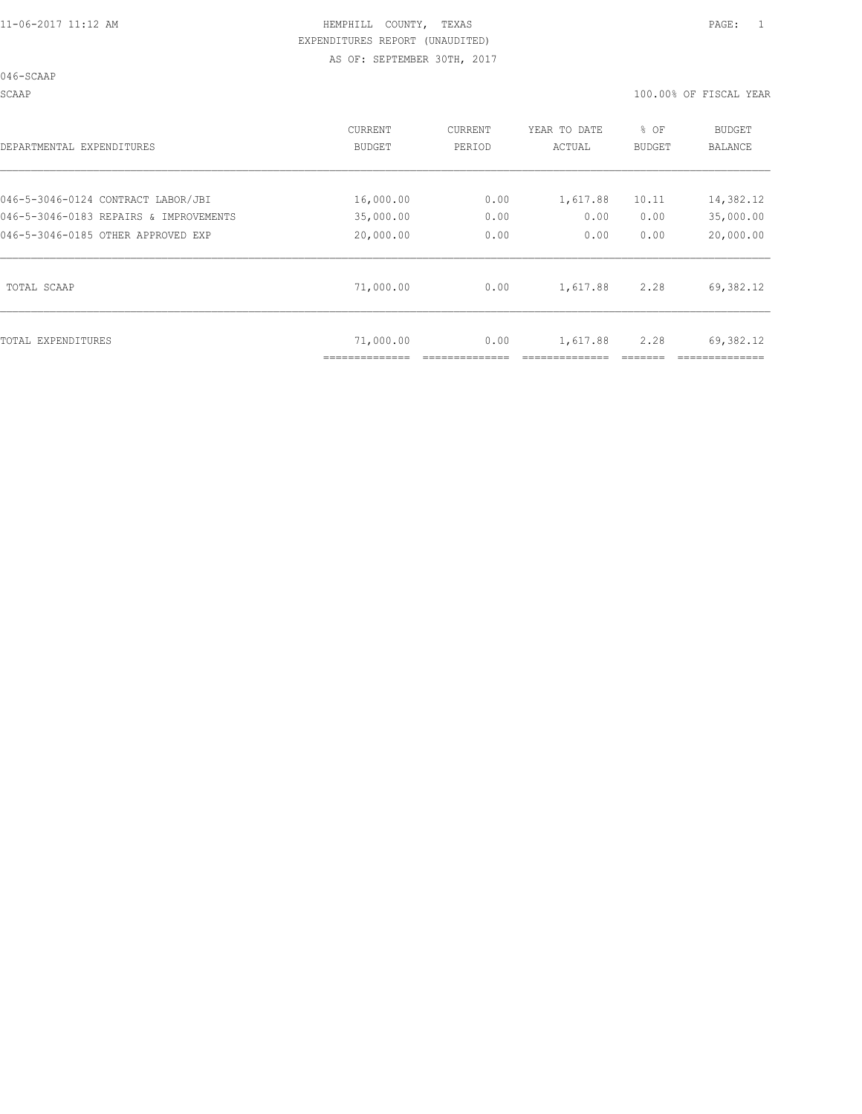046-SCAAP

SCAAP 100.00% OF FISCAL YEAR

| DEPARTMENTAL EXPENDITURES              | CURRENT<br>BUDGET | CURRENT<br>PERIOD | YEAR TO DATE<br>ACTUAL | % OF<br><b>BUDGET</b> | <b>BUDGET</b><br>BALANCE |
|----------------------------------------|-------------------|-------------------|------------------------|-----------------------|--------------------------|
| 046-5-3046-0124 CONTRACT LABOR/JBI     | 16,000.00         | 0.00              | 1,617.88               | 10.11                 | 14,382.12                |
| 046-5-3046-0183 REPAIRS & IMPROVEMENTS | 35,000.00         | 0.00              | 0.00                   | 0.00                  | 35,000.00                |
| 046-5-3046-0185 OTHER APPROVED EXP     | 20,000.00         | 0.00              | 0.00                   | 0.00                  | 20,000.00                |
| TOTAL SCAAP                            | 71,000.00         | 0.00              | 1,617.88               | 2.28                  | 69,382.12                |
| TOTAL EXPENDITURES                     | 71,000.00         | 0.00              | 1,617.88               | 2.28                  | 69,382.12                |